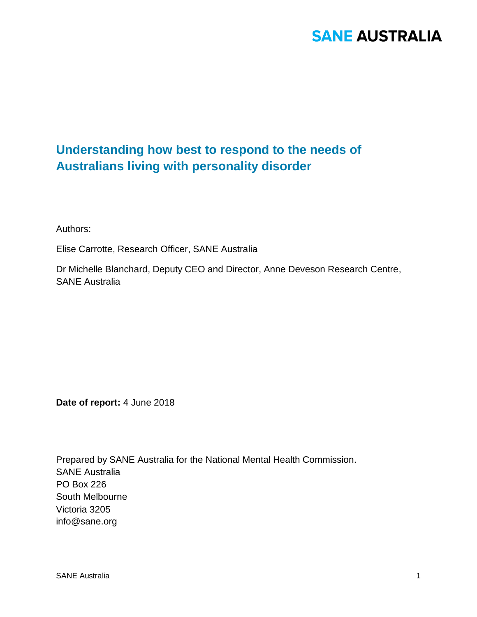### **Understanding how best to respond to the needs of Australians living with personality disorder**

Authors:

Elise Carrotte, Research Officer, SANE Australia

Dr Michelle Blanchard, Deputy CEO and Director, Anne Deveson Research Centre, SANE Australia

**Date of report:** 4 June 2018

Prepared by SANE Australia for the National Mental Health Commission. SANE Australia PO Box 226 South Melbourne Victoria 3205 info@sane.org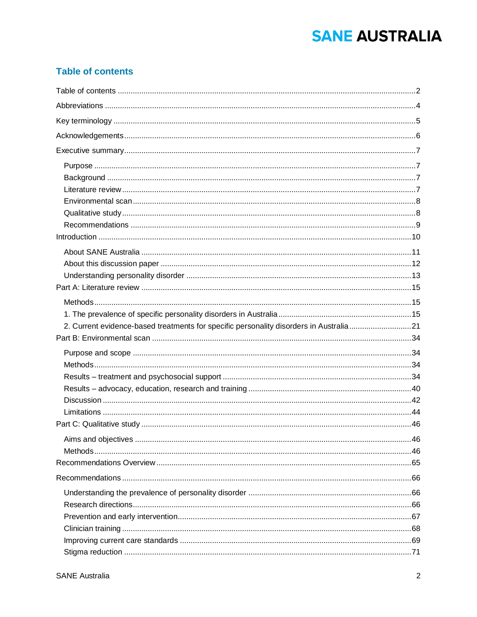### **Table of contents**

| 2. Current evidence-based treatments for specific personality disorders in Australia21 |  |
|----------------------------------------------------------------------------------------|--|
|                                                                                        |  |
|                                                                                        |  |
|                                                                                        |  |
|                                                                                        |  |
|                                                                                        |  |
|                                                                                        |  |
|                                                                                        |  |
|                                                                                        |  |
|                                                                                        |  |
|                                                                                        |  |
|                                                                                        |  |
|                                                                                        |  |
|                                                                                        |  |
|                                                                                        |  |
|                                                                                        |  |
|                                                                                        |  |
|                                                                                        |  |
|                                                                                        |  |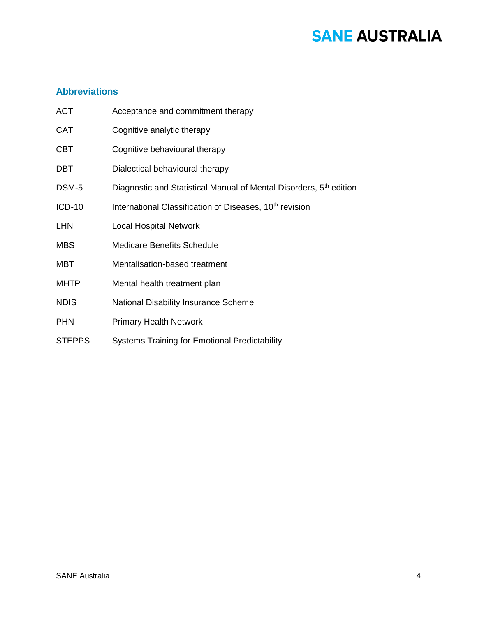### **Abbreviations**

| <b>ACT</b>    | Acceptance and commitment therapy                                              |
|---------------|--------------------------------------------------------------------------------|
| <b>CAT</b>    | Cognitive analytic therapy                                                     |
| <b>CBT</b>    | Cognitive behavioural therapy                                                  |
| DBT.          | Dialectical behavioural therapy                                                |
| DSM-5         | Diagnostic and Statistical Manual of Mental Disorders, 5 <sup>th</sup> edition |
| <b>ICD-10</b> | International Classification of Diseases, 10 <sup>th</sup> revision            |
| <b>LHN</b>    | <b>Local Hospital Network</b>                                                  |
| <b>MBS</b>    | <b>Medicare Benefits Schedule</b>                                              |
| MBT           | Mentalisation-based treatment                                                  |
| <b>MHTP</b>   | Mental health treatment plan                                                   |
| <b>NDIS</b>   | National Disability Insurance Scheme                                           |
| <b>PHN</b>    | <b>Primary Health Network</b>                                                  |
| <b>STEPPS</b> | <b>Systems Training for Emotional Predictability</b>                           |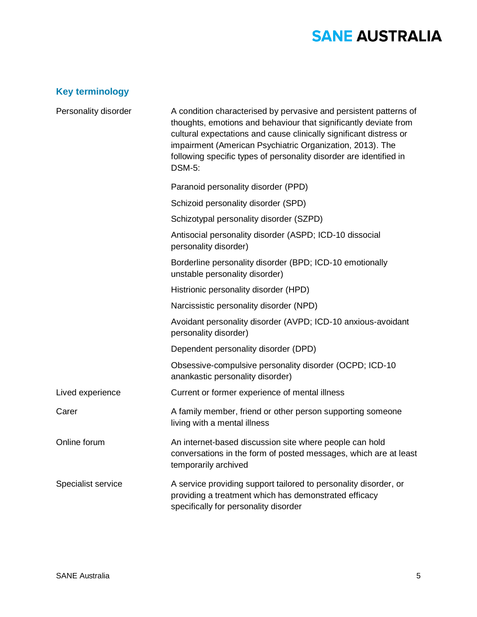### **Key terminology**

| Personality disorder | A condition characterised by pervasive and persistent patterns of<br>thoughts, emotions and behaviour that significantly deviate from<br>cultural expectations and cause clinically significant distress or<br>impairment (American Psychiatric Organization, 2013). The<br>following specific types of personality disorder are identified in<br><b>DSM-5:</b> |  |
|----------------------|-----------------------------------------------------------------------------------------------------------------------------------------------------------------------------------------------------------------------------------------------------------------------------------------------------------------------------------------------------------------|--|
|                      | Paranoid personality disorder (PPD)                                                                                                                                                                                                                                                                                                                             |  |
|                      | Schizoid personality disorder (SPD)                                                                                                                                                                                                                                                                                                                             |  |
|                      | Schizotypal personality disorder (SZPD)                                                                                                                                                                                                                                                                                                                         |  |
|                      | Antisocial personality disorder (ASPD; ICD-10 dissocial<br>personality disorder)                                                                                                                                                                                                                                                                                |  |
|                      | Borderline personality disorder (BPD; ICD-10 emotionally<br>unstable personality disorder)                                                                                                                                                                                                                                                                      |  |
|                      | Histrionic personality disorder (HPD)                                                                                                                                                                                                                                                                                                                           |  |
|                      | Narcissistic personality disorder (NPD)                                                                                                                                                                                                                                                                                                                         |  |
|                      | Avoidant personality disorder (AVPD; ICD-10 anxious-avoidant<br>personality disorder)                                                                                                                                                                                                                                                                           |  |
|                      | Dependent personality disorder (DPD)                                                                                                                                                                                                                                                                                                                            |  |
|                      | Obsessive-compulsive personality disorder (OCPD; ICD-10<br>anankastic personality disorder)                                                                                                                                                                                                                                                                     |  |
| Lived experience     | Current or former experience of mental illness                                                                                                                                                                                                                                                                                                                  |  |
| Carer                | A family member, friend or other person supporting someone<br>living with a mental illness                                                                                                                                                                                                                                                                      |  |
| Online forum         | An internet-based discussion site where people can hold<br>conversations in the form of posted messages, which are at least<br>temporarily archived                                                                                                                                                                                                             |  |
| Specialist service   | A service providing support tailored to personality disorder, or<br>providing a treatment which has demonstrated efficacy<br>specifically for personality disorder                                                                                                                                                                                              |  |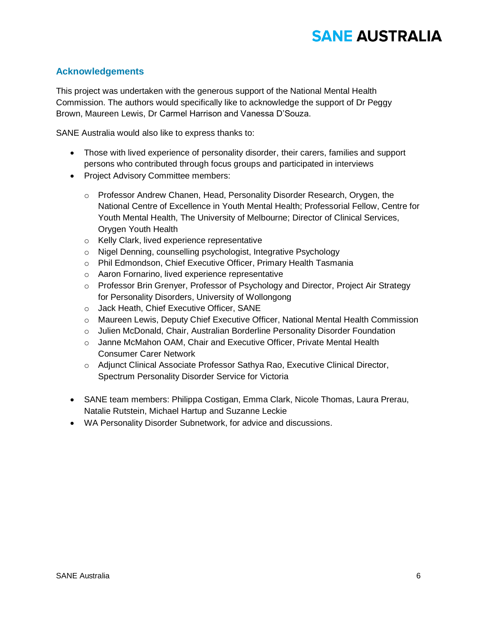### **Acknowledgements**

This project was undertaken with the generous support of the National Mental Health Commission. The authors would specifically like to acknowledge the support of Dr Peggy Brown, Maureen Lewis, Dr Carmel Harrison and Vanessa D'Souza.

SANE Australia would also like to express thanks to:

- Those with lived experience of personality disorder, their carers, families and support persons who contributed through focus groups and participated in interviews
- Project Advisory Committee members:
	- o Professor Andrew Chanen, Head, Personality Disorder Research, Orygen, the National Centre of Excellence in Youth Mental Health; Professorial Fellow, Centre for Youth Mental Health, The University of Melbourne; Director of Clinical Services, Orygen Youth Health
	- o Kelly Clark, lived experience representative
	- o Nigel Denning, counselling psychologist, Integrative Psychology
	- o Phil Edmondson, Chief Executive Officer, Primary Health Tasmania
	- o Aaron Fornarino, lived experience representative
	- o Professor Brin Grenyer, Professor of Psychology and Director, Project Air Strategy for Personality Disorders, University of Wollongong
	- o Jack Heath, Chief Executive Officer, SANE
	- o Maureen Lewis, Deputy Chief Executive Officer, National Mental Health Commission
	- o Julien McDonald, Chair, Australian Borderline Personality Disorder Foundation
	- o Janne McMahon OAM, Chair and Executive Officer, Private Mental Health Consumer Carer Network
	- o Adjunct Clinical Associate Professor Sathya Rao, Executive Clinical Director, Spectrum Personality Disorder Service for Victoria
- SANE team members: Philippa Costigan, Emma Clark, Nicole Thomas, Laura Prerau, Natalie Rutstein, Michael Hartup and Suzanne Leckie
- WA Personality Disorder Subnetwork, for advice and discussions.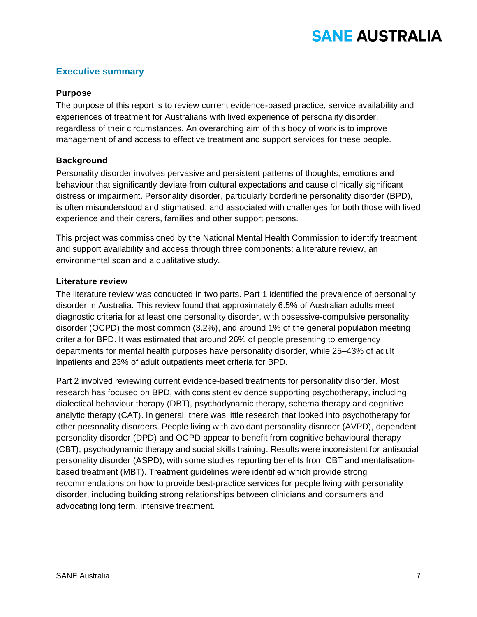### **Executive summary**

#### **Purpose**

The purpose of this report is to review current evidence-based practice, service availability and experiences of treatment for Australians with lived experience of personality disorder, regardless of their circumstances. An overarching aim of this body of work is to improve management of and access to effective treatment and support services for these people.

### **Background**

Personality disorder involves pervasive and persistent patterns of thoughts, emotions and behaviour that significantly deviate from cultural expectations and cause clinically significant distress or impairment. Personality disorder, particularly borderline personality disorder (BPD), is often misunderstood and stigmatised, and associated with challenges for both those with lived experience and their carers, families and other support persons.

This project was commissioned by the National Mental Health Commission to identify treatment and support availability and access through three components: a literature review, an environmental scan and a qualitative study.

#### **Literature review**

The literature review was conducted in two parts. Part 1 identified the prevalence of personality disorder in Australia. This review found that approximately 6.5% of Australian adults meet diagnostic criteria for at least one personality disorder, with obsessive-compulsive personality disorder (OCPD) the most common (3.2%), and around 1% of the general population meeting criteria for BPD. It was estimated that around 26% of people presenting to emergency departments for mental health purposes have personality disorder, while 25–43% of adult inpatients and 23% of adult outpatients meet criteria for BPD.

Part 2 involved reviewing current evidence-based treatments for personality disorder. Most research has focused on BPD, with consistent evidence supporting psychotherapy, including dialectical behaviour therapy (DBT), psychodynamic therapy, schema therapy and cognitive analytic therapy (CAT). In general, there was little research that looked into psychotherapy for other personality disorders. People living with avoidant personality disorder (AVPD), dependent personality disorder (DPD) and OCPD appear to benefit from cognitive behavioural therapy (CBT), psychodynamic therapy and social skills training. Results were inconsistent for antisocial personality disorder (ASPD), with some studies reporting benefits from CBT and mentalisationbased treatment (MBT). Treatment guidelines were identified which provide strong recommendations on how to provide best-practice services for people living with personality disorder, including building strong relationships between clinicians and consumers and advocating long term, intensive treatment.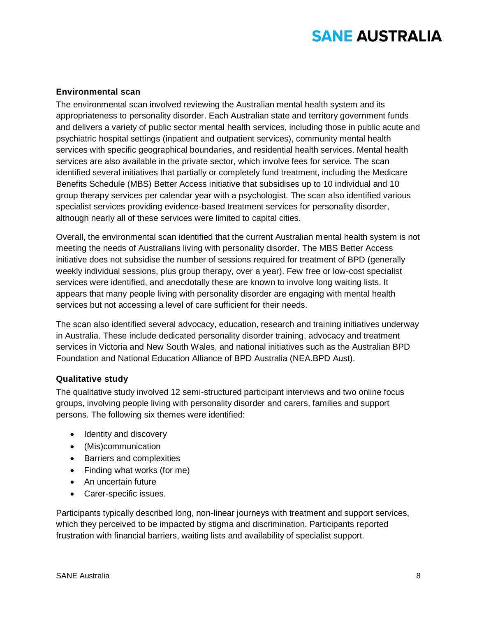### **Environmental scan**

The environmental scan involved reviewing the Australian mental health system and its appropriateness to personality disorder. Each Australian state and territory government funds and delivers a variety of public sector mental health services, including those in public acute and psychiatric hospital settings (inpatient and outpatient services), community mental health services with specific geographical boundaries, and residential health services. Mental health services are also available in the private sector, which involve fees for service. The scan identified several initiatives that partially or completely fund treatment, including the Medicare Benefits Schedule (MBS) Better Access initiative that subsidises up to 10 individual and 10 group therapy services per calendar year with a psychologist. The scan also identified various specialist services providing evidence-based treatment services for personality disorder, although nearly all of these services were limited to capital cities.

Overall, the environmental scan identified that the current Australian mental health system is not meeting the needs of Australians living with personality disorder. The MBS Better Access initiative does not subsidise the number of sessions required for treatment of BPD (generally weekly individual sessions, plus group therapy, over a year). Few free or low-cost specialist services were identified, and anecdotally these are known to involve long waiting lists. It appears that many people living with personality disorder are engaging with mental health services but not accessing a level of care sufficient for their needs.

The scan also identified several advocacy, education, research and training initiatives underway in Australia. These include dedicated personality disorder training, advocacy and treatment services in Victoria and New South Wales, and national initiatives such as the Australian BPD Foundation and National Education Alliance of BPD Australia (NEA.BPD Aust).

#### **Qualitative study**

The qualitative study involved 12 semi-structured participant interviews and two online focus groups, involving people living with personality disorder and carers, families and support persons. The following six themes were identified:

- Identity and discovery
- (Mis)communication
- Barriers and complexities
- Finding what works (for me)
- An uncertain future
- Carer-specific issues.

Participants typically described long, non-linear journeys with treatment and support services, which they perceived to be impacted by stigma and discrimination. Participants reported frustration with financial barriers, waiting lists and availability of specialist support.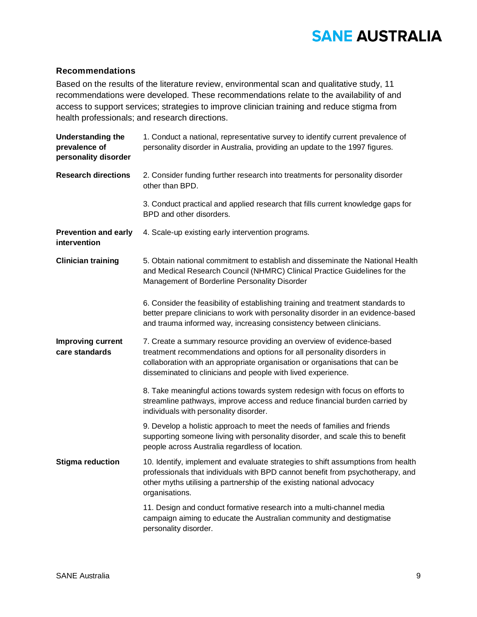### **Recommendations**

Based on the results of the literature review, environmental scan and qualitative study, 11 recommendations were developed. These recommendations relate to the availability of and access to support services; strategies to improve clinician training and reduce stigma from health professionals; and research directions.

| <b>Understanding the</b><br>prevalence of<br>personality disorder | 1. Conduct a national, representative survey to identify current prevalence of<br>personality disorder in Australia, providing an update to the 1997 figures.                                                                                                                                 |  |
|-------------------------------------------------------------------|-----------------------------------------------------------------------------------------------------------------------------------------------------------------------------------------------------------------------------------------------------------------------------------------------|--|
| <b>Research directions</b>                                        | 2. Consider funding further research into treatments for personality disorder<br>other than BPD.                                                                                                                                                                                              |  |
|                                                                   | 3. Conduct practical and applied research that fills current knowledge gaps for<br>BPD and other disorders.                                                                                                                                                                                   |  |
| <b>Prevention and early</b><br>intervention                       | 4. Scale-up existing early intervention programs.                                                                                                                                                                                                                                             |  |
| <b>Clinician training</b>                                         | 5. Obtain national commitment to establish and disseminate the National Health<br>and Medical Research Council (NHMRC) Clinical Practice Guidelines for the<br>Management of Borderline Personality Disorder                                                                                  |  |
|                                                                   | 6. Consider the feasibility of establishing training and treatment standards to<br>better prepare clinicians to work with personality disorder in an evidence-based<br>and trauma informed way, increasing consistency between clinicians.                                                    |  |
| <b>Improving current</b><br>care standards                        | 7. Create a summary resource providing an overview of evidence-based<br>treatment recommendations and options for all personality disorders in<br>collaboration with an appropriate organisation or organisations that can be<br>disseminated to clinicians and people with lived experience. |  |
|                                                                   | 8. Take meaningful actions towards system redesign with focus on efforts to<br>streamline pathways, improve access and reduce financial burden carried by<br>individuals with personality disorder.                                                                                           |  |
|                                                                   | 9. Develop a holistic approach to meet the needs of families and friends<br>supporting someone living with personality disorder, and scale this to benefit<br>people across Australia regardless of location.                                                                                 |  |
| <b>Stigma reduction</b>                                           | 10. Identify, implement and evaluate strategies to shift assumptions from health<br>professionals that individuals with BPD cannot benefit from psychotherapy, and<br>other myths utilising a partnership of the existing national advocacy<br>organisations.                                 |  |
|                                                                   | 11. Design and conduct formative research into a multi-channel media<br>campaign aiming to educate the Australian community and destigmatise<br>personality disorder.                                                                                                                         |  |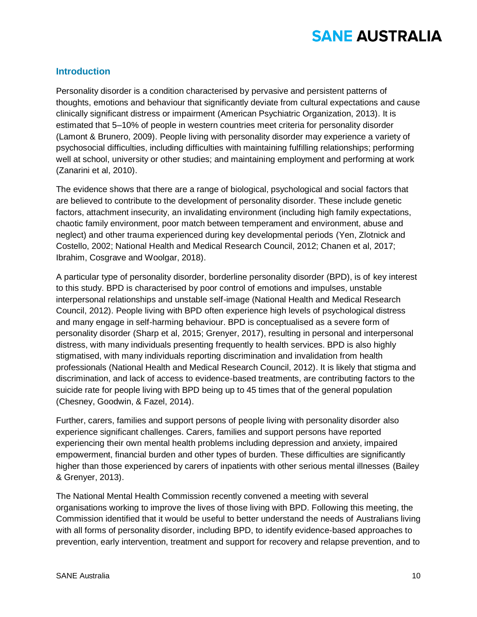### **Introduction**

Personality disorder is a condition characterised by pervasive and persistent patterns of thoughts, emotions and behaviour that significantly deviate from cultural expectations and cause clinically significant distress or impairment (American Psychiatric Organization, 2013). It is estimated that 5–10% of people in western countries meet criteria for personality disorder (Lamont & Brunero, 2009). People living with personality disorder may experience a variety of psychosocial difficulties, including difficulties with maintaining fulfilling relationships; performing well at school, university or other studies; and maintaining employment and performing at work (Zanarini et al, 2010).

The evidence shows that there are a range of biological, psychological and social factors that are believed to contribute to the development of personality disorder. These include genetic factors, attachment insecurity, an invalidating environment (including high family expectations, chaotic family environment, poor match between temperament and environment, abuse and neglect) and other trauma experienced during key developmental periods (Yen, Zlotnick and Costello, 2002; National Health and Medical Research Council, 2012; Chanen et al, 2017; Ibrahim, Cosgrave and Woolgar, 2018).

A particular type of personality disorder, borderline personality disorder (BPD), is of key interest to this study. BPD is characterised by poor control of emotions and impulses, unstable interpersonal relationships and unstable self-image (National Health and Medical Research Council, 2012). People living with BPD often experience high levels of psychological distress and many engage in self-harming behaviour. BPD is conceptualised as a severe form of personality disorder (Sharp et al, 2015; Grenyer, 2017), resulting in personal and interpersonal distress, with many individuals presenting frequently to health services. BPD is also highly stigmatised, with many individuals reporting discrimination and invalidation from health professionals (National Health and Medical Research Council, 2012). It is likely that stigma and discrimination, and lack of access to evidence-based treatments, are contributing factors to the suicide rate for people living with BPD being up to 45 times that of the general population (Chesney, Goodwin, & Fazel, 2014).

Further, carers, families and support persons of people living with personality disorder also experience significant challenges. Carers, families and support persons have reported experiencing their own mental health problems including depression and anxiety, impaired empowerment, financial burden and other types of burden. These difficulties are significantly higher than those experienced by carers of inpatients with other serious mental illnesses (Bailey & Grenyer, 2013).

The National Mental Health Commission recently convened a meeting with several organisations working to improve the lives of those living with BPD. Following this meeting, the Commission identified that it would be useful to better understand the needs of Australians living with all forms of personality disorder, including BPD, to identify evidence-based approaches to prevention, early intervention, treatment and support for recovery and relapse prevention, and to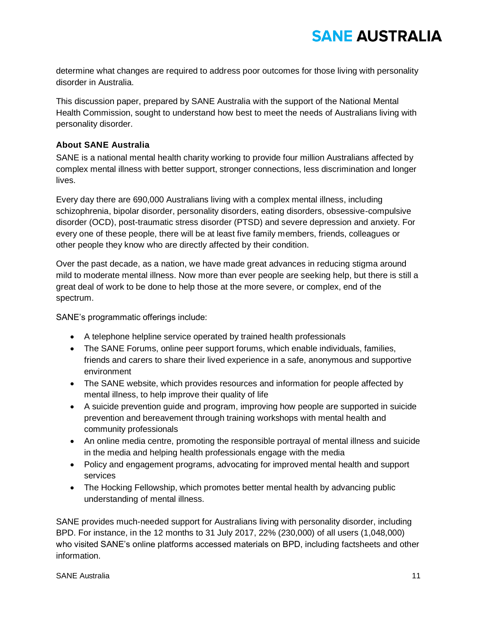determine what changes are required to address poor outcomes for those living with personality disorder in Australia.

This discussion paper, prepared by SANE Australia with the support of the National Mental Health Commission, sought to understand how best to meet the needs of Australians living with personality disorder.

### **About SANE Australia**

SANE is a national mental health charity working to provide four million Australians affected by complex mental illness with better support, stronger connections, less discrimination and longer lives.

Every day there are 690,000 Australians living with a complex mental illness, including schizophrenia, bipolar disorder, personality disorders, eating disorders, obsessive-compulsive disorder (OCD), post-traumatic stress disorder (PTSD) and severe depression and anxiety. For every one of these people, there will be at least five family members, friends, colleagues or other people they know who are directly affected by their condition.

Over the past decade, as a nation, we have made great advances in reducing stigma around mild to moderate mental illness. Now more than ever people are seeking help, but there is still a great deal of work to be done to help those at the more severe, or complex, end of the spectrum.

SANE's programmatic offerings include:

- A telephone helpline service operated by trained health professionals
- The SANE Forums, online peer support forums, which enable individuals, families, friends and carers to share their lived experience in a safe, anonymous and supportive environment
- The SANE website, which provides resources and information for people affected by mental illness, to help improve their quality of life
- A suicide prevention guide and program, improving how people are supported in suicide prevention and bereavement through training workshops with mental health and community professionals
- An online media centre, promoting the responsible portrayal of mental illness and suicide in the media and helping health professionals engage with the media
- Policy and engagement programs, advocating for improved mental health and support services
- The Hocking Fellowship, which promotes better mental health by advancing public understanding of mental illness.

SANE provides much-needed support for Australians living with personality disorder, including BPD. For instance, in the 12 months to 31 July 2017, 22% (230,000) of all users (1,048,000) who visited SANE's online platforms accessed materials on BPD, including factsheets and other information.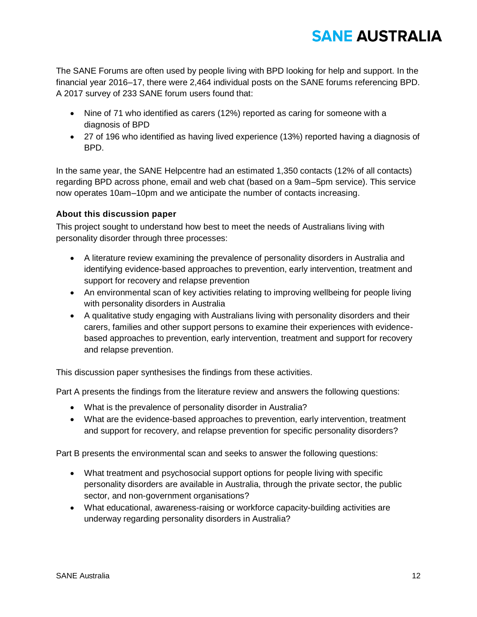The SANE Forums are often used by people living with BPD looking for help and support. In the financial year 2016–17, there were 2,464 individual posts on the SANE forums referencing BPD. A 2017 survey of 233 SANE forum users found that:

- Nine of 71 who identified as carers (12%) reported as caring for someone with a diagnosis of BPD
- 27 of 196 who identified as having lived experience (13%) reported having a diagnosis of BPD.

In the same year, the SANE Helpcentre had an estimated 1,350 contacts (12% of all contacts) regarding BPD across phone, email and web chat (based on a 9am–5pm service). This service now operates 10am–10pm and we anticipate the number of contacts increasing.

### **About this discussion paper**

This project sought to understand how best to meet the needs of Australians living with personality disorder through three processes:

- A literature review examining the prevalence of personality disorders in Australia and identifying evidence-based approaches to prevention, early intervention, treatment and support for recovery and relapse prevention
- An environmental scan of key activities relating to improving wellbeing for people living with personality disorders in Australia
- A qualitative study engaging with Australians living with personality disorders and their carers, families and other support persons to examine their experiences with evidencebased approaches to prevention, early intervention, treatment and support for recovery and relapse prevention.

This discussion paper synthesises the findings from these activities.

Part A presents the findings from the literature review and answers the following questions:

- What is the prevalence of personality disorder in Australia?
- What are the evidence-based approaches to prevention, early intervention, treatment and support for recovery, and relapse prevention for specific personality disorders?

Part B presents the environmental scan and seeks to answer the following questions:

- What treatment and psychosocial support options for people living with specific personality disorders are available in Australia, through the private sector, the public sector, and non-government organisations?
- What educational, awareness-raising or workforce capacity-building activities are underway regarding personality disorders in Australia?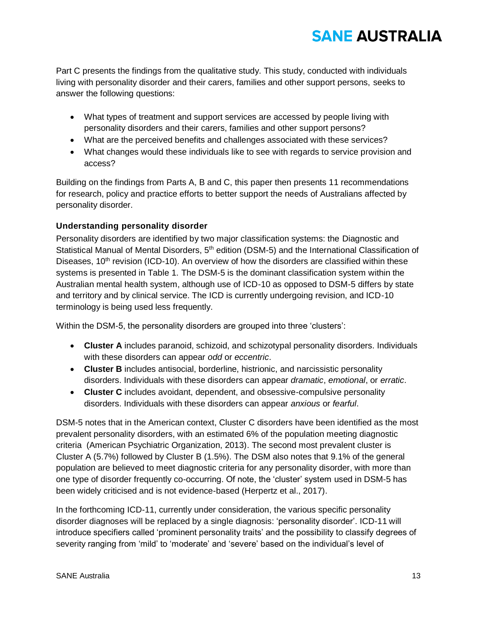Part C presents the findings from the qualitative study. This study, conducted with individuals living with personality disorder and their carers, families and other support persons, seeks to answer the following questions:

- What types of treatment and support services are accessed by people living with personality disorders and their carers, families and other support persons?
- What are the perceived benefits and challenges associated with these services?
- What changes would these individuals like to see with regards to service provision and access?

Building on the findings from Parts A, B and C, this paper then presents 11 recommendations for research, policy and practice efforts to better support the needs of Australians affected by personality disorder.

### **Understanding personality disorder**

Personality disorders are identified by two major classification systems: the Diagnostic and Statistical Manual of Mental Disorders, 5<sup>th</sup> edition (DSM-5) and the International Classification of Diseases, 10<sup>th</sup> revision (ICD-10). An overview of how the disorders are classified within these systems is presented in Table 1. The DSM-5 is the dominant classification system within the Australian mental health system, although use of ICD-10 as opposed to DSM-5 differs by state and territory and by clinical service. The ICD is currently undergoing revision, and ICD-10 terminology is being used less frequently.

Within the DSM-5, the personality disorders are grouped into three 'clusters':

- **Cluster A** includes paranoid, schizoid, and schizotypal personality disorders. Individuals with these disorders can appear *odd* or *eccentric*.
- **Cluster B** includes antisocial, borderline, histrionic, and narcissistic personality disorders. Individuals with these disorders can appear *dramatic*, *emotional*, or *erratic*.
- **Cluster C** includes avoidant, dependent, and obsessive-compulsive personality disorders. Individuals with these disorders can appear *anxious* or *fearful*.

DSM-5 notes that in the American context, Cluster C disorders have been identified as the most prevalent personality disorders, with an estimated 6% of the population meeting diagnostic criteria (American Psychiatric Organization, 2013). The second most prevalent cluster is Cluster A (5.7%) followed by Cluster B (1.5%). The DSM also notes that 9.1% of the general population are believed to meet diagnostic criteria for any personality disorder, with more than one type of disorder frequently co-occurring. Of note, the 'cluster' system used in DSM-5 has been widely criticised and is not evidence-based (Herpertz et al., 2017).

In the forthcoming [ICD-11,](https://en.wikipedia.org/wiki/ICD-11) currently under consideration, the various specific personality disorder diagnoses will be replaced by a single diagnosis: 'personality disorder'. [ICD-11](https://en.wikipedia.org/wiki/ICD-11) will introduce specifiers called 'prominent personality traits' and the possibility to classify degrees of severity ranging from 'mild' to 'moderate' and 'severe' based on the individual's level of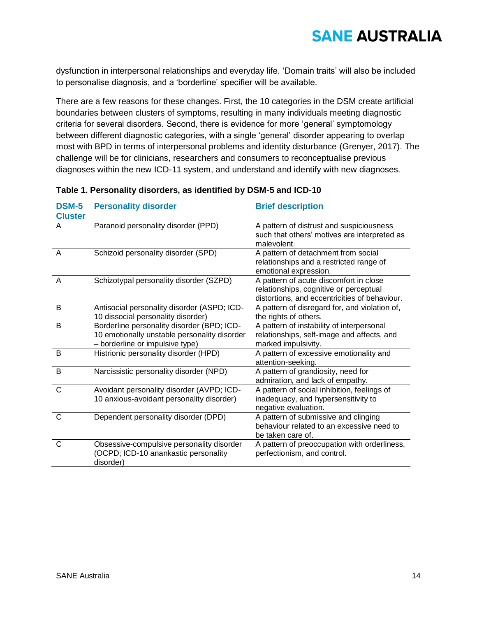dysfunction in interpersonal relationships and everyday life. 'Domain traits' will also be included to personalise diagnosis, and a 'borderline' specifier will be available.

There are a few reasons for these changes. First, the 10 categories in the DSM create artificial boundaries between clusters of symptoms, resulting in many individuals meeting diagnostic criteria for several disorders. Second, there is evidence for more 'general' symptomology between different diagnostic categories, with a single 'general' disorder appearing to overlap most with BPD in terms of interpersonal problems and identity disturbance (Grenyer, 2017). The challenge will be for clinicians, researchers and consumers to reconceptualise previous diagnoses within the new ICD-11 system, and understand and identify with new diagnoses.

| <b>DSM-5</b><br><b>Cluster</b> | <b>Personality disorder</b>                                                                                                   | <b>Brief description</b>                                                                                                          |
|--------------------------------|-------------------------------------------------------------------------------------------------------------------------------|-----------------------------------------------------------------------------------------------------------------------------------|
| A                              | Paranoid personality disorder (PPD)                                                                                           | A pattern of distrust and suspiciousness<br>such that others' motives are interpreted as<br>malevolent.                           |
| A                              | Schizoid personality disorder (SPD)                                                                                           | A pattern of detachment from social<br>relationships and a restricted range of<br>emotional expression.                           |
| A                              | Schizotypal personality disorder (SZPD)                                                                                       | A pattern of acute discomfort in close<br>relationships, cognitive or perceptual<br>distortions, and eccentricities of behaviour. |
| B                              | Antisocial personality disorder (ASPD; ICD-<br>10 dissocial personality disorder)                                             | A pattern of disregard for, and violation of,<br>the rights of others.                                                            |
| B                              | Borderline personality disorder (BPD; ICD-<br>10 emotionally unstable personality disorder<br>- borderline or impulsive type) | A pattern of instability of interpersonal<br>relationships, self-image and affects, and<br>marked impulsivity.                    |
| B                              | Histrionic personality disorder (HPD)                                                                                         | A pattern of excessive emotionality and<br>attention-seeking.                                                                     |
| B                              | Narcissistic personality disorder (NPD)                                                                                       | A pattern of grandiosity, need for<br>admiration, and lack of empathy.                                                            |
| C                              | Avoidant personality disorder (AVPD; ICD-<br>10 anxious-avoidant personality disorder)                                        | A pattern of social inhibition, feelings of<br>inadequacy, and hypersensitivity to<br>negative evaluation.                        |
| C                              | Dependent personality disorder (DPD)                                                                                          | A pattern of submissive and clinging<br>behaviour related to an excessive need to<br>be taken care of.                            |
| $\mathsf{C}$                   | Obsessive-compulsive personality disorder<br>(OCPD; ICD-10 anankastic personality<br>disorder)                                | A pattern of preoccupation with orderliness,<br>perfectionism, and control.                                                       |

### **Table 1. Personality disorders, as identified by DSM-5 and ICD-10**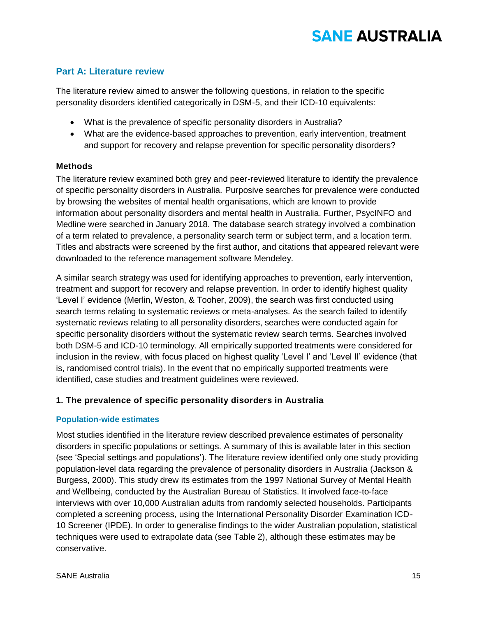### **Part A: Literature review**

The literature review aimed to answer the following questions, in relation to the specific personality disorders identified categorically in DSM-5, and their ICD-10 equivalents:

- What is the prevalence of specific personality disorders in Australia?
- What are the evidence-based approaches to prevention, early intervention, treatment and support for recovery and relapse prevention for specific personality disorders?

### **Methods**

The literature review examined both grey and peer-reviewed literature to identify the prevalence of specific personality disorders in Australia. Purposive searches for prevalence were conducted by browsing the websites of mental health organisations, which are known to provide information about personality disorders and mental health in Australia. Further, PsycINFO and Medline were searched in January 2018. The database search strategy involved a combination of a term related to prevalence, a personality search term or subject term, and a location term. Titles and abstracts were screened by the first author, and citations that appeared relevant were downloaded to the reference management software Mendeley.

A similar search strategy was used for identifying approaches to prevention, early intervention, treatment and support for recovery and relapse prevention. In order to identify highest quality 'Level I' evidence (Merlin, Weston, & Tooher, 2009), the search was first conducted using search terms relating to systematic reviews or meta-analyses. As the search failed to identify systematic reviews relating to all personality disorders, searches were conducted again for specific personality disorders without the systematic review search terms. Searches involved both DSM-5 and ICD-10 terminology. All empirically supported treatments were considered for inclusion in the review, with focus placed on highest quality 'Level I' and 'Level II' evidence (that is, randomised control trials). In the event that no empirically supported treatments were identified, case studies and treatment guidelines were reviewed.

### **1. The prevalence of specific personality disorders in Australia**

### **Population-wide estimates**

Most studies identified in the literature review described prevalence estimates of personality disorders in specific populations or settings. A summary of this is available later in this section (see 'Special settings and populations'). The literature review identified only one study providing population-level data regarding the prevalence of personality disorders in Australia (Jackson & Burgess, 2000). This study drew its estimates from the 1997 National Survey of Mental Health and Wellbeing, conducted by the Australian Bureau of Statistics. It involved face-to-face interviews with over 10,000 Australian adults from randomly selected households. Participants completed a screening process, using the International Personality Disorder Examination ICD-10 Screener (IPDE). In order to generalise findings to the wider Australian population, statistical techniques were used to extrapolate data (see Table 2), although these estimates may be conservative.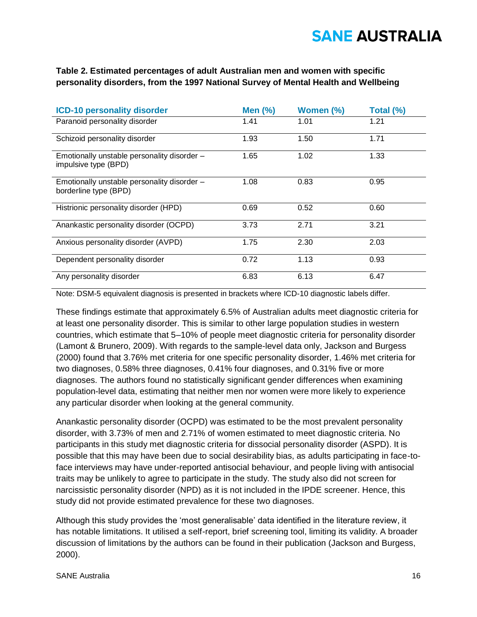### **Table 2. Estimated percentages of adult Australian men and women with specific personality disorders, from the 1997 National Survey of Mental Health and Wellbeing**

| <b>ICD-10 personality disorder</b>                                   | Men $(%)$ | Women (%) | Total (%) |
|----------------------------------------------------------------------|-----------|-----------|-----------|
| Paranoid personality disorder                                        | 1.41      | 1.01      | 1.21      |
| Schizoid personality disorder                                        | 1.93      | 1.50      | 1.71      |
| Emotionally unstable personality disorder -<br>impulsive type (BPD)  | 1.65      | 1.02      | 1.33      |
| Emotionally unstable personality disorder -<br>borderline type (BPD) | 1.08      | 0.83      | 0.95      |
| Histrionic personality disorder (HPD)                                | 0.69      | 0.52      | 0.60      |
| Anankastic personality disorder (OCPD)                               | 3.73      | 2.71      | 3.21      |
| Anxious personality disorder (AVPD)                                  | 1.75      | 2.30      | 2.03      |
| Dependent personality disorder                                       | 0.72      | 1.13      | 0.93      |
| Any personality disorder                                             | 6.83      | 6.13      | 6.47      |

Note: DSM-5 equivalent diagnosis is presented in brackets where ICD-10 diagnostic labels differ.

These findings estimate that approximately 6.5% of Australian adults meet diagnostic criteria for at least one personality disorder. This is similar to other large population studies in western countries, which estimate that 5–10% of people meet diagnostic criteria for personality disorder (Lamont & Brunero, 2009). With regards to the sample-level data only, Jackson and Burgess (2000) found that 3.76% met criteria for one specific personality disorder, 1.46% met criteria for two diagnoses, 0.58% three diagnoses, 0.41% four diagnoses, and 0.31% five or more diagnoses. The authors found no statistically significant gender differences when examining population-level data, estimating that neither men nor women were more likely to experience any particular disorder when looking at the general community.

Anankastic personality disorder (OCPD) was estimated to be the most prevalent personality disorder, with 3.73% of men and 2.71% of women estimated to meet diagnostic criteria. No participants in this study met diagnostic criteria for dissocial personality disorder (ASPD). It is possible that this may have been due to social desirability bias, as adults participating in face-toface interviews may have under-reported antisocial behaviour, and people living with antisocial traits may be unlikely to agree to participate in the study. The study also did not screen for narcissistic personality disorder (NPD) as it is not included in the IPDE screener. Hence, this study did not provide estimated prevalence for these two diagnoses.

Although this study provides the 'most generalisable' data identified in the literature review, it has notable limitations. It utilised a self-report, brief screening tool, limiting its validity. A broader discussion of limitations by the authors can be found in their publication (Jackson and Burgess, 2000).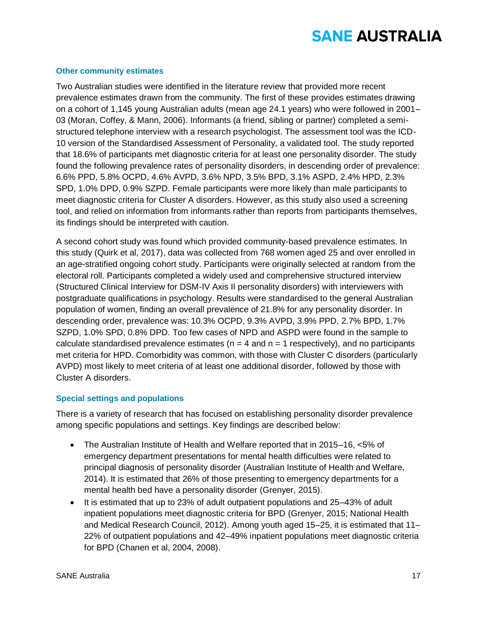#### **Other community estimates**

Two Australian studies were identified in the literature review that provided more recent prevalence estimates drawn from the community. The first of these provides estimates drawing on a cohort of 1,145 young Australian adults (mean age 24.1 years) who were followed in 2001– 03 (Moran, Coffey, & Mann, 2006). Informants (a friend, sibling or partner) completed a semistructured telephone interview with a research psychologist. The assessment tool was the ICD-10 version of the Standardised Assessment of Personality, a validated tool. The study reported that 18.6% of participants met diagnostic criteria for at least one personality disorder. The study found the following prevalence rates of personality disorders, in descending order of prevalence: 6.6% PPD, 5.8% OCPD, 4.6% AVPD, 3.6% NPD, 3.5% BPD, 3.1% ASPD, 2.4% HPD, 2.3% SPD, 1.0% DPD, 0.9% SZPD. Female participants were more likely than male participants to meet diagnostic criteria for Cluster A disorders. However, as this study also used a screening tool, and relied on information from informants rather than reports from participants themselves, its findings should be interpreted with caution.

A second cohort study was found which provided community-based prevalence estimates. In this study (Quirk et al, 2017), data was collected from 768 women aged 25 and over enrolled in an age-stratified ongoing cohort study. Participants were originally selected at random from the electoral roll. Participants completed a widely used and comprehensive structured interview (Structured Clinical Interview for DSM-IV Axis II personality disorders) with interviewers with postgraduate qualifications in psychology. Results were standardised to the general Australian population of women, finding an overall prevalence of 21.8% for any personality disorder. In descending order, prevalence was: 10.3% OCPD, 9.3% AVPD, 3.9% PPD, 2.7% BPD, 1.7% SZPD, 1.0% SPD, 0.8% DPD. Too few cases of NPD and ASPD were found in the sample to calculate standardised prevalence estimates ( $n = 4$  and  $n = 1$  respectively), and no participants met criteria for HPD. Comorbidity was common, with those with Cluster C disorders (particularly AVPD) most likely to meet criteria of at least one additional disorder, followed by those with Cluster A disorders.

#### **Special settings and populations**

There is a variety of research that has focused on establishing personality disorder prevalence among specific populations and settings. Key findings are described below:

- The Australian Institute of Health and Welfare reported that in 2015–16, <5% of emergency department presentations for mental health difficulties were related to principal diagnosis of personality disorder (Australian Institute of Health and Welfare, 2014). It is estimated that 26% of those presenting to emergency departments for a mental health bed have a personality disorder (Grenyer, 2015).
- It is estimated that up to 23% of adult outpatient populations and 25–43% of adult inpatient populations meet diagnostic criteria for BPD (Grenyer, 2015; National Health and Medical Research Council, 2012). Among youth aged 15–25, it is estimated that 11– 22% of outpatient populations and 42–49% inpatient populations meet diagnostic criteria for BPD (Chanen et al, 2004, 2008).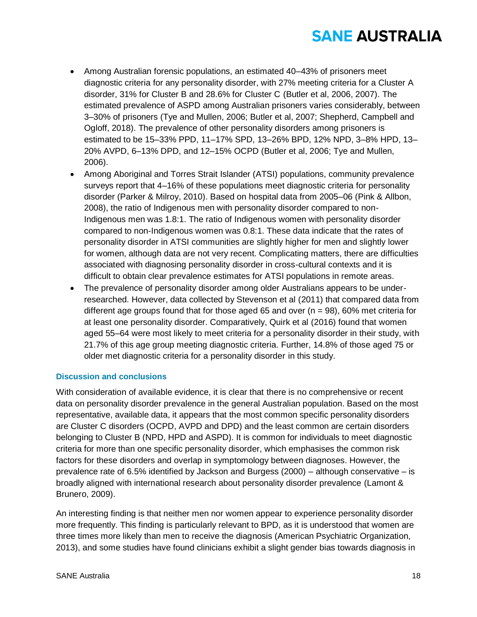- Among Australian forensic populations, an estimated 40–43% of prisoners meet diagnostic criteria for any personality disorder, with 27% meeting criteria for a Cluster A disorder, 31% for Cluster B and 28.6% for Cluster C (Butler et al, 2006, 2007). The estimated prevalence of ASPD among Australian prisoners varies considerably, between 3–30% of prisoners (Tye and Mullen, 2006; Butler et al, 2007; Shepherd, Campbell and Ogloff, 2018). The prevalence of other personality disorders among prisoners is estimated to be 15–33% PPD, 11–17% SPD, 13–26% BPD, 12% NPD, 3–8% HPD, 13– 20% AVPD, 6–13% DPD, and 12–15% OCPD (Butler et al, 2006; Tye and Mullen, 2006).
- Among Aboriginal and Torres Strait Islander (ATSI) populations, community prevalence surveys report that 4–16% of these populations meet diagnostic criteria for personality disorder (Parker & Milroy, 2010). Based on hospital data from 2005–06 (Pink & Allbon, 2008), the ratio of Indigenous men with personality disorder compared to non-Indigenous men was 1.8:1. The ratio of Indigenous women with personality disorder compared to non-Indigenous women was 0.8:1. These data indicate that the rates of personality disorder in ATSI communities are slightly higher for men and slightly lower for women, although data are not very recent. Complicating matters, there are difficulties associated with diagnosing personality disorder in cross-cultural contexts and it is difficult to obtain clear prevalence estimates for ATSI populations in remote areas.
- The prevalence of personality disorder among older Australians appears to be underresearched. However, data collected by Stevenson et al (2011) that compared data from different age groups found that for those aged 65 and over  $(n = 98)$ , 60% met criteria for at least one personality disorder. Comparatively, Quirk et al (2016) found that women aged 55–64 were most likely to meet criteria for a personality disorder in their study, with 21.7% of this age group meeting diagnostic criteria. Further, 14.8% of those aged 75 or older met diagnostic criteria for a personality disorder in this study.

### **Discussion and conclusions**

With consideration of available evidence, it is clear that there is no comprehensive or recent data on personality disorder prevalence in the general Australian population. Based on the most representative, available data, it appears that the most common specific personality disorders are Cluster C disorders (OCPD, AVPD and DPD) and the least common are certain disorders belonging to Cluster B (NPD, HPD and ASPD). It is common for individuals to meet diagnostic criteria for more than one specific personality disorder, which emphasises the common risk factors for these disorders and overlap in symptomology between diagnoses. However, the prevalence rate of 6.5% identified by Jackson and Burgess (2000) – although conservative – is broadly aligned with international research about personality disorder prevalence (Lamont & Brunero, 2009).

An interesting finding is that neither men nor women appear to experience personality disorder more frequently. This finding is particularly relevant to BPD, as it is understood that women are three times more likely than men to receive the diagnosis (American Psychiatric Organization, 2013), and some studies have found clinicians exhibit a slight gender bias towards diagnosis in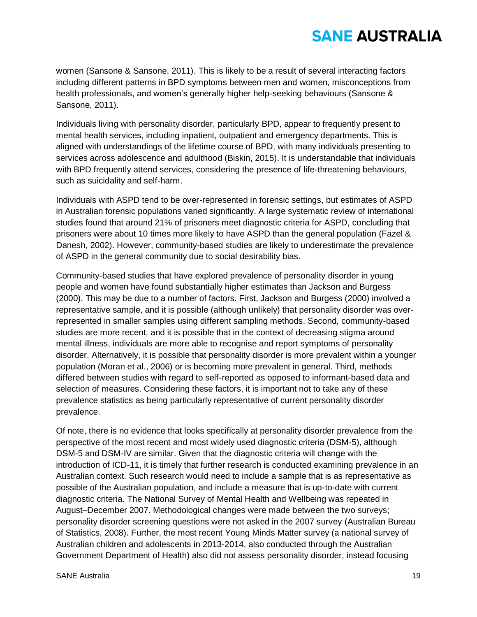women (Sansone & Sansone, 2011). This is likely to be a result of several interacting factors including different patterns in BPD symptoms between men and women, misconceptions from health professionals, and women's generally higher help-seeking behaviours (Sansone & Sansone, 2011).

Individuals living with personality disorder, particularly BPD, appear to frequently present to mental health services, including inpatient, outpatient and emergency departments. This is aligned with understandings of the lifetime course of BPD, with many individuals presenting to services across adolescence and adulthood (Biskin, 2015). It is understandable that individuals with BPD frequently attend services, considering the presence of life-threatening behaviours, such as suicidality and self-harm.

Individuals with ASPD tend to be over-represented in forensic settings, but estimates of ASPD in Australian forensic populations varied significantly. A large systematic review of international studies found that around 21% of prisoners meet diagnostic criteria for ASPD, concluding that prisoners were about 10 times more likely to have ASPD than the general population (Fazel & Danesh, 2002). However, community-based studies are likely to underestimate the prevalence of ASPD in the general community due to social desirability bias.

Community-based studies that have explored prevalence of personality disorder in young people and women have found substantially higher estimates than Jackson and Burgess (2000). This may be due to a number of factors. First, Jackson and Burgess (2000) involved a representative sample, and it is possible (although unlikely) that personality disorder was overrepresented in smaller samples using different sampling methods. Second, community-based studies are more recent, and it is possible that in the context of decreasing stigma around mental illness, individuals are more able to recognise and report symptoms of personality disorder. Alternatively, it is possible that personality disorder is more prevalent within a younger population (Moran et al., 2006) or is becoming more prevalent in general. Third, methods differed between studies with regard to self-reported as opposed to informant-based data and selection of measures. Considering these factors, it is important not to take any of these prevalence statistics as being particularly representative of current personality disorder prevalence.

Of note, there is no evidence that looks specifically at personality disorder prevalence from the perspective of the most recent and most widely used diagnostic criteria (DSM-5), although DSM-5 and DSM-IV are similar. Given that the diagnostic criteria will change with the introduction of ICD-11, it is timely that further research is conducted examining prevalence in an Australian context. Such research would need to include a sample that is as representative as possible of the Australian population, and include a measure that is up-to-date with current diagnostic criteria. The National Survey of Mental Health and Wellbeing was repeated in August–December 2007. Methodological changes were made between the two surveys; personality disorder screening questions were not asked in the 2007 survey (Australian Bureau of Statistics, 2008). Further, the most recent Young Minds Matter survey (a national survey of Australian children and adolescents in 2013-2014, also conducted through the Australian Government Department of Health) also did not assess personality disorder, instead focusing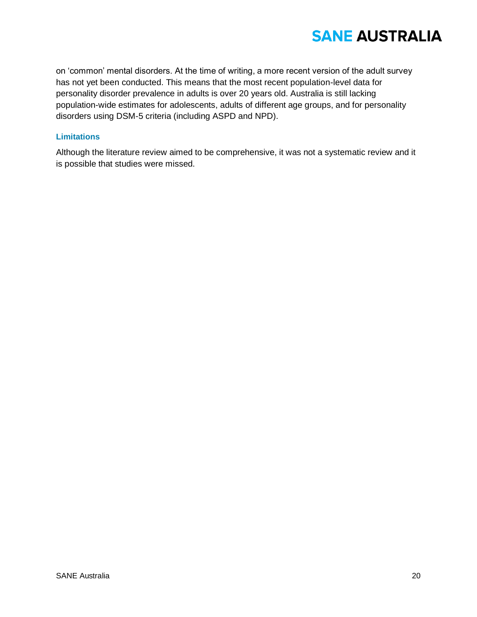on 'common' mental disorders. At the time of writing, a more recent version of the adult survey has not yet been conducted. This means that the most recent population-level data for personality disorder prevalence in adults is over 20 years old. Australia is still lacking population-wide estimates for adolescents, adults of different age groups, and for personality disorders using DSM-5 criteria (including ASPD and NPD).

### **Limitations**

Although the literature review aimed to be comprehensive, it was not a systematic review and it is possible that studies were missed.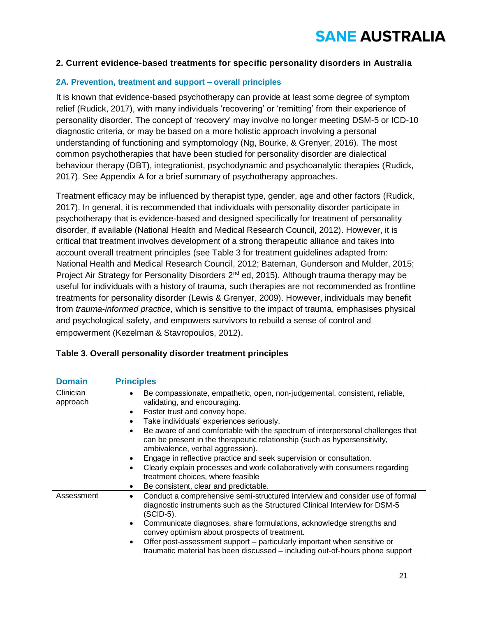### **2. Current evidence-based treatments for specific personality disorders in Australia**

### **2A. Prevention, treatment and support – overall principles**

It is known that evidence-based psychotherapy can provide at least some degree of symptom relief (Rudick, 2017), with many individuals 'recovering' or 'remitting' from their experience of personality disorder. The concept of 'recovery' may involve no longer meeting DSM-5 or ICD-10 diagnostic criteria, or may be based on a more holistic approach involving a personal understanding of functioning and symptomology (Ng, Bourke, & Grenyer, 2016). The most common psychotherapies that have been studied for personality disorder are dialectical behaviour therapy (DBT), integrationist, psychodynamic and psychoanalytic therapies (Rudick, 2017). See Appendix A for a brief summary of psychotherapy approaches.

Treatment efficacy may be influenced by therapist type, gender, age and other factors (Rudick, 2017). In general, it is recommended that individuals with personality disorder participate in psychotherapy that is evidence-based and designed specifically for treatment of personality disorder, if available (National Health and Medical Research Council, 2012). However, it is critical that treatment involves development of a strong therapeutic alliance and takes into account overall treatment principles (see Table 3 for treatment guidelines adapted from: National Health and Medical Research Council, 2012; Bateman, Gunderson and Mulder, 2015; Project Air Strategy for Personality Disorders 2<sup>nd</sup> ed, 2015). Although trauma therapy may be useful for individuals with a history of trauma, such therapies are not recommended as frontline treatments for personality disorder (Lewis & Grenyer, 2009). However, individuals may benefit from *trauma-informed practice,* which is sensitive to the impact of trauma, emphasises physical and psychological safety, and empowers survivors to rebuild a sense of control and empowerment (Kezelman & Stavropoulos, 2012).

| <b>Domain</b>         | <b>Principles</b>                                                                                                                                                                                                                                                                                                                                                                                                                                                                                                                                                                                                                                                     |
|-----------------------|-----------------------------------------------------------------------------------------------------------------------------------------------------------------------------------------------------------------------------------------------------------------------------------------------------------------------------------------------------------------------------------------------------------------------------------------------------------------------------------------------------------------------------------------------------------------------------------------------------------------------------------------------------------------------|
| Clinician<br>approach | Be compassionate, empathetic, open, non-judgemental, consistent, reliable,<br>validating, and encouraging.<br>Foster trust and convey hope.<br>$\bullet$<br>Take individuals' experiences seriously.<br>Be aware of and comfortable with the spectrum of interpersonal challenges that<br>$\bullet$<br>can be present in the therapeutic relationship (such as hypersensitivity,<br>ambivalence, verbal aggression).<br>Engage in reflective practice and seek supervision or consultation.<br>Clearly explain processes and work collaboratively with consumers regarding<br>treatment choices, where feasible<br>Be consistent, clear and predictable.<br>$\bullet$ |
| Assessment            | Conduct a comprehensive semi-structured interview and consider use of formal<br>diagnostic instruments such as the Structured Clinical Interview for DSM-5<br>(SCID-5).<br>Communicate diagnoses, share formulations, acknowledge strengths and<br>$\bullet$<br>convey optimism about prospects of treatment.<br>Offer post-assessment support – particularly important when sensitive or<br>٠<br>traumatic material has been discussed – including out-of-hours phone support                                                                                                                                                                                        |

### **Table 3. Overall personality disorder treatment principles**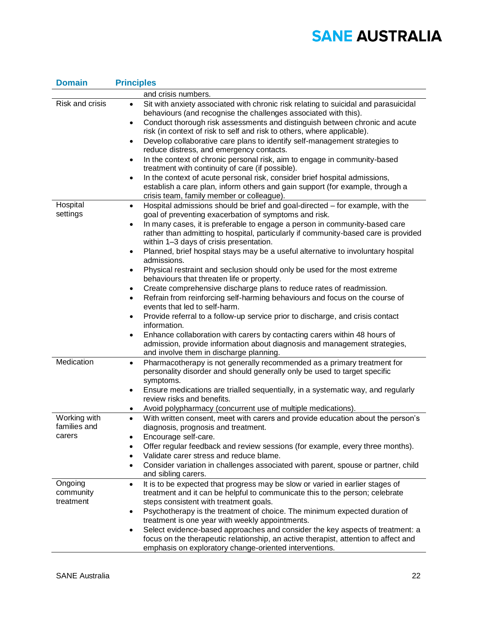| <b>Domain</b>          | <b>Principles</b>                                                                                                                                                                                                                                                                                                                                                                                                                                                                                                                                                                                                                                                                                                                                                                                                                                                                                                                                                                                                        |  |  |
|------------------------|--------------------------------------------------------------------------------------------------------------------------------------------------------------------------------------------------------------------------------------------------------------------------------------------------------------------------------------------------------------------------------------------------------------------------------------------------------------------------------------------------------------------------------------------------------------------------------------------------------------------------------------------------------------------------------------------------------------------------------------------------------------------------------------------------------------------------------------------------------------------------------------------------------------------------------------------------------------------------------------------------------------------------|--|--|
|                        | and crisis numbers.                                                                                                                                                                                                                                                                                                                                                                                                                                                                                                                                                                                                                                                                                                                                                                                                                                                                                                                                                                                                      |  |  |
| Risk and crisis        | Sit with anxiety associated with chronic risk relating to suicidal and parasuicidal<br>$\bullet$<br>behaviours (and recognise the challenges associated with this).<br>Conduct thorough risk assessments and distinguish between chronic and acute<br>$\bullet$<br>risk (in context of risk to self and risk to others, where applicable).<br>Develop collaborative care plans to identify self-management strategies to<br>$\bullet$<br>reduce distress, and emergency contacts.<br>In the context of chronic personal risk, aim to engage in community-based<br>$\bullet$<br>treatment with continuity of care (if possible).<br>In the context of acute personal risk, consider brief hospital admissions,<br>٠<br>establish a care plan, inform others and gain support (for example, through a<br>crisis team, family member or colleague).                                                                                                                                                                         |  |  |
| Hospital               | Hospital admissions should be brief and goal-directed - for example, with the<br>$\bullet$                                                                                                                                                                                                                                                                                                                                                                                                                                                                                                                                                                                                                                                                                                                                                                                                                                                                                                                               |  |  |
| settings               | goal of preventing exacerbation of symptoms and risk.                                                                                                                                                                                                                                                                                                                                                                                                                                                                                                                                                                                                                                                                                                                                                                                                                                                                                                                                                                    |  |  |
|                        | In many cases, it is preferable to engage a person in community-based care<br>$\bullet$<br>rather than admitting to hospital, particularly if community-based care is provided<br>within 1-3 days of crisis presentation.<br>Planned, brief hospital stays may be a useful alternative to involuntary hospital<br>admissions.<br>Physical restraint and seclusion should only be used for the most extreme<br>$\bullet$<br>behaviours that threaten life or property.<br>Create comprehensive discharge plans to reduce rates of readmission.<br>$\bullet$<br>Refrain from reinforcing self-harming behaviours and focus on the course of<br>$\bullet$<br>events that led to self-harm.<br>Provide referral to a follow-up service prior to discharge, and crisis contact<br>$\bullet$<br>information.<br>Enhance collaboration with carers by contacting carers within 48 hours of<br>$\bullet$<br>admission, provide information about diagnosis and management strategies,<br>and involve them in discharge planning. |  |  |
| Medication             | Pharmacotherapy is not generally recommended as a primary treatment for<br>$\bullet$<br>personality disorder and should generally only be used to target specific<br>symptoms.<br>Ensure medications are trialled sequentially, in a systematic way, and regularly<br>$\bullet$<br>review risks and benefits.<br>Avoid polypharmacy (concurrent use of multiple medications).<br>٠                                                                                                                                                                                                                                                                                                                                                                                                                                                                                                                                                                                                                                       |  |  |
| Working with           | With written consent, meet with carers and provide education about the person's<br>$\bullet$                                                                                                                                                                                                                                                                                                                                                                                                                                                                                                                                                                                                                                                                                                                                                                                                                                                                                                                             |  |  |
| families and<br>carers | diagnosis, prognosis and treatment.<br>Encourage self-care.<br>٠<br>Offer regular feedback and review sessions (for example, every three months).<br>Validate carer stress and reduce blame.<br>$\bullet$<br>Consider variation in challenges associated with parent, spouse or partner, child<br>$\bullet$<br>and sibling carers.                                                                                                                                                                                                                                                                                                                                                                                                                                                                                                                                                                                                                                                                                       |  |  |
| Ongoing                | It is to be expected that progress may be slow or varied in earlier stages of<br>$\bullet$                                                                                                                                                                                                                                                                                                                                                                                                                                                                                                                                                                                                                                                                                                                                                                                                                                                                                                                               |  |  |
| community              | treatment and it can be helpful to communicate this to the person; celebrate                                                                                                                                                                                                                                                                                                                                                                                                                                                                                                                                                                                                                                                                                                                                                                                                                                                                                                                                             |  |  |
| treatment              | steps consistent with treatment goals.                                                                                                                                                                                                                                                                                                                                                                                                                                                                                                                                                                                                                                                                                                                                                                                                                                                                                                                                                                                   |  |  |
|                        | Psychotherapy is the treatment of choice. The minimum expected duration of<br>$\bullet$                                                                                                                                                                                                                                                                                                                                                                                                                                                                                                                                                                                                                                                                                                                                                                                                                                                                                                                                  |  |  |
|                        | treatment is one year with weekly appointments.<br>Select evidence-based approaches and consider the key aspects of treatment: a<br>٠<br>focus on the therapeutic relationship, an active therapist, attention to affect and<br>emphasis on exploratory change-oriented interventions.                                                                                                                                                                                                                                                                                                                                                                                                                                                                                                                                                                                                                                                                                                                                   |  |  |
|                        |                                                                                                                                                                                                                                                                                                                                                                                                                                                                                                                                                                                                                                                                                                                                                                                                                                                                                                                                                                                                                          |  |  |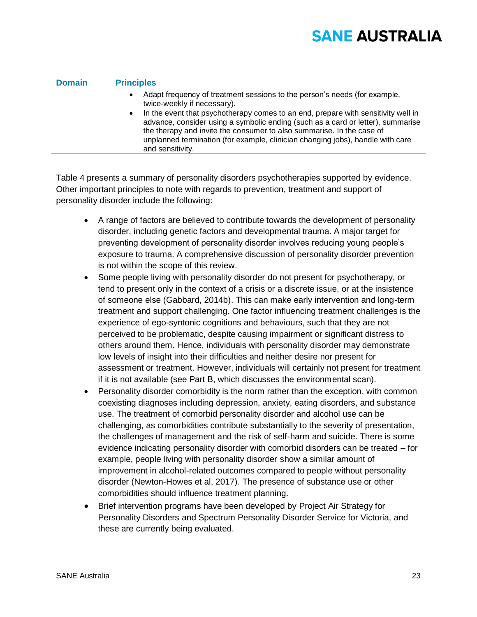| <b>Domain</b> | <b>Principles</b>                                                                                                                                                                                                                                                                                                                                                                                                                                                                         |
|---------------|-------------------------------------------------------------------------------------------------------------------------------------------------------------------------------------------------------------------------------------------------------------------------------------------------------------------------------------------------------------------------------------------------------------------------------------------------------------------------------------------|
|               | Adapt frequency of treatment sessions to the person's needs (for example,<br>$\bullet$<br>twice-weekly if necessary).<br>In the event that psychotherapy comes to an end, prepare with sensitivity well in<br>$\bullet$<br>advance, consider using a symbolic ending (such as a card or letter), summarise<br>the therapy and invite the consumer to also summarise. In the case of<br>unplanned termination (for example, clinician changing jobs), handle with care<br>and sensitivity. |
|               |                                                                                                                                                                                                                                                                                                                                                                                                                                                                                           |

Table 4 presents a summary of personality disorders psychotherapies supported by evidence. Other important principles to note with regards to prevention, treatment and support of personality disorder include the following:

- A range of factors are believed to contribute towards the development of personality disorder, including genetic factors and developmental trauma. A major target for preventing development of personality disorder involves reducing young people's exposure to trauma. A comprehensive discussion of personality disorder prevention is not within the scope of this review.
- Some people living with personality disorder do not present for psychotherapy, or tend to present only in the context of a crisis or a discrete issue, or at the insistence of someone else (Gabbard, 2014b). This can make early intervention and long-term treatment and support challenging. One factor influencing treatment challenges is the experience of ego-syntonic cognitions and behaviours, such that they are not perceived to be problematic, despite causing impairment or significant distress to others around them. Hence, individuals with personality disorder may demonstrate low levels of insight into their difficulties and neither desire nor present for assessment or treatment. However, individuals will certainly not present for treatment if it is not available (see Part B, which discusses the environmental scan).
- Personality disorder comorbidity is the norm rather than the exception, with common coexisting diagnoses including depression, anxiety, eating disorders, and substance use. The treatment of comorbid personality disorder and alcohol use can be challenging, as comorbidities contribute substantially to the severity of presentation, the challenges of management and the risk of self-harm and suicide. There is some evidence indicating personality disorder with comorbid disorders can be treated – for example, people living with personality disorder show a similar amount of improvement in alcohol-related outcomes compared to people without personality disorder (Newton-Howes et al, 2017). The presence of substance use or other comorbidities should influence treatment planning.
- Brief intervention programs have been developed by Project Air Strategy for Personality Disorders and Spectrum Personality Disorder Service for Victoria, and these are currently being evaluated.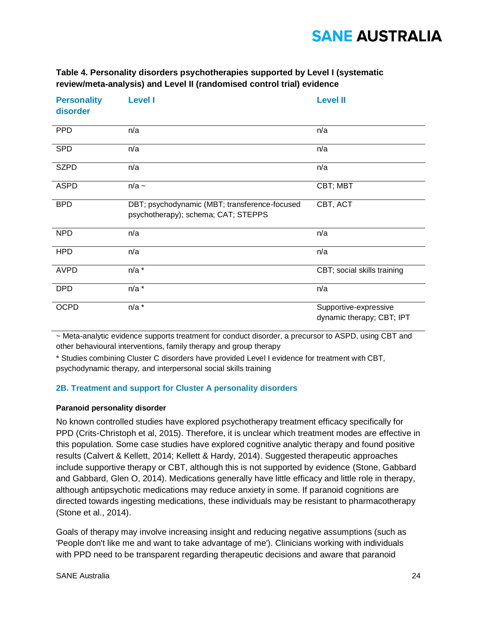### **Table 4. Personality disorders psychotherapies supported by Level I (systematic review/meta-analysis) and Level II (randomised control trial) evidence**

| <b>Personality</b><br>disorder | <b>Level I</b>                                                                       | <b>Level II</b>                                    |
|--------------------------------|--------------------------------------------------------------------------------------|----------------------------------------------------|
| <b>PPD</b>                     | n/a                                                                                  | n/a                                                |
| <b>SPD</b>                     | n/a                                                                                  | n/a                                                |
| <b>SZPD</b>                    | n/a                                                                                  | n/a                                                |
| <b>ASPD</b>                    | $n/a$ ~                                                                              | CBT; MBT                                           |
| <b>BPD</b>                     | DBT; psychodynamic (MBT; transference-focused<br>psychotherapy); schema; CAT; STEPPS | CBT, ACT                                           |
| <b>NPD</b>                     | n/a                                                                                  | n/a                                                |
| <b>HPD</b>                     | n/a                                                                                  | n/a                                                |
| <b>AVPD</b>                    | $n/a$ *                                                                              | CBT; social skills training                        |
| <b>DPD</b>                     | $n/a$ *                                                                              | n/a                                                |
| <b>OCPD</b>                    | $n/a$ *                                                                              | Supportive-expressive<br>dynamic therapy; CBT; IPT |

~ Meta-analytic evidence supports treatment for conduct disorder, a precursor to ASPD, using CBT and other behavioural interventions, family therapy and group therapy

\* Studies combining Cluster C disorders have provided Level I evidence for treatment with CBT, psychodynamic therapy, and interpersonal social skills training

### **2B. Treatment and support for Cluster A personality disorders**

#### **Paranoid personality disorder**

No known controlled studies have explored psychotherapy treatment efficacy specifically for PPD (Crits-Christoph et al, 2015). Therefore, it is unclear which treatment modes are effective in this population. Some case studies have explored cognitive analytic therapy and found positive results (Calvert & Kellett, 2014; Kellett & Hardy, 2014). Suggested therapeutic approaches include supportive therapy or CBT, although this is not supported by evidence (Stone, Gabbard and Gabbard, Glen O, 2014). Medications generally have little efficacy and little role in therapy, although antipsychotic medications may reduce anxiety in some. If paranoid cognitions are directed towards ingesting medications, these individuals may be resistant to pharmacotherapy (Stone et al., 2014).

Goals of therapy may involve increasing insight and reducing negative assumptions (such as 'People don't like me and want to take advantage of me'). Clinicians working with individuals with PPD need to be transparent regarding therapeutic decisions and aware that paranoid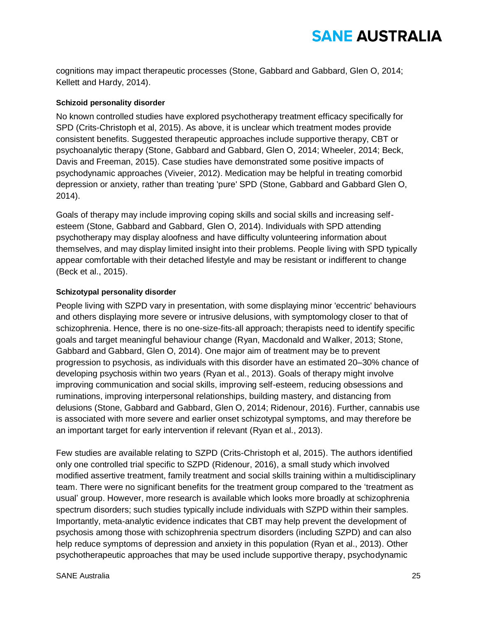cognitions may impact therapeutic processes (Stone, Gabbard and Gabbard, Glen O, 2014; Kellett and Hardy, 2014).

### **Schizoid personality disorder**

No known controlled studies have explored psychotherapy treatment efficacy specifically for SPD (Crits-Christoph et al, 2015). As above, it is unclear which treatment modes provide consistent benefits. Suggested therapeutic approaches include supportive therapy, CBT or psychoanalytic therapy (Stone, Gabbard and Gabbard, Glen O, 2014; Wheeler, 2014; Beck, Davis and Freeman, 2015). Case studies have demonstrated some positive impacts of psychodynamic approaches (Viveier, 2012). Medication may be helpful in treating comorbid depression or anxiety, rather than treating 'pure' SPD (Stone, Gabbard and Gabbard Glen O, 2014).

Goals of therapy may include improving coping skills and social skills and increasing selfesteem (Stone, Gabbard and Gabbard, Glen O, 2014). Individuals with SPD attending psychotherapy may display aloofness and have difficulty volunteering information about themselves, and may display limited insight into their problems. People living with SPD typically appear comfortable with their detached lifestyle and may be resistant or indifferent to change (Beck et al., 2015).

#### **Schizotypal personality disorder**

People living with SZPD vary in presentation, with some displaying minor 'eccentric' behaviours and others displaying more severe or intrusive delusions, with symptomology closer to that of schizophrenia. Hence, there is no one-size-fits-all approach; therapists need to identify specific goals and target meaningful behaviour change (Ryan, Macdonald and Walker, 2013; Stone, Gabbard and Gabbard, Glen O, 2014). One major aim of treatment may be to prevent progression to psychosis, as individuals with this disorder have an estimated 20–30% chance of developing psychosis within two years (Ryan et al., 2013). Goals of therapy might involve improving communication and social skills, improving self-esteem, reducing obsessions and ruminations, improving interpersonal relationships, building mastery, and distancing from delusions (Stone, Gabbard and Gabbard, Glen O, 2014; Ridenour, 2016). Further, cannabis use is associated with more severe and earlier onset schizotypal symptoms, and may therefore be an important target for early intervention if relevant (Ryan et al., 2013).

Few studies are available relating to SZPD (Crits-Christoph et al, 2015). The authors identified only one controlled trial specific to SZPD (Ridenour, 2016), a small study which involved modified assertive treatment, family treatment and social skills training within a multidisciplinary team. There were no significant benefits for the treatment group compared to the 'treatment as usual' group. However, more research is available which looks more broadly at schizophrenia spectrum disorders; such studies typically include individuals with SZPD within their samples. Importantly, meta-analytic evidence indicates that CBT may help prevent the development of psychosis among those with schizophrenia spectrum disorders (including SZPD) and can also help reduce symptoms of depression and anxiety in this population (Ryan et al., 2013). Other psychotherapeutic approaches that may be used include supportive therapy, psychodynamic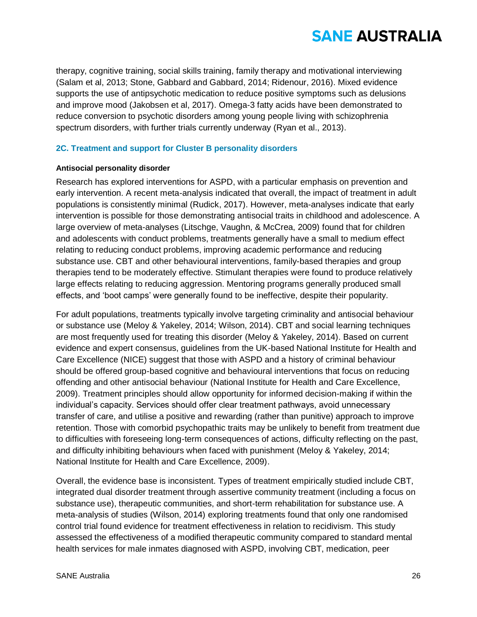therapy, cognitive training, social skills training, family therapy and motivational interviewing (Salam et al, 2013; Stone, Gabbard and Gabbard, 2014; Ridenour, 2016). Mixed evidence supports the use of antipsychotic medication to reduce positive symptoms such as delusions and improve mood (Jakobsen et al, 2017). Omega-3 fatty acids have been demonstrated to reduce conversion to psychotic disorders among young people living with schizophrenia spectrum disorders, with further trials currently underway (Ryan et al., 2013).

### **2C. Treatment and support for Cluster B personality disorders**

#### **Antisocial personality disorder**

Research has explored interventions for ASPD, with a particular emphasis on prevention and early intervention. A recent meta-analysis indicated that overall, the impact of treatment in adult populations is consistently minimal (Rudick, 2017). However, meta-analyses indicate that early intervention is possible for those demonstrating antisocial traits in childhood and adolescence. A large overview of meta-analyses (Litschge, Vaughn, & McCrea, 2009) found that for children and adolescents with conduct problems, treatments generally have a small to medium effect relating to reducing conduct problems, improving academic performance and reducing substance use. CBT and other behavioural interventions, family-based therapies and group therapies tend to be moderately effective. Stimulant therapies were found to produce relatively large effects relating to reducing aggression. Mentoring programs generally produced small effects, and 'boot camps' were generally found to be ineffective, despite their popularity.

For adult populations, treatments typically involve targeting criminality and antisocial behaviour or substance use (Meloy & Yakeley, 2014; Wilson, 2014). CBT and social learning techniques are most frequently used for treating this disorder (Meloy & Yakeley, 2014). Based on current evidence and expert consensus, guidelines from the UK-based National Institute for Health and Care Excellence (NICE) suggest that those with ASPD and a history of criminal behaviour should be offered group-based cognitive and behavioural interventions that focus on reducing offending and other antisocial behaviour (National Institute for Health and Care Excellence, 2009). Treatment principles should allow opportunity for informed decision-making if within the individual's capacity. Services should offer clear treatment pathways, avoid unnecessary transfer of care, and utilise a positive and rewarding (rather than punitive) approach to improve retention. Those with comorbid psychopathic traits may be unlikely to benefit from treatment due to difficulties with foreseeing long-term consequences of actions, difficulty reflecting on the past, and difficulty inhibiting behaviours when faced with punishment (Meloy & Yakeley, 2014; National Institute for Health and Care Excellence, 2009).

Overall, the evidence base is inconsistent. Types of treatment empirically studied include CBT, integrated dual disorder treatment through assertive community treatment (including a focus on substance use), therapeutic communities, and short-term rehabilitation for substance use. A meta-analysis of studies (Wilson, 2014) exploring treatments found that only one randomised control trial found evidence for treatment effectiveness in relation to recidivism. This study assessed the effectiveness of a modified therapeutic community compared to standard mental health services for male inmates diagnosed with ASPD, involving CBT, medication, peer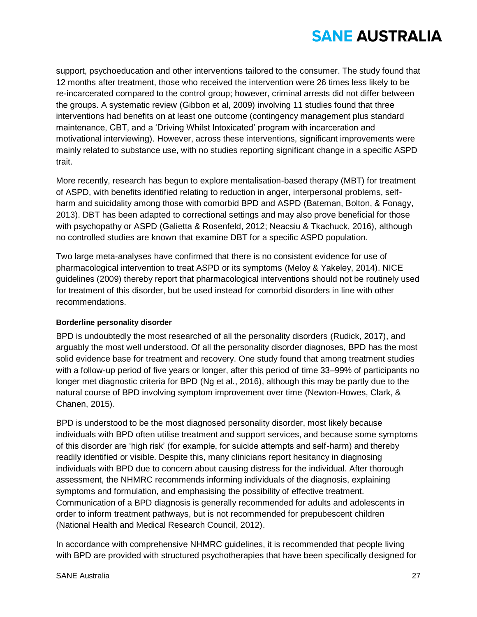support, psychoeducation and other interventions tailored to the consumer. The study found that 12 months after treatment, those who received the intervention were 26 times less likely to be re-incarcerated compared to the control group; however, criminal arrests did not differ between the groups. A systematic review (Gibbon et al, 2009) involving 11 studies found that three interventions had benefits on at least one outcome (contingency management plus standard maintenance, CBT, and a 'Driving Whilst Intoxicated' program with incarceration and motivational interviewing). However, across these interventions, significant improvements were mainly related to substance use, with no studies reporting significant change in a specific ASPD trait.

More recently, research has begun to explore mentalisation-based therapy (MBT) for treatment of ASPD, with benefits identified relating to reduction in anger, interpersonal problems, selfharm and suicidality among those with comorbid BPD and ASPD (Bateman, Bolton, & Fonagy, 2013). DBT has been adapted to correctional settings and may also prove beneficial for those with psychopathy or ASPD (Galietta & Rosenfeld, 2012; Neacsiu & Tkachuck, 2016), although no controlled studies are known that examine DBT for a specific ASPD population.

Two large meta-analyses have confirmed that there is no consistent evidence for use of pharmacological intervention to treat ASPD or its symptoms (Meloy & Yakeley, 2014). NICE guidelines (2009) thereby report that pharmacological interventions should not be routinely used for treatment of this disorder, but be used instead for comorbid disorders in line with other recommendations.

### **Borderline personality disorder**

BPD is undoubtedly the most researched of all the personality disorders (Rudick, 2017), and arguably the most well understood. Of all the personality disorder diagnoses, BPD has the most solid evidence base for treatment and recovery. One study found that among treatment studies with a follow-up period of five years or longer, after this period of time 33–99% of participants no longer met diagnostic criteria for BPD (Ng et al., 2016), although this may be partly due to the natural course of BPD involving symptom improvement over time (Newton-Howes, Clark, & Chanen, 2015).

BPD is understood to be the most diagnosed personality disorder, most likely because individuals with BPD often utilise treatment and support services, and because some symptoms of this disorder are 'high risk' (for example, for suicide attempts and self-harm) and thereby readily identified or visible. Despite this, many clinicians report hesitancy in diagnosing individuals with BPD due to concern about causing distress for the individual. After thorough assessment, the NHMRC recommends informing individuals of the diagnosis, explaining symptoms and formulation, and emphasising the possibility of effective treatment. Communication of a BPD diagnosis is generally recommended for adults and adolescents in order to inform treatment pathways, but is not recommended for prepubescent children (National Health and Medical Research Council, 2012).

In accordance with comprehensive NHMRC guidelines, it is recommended that people living with BPD are provided with structured psychotherapies that have been specifically designed for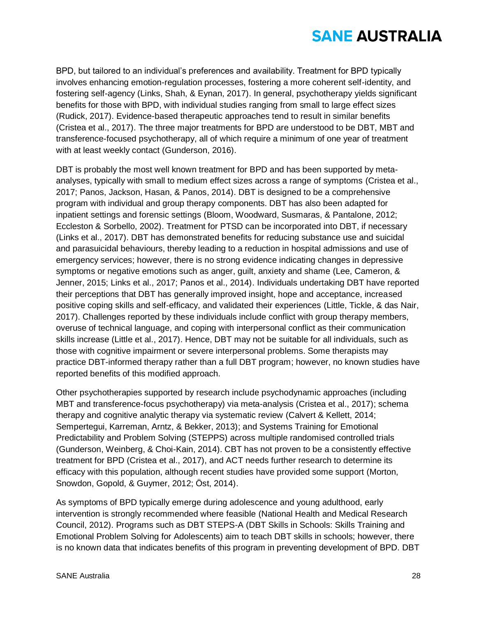BPD, but tailored to an individual's preferences and availability. Treatment for BPD typically involves enhancing emotion-regulation processes, fostering a more coherent self-identity, and fostering self-agency (Links, Shah, & Eynan, 2017). In general, psychotherapy yields significant benefits for those with BPD, with individual studies ranging from small to large effect sizes (Rudick, 2017). Evidence-based therapeutic approaches tend to result in similar benefits (Cristea et al., 2017). The three major treatments for BPD are understood to be DBT, MBT and transference-focused psychotherapy, all of which require a minimum of one year of treatment with at least weekly contact (Gunderson, 2016).

DBT is probably the most well known treatment for BPD and has been supported by metaanalyses, typically with small to medium effect sizes across a range of symptoms (Cristea et al., 2017; Panos, Jackson, Hasan, & Panos, 2014). DBT is designed to be a comprehensive program with individual and group therapy components. DBT has also been adapted for inpatient settings and forensic settings (Bloom, Woodward, Susmaras, & Pantalone, 2012; Eccleston & Sorbello, 2002). Treatment for PTSD can be incorporated into DBT, if necessary (Links et al., 2017). DBT has demonstrated benefits for reducing substance use and suicidal and parasuicidal behaviours, thereby leading to a reduction in hospital admissions and use of emergency services; however, there is no strong evidence indicating changes in depressive symptoms or negative emotions such as anger, guilt, anxiety and shame (Lee, Cameron, & Jenner, 2015; Links et al., 2017; Panos et al., 2014). Individuals undertaking DBT have reported their perceptions that DBT has generally improved insight, hope and acceptance, increased positive coping skills and self-efficacy, and validated their experiences (Little, Tickle, & das Nair, 2017). Challenges reported by these individuals include conflict with group therapy members, overuse of technical language, and coping with interpersonal conflict as their communication skills increase (Little et al., 2017). Hence, DBT may not be suitable for all individuals, such as those with cognitive impairment or severe interpersonal problems. Some therapists may practice DBT-informed therapy rather than a full DBT program; however, no known studies have reported benefits of this modified approach.

Other psychotherapies supported by research include psychodynamic approaches (including MBT and transference-focus psychotherapy) via meta-analysis (Cristea et al., 2017); schema therapy and cognitive analytic therapy via systematic review (Calvert & Kellett, 2014; Sempertegui, Karreman, Arntz, & Bekker, 2013); and Systems Training for Emotional Predictability and Problem Solving (STEPPS) across multiple randomised controlled trials (Gunderson, Weinberg, & Choi-Kain, 2014). CBT has not proven to be a consistently effective treatment for BPD (Cristea et al., 2017), and ACT needs further research to determine its efficacy with this population, although recent studies have provided some support (Morton, Snowdon, Gopold, & Guymer, 2012; Öst, 2014).

As symptoms of BPD typically emerge during adolescence and young adulthood, early intervention is strongly recommended where feasible (National Health and Medical Research Council, 2012). Programs such as DBT STEPS-A (DBT Skills in Schools: Skills Training and Emotional Problem Solving for Adolescents) aim to teach DBT skills in schools; however, there is no known data that indicates benefits of this program in preventing development of BPD. DBT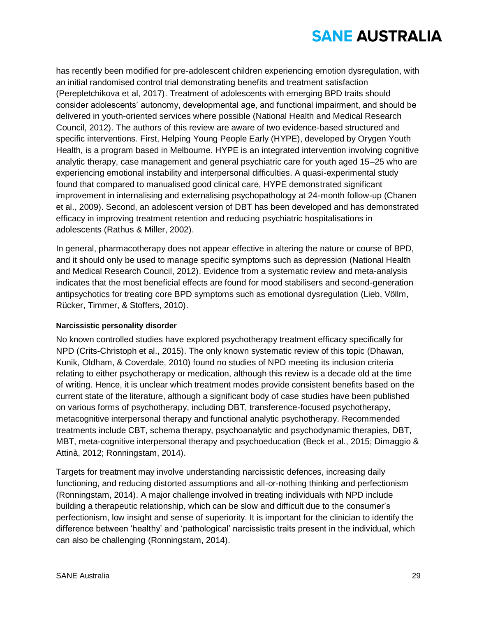has recently been modified for pre-adolescent children experiencing emotion dysregulation, with an initial randomised control trial demonstrating benefits and treatment satisfaction (Perepletchikova et al, 2017). Treatment of adolescents with emerging BPD traits should consider adolescents' autonomy, developmental age, and functional impairment, and should be delivered in youth-oriented services where possible (National Health and Medical Research Council, 2012). The authors of this review are aware of two evidence-based structured and specific interventions. First, Helping Young People Early (HYPE), developed by Orygen Youth Health, is a program based in Melbourne. HYPE is an integrated intervention involving cognitive analytic therapy, case management and general psychiatric care for youth aged 15–25 who are experiencing emotional instability and interpersonal difficulties. A quasi-experimental study found that compared to manualised good clinical care, HYPE demonstrated significant improvement in internalising and externalising psychopathology at 24-month follow-up (Chanen et al., 2009). Second, an adolescent version of DBT has been developed and has demonstrated efficacy in improving treatment retention and reducing psychiatric hospitalisations in adolescents (Rathus & Miller, 2002).

In general, pharmacotherapy does not appear effective in altering the nature or course of BPD, and it should only be used to manage specific symptoms such as depression (National Health and Medical Research Council, 2012). Evidence from a systematic review and meta-analysis indicates that the most beneficial effects are found for mood stabilisers and second-generation antipsychotics for treating core BPD symptoms such as emotional dysregulation (Lieb, Völlm, Rücker, Timmer, & Stoffers, 2010).

### **Narcissistic personality disorder**

No known controlled studies have explored psychotherapy treatment efficacy specifically for NPD (Crits-Christoph et al., 2015). The only known systematic review of this topic (Dhawan, Kunik, Oldham, & Coverdale, 2010) found no studies of NPD meeting its inclusion criteria relating to either psychotherapy or medication, although this review is a decade old at the time of writing. Hence, it is unclear which treatment modes provide consistent benefits based on the current state of the literature, although a significant body of case studies have been published on various forms of psychotherapy, including DBT, transference-focused psychotherapy, metacognitive interpersonal therapy and functional analytic psychotherapy. Recommended treatments include CBT, schema therapy, psychoanalytic and psychodynamic therapies, DBT, MBT, meta-cognitive interpersonal therapy and psychoeducation (Beck et al., 2015; Dimaggio & Attinà, 2012; Ronningstam, 2014).

Targets for treatment may involve understanding narcissistic defences, increasing daily functioning, and reducing distorted assumptions and all-or-nothing thinking and perfectionism (Ronningstam, 2014). A major challenge involved in treating individuals with NPD include building a therapeutic relationship, which can be slow and difficult due to the consumer's perfectionism, low insight and sense of superiority. It is important for the clinician to identify the difference between 'healthy' and 'pathological' narcissistic traits present in the individual, which can also be challenging (Ronningstam, 2014).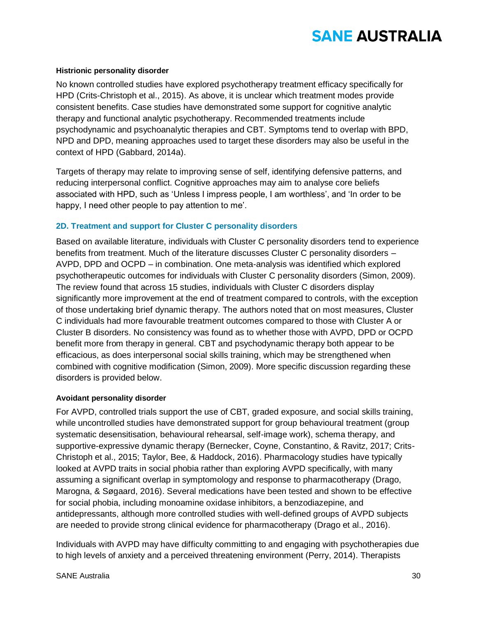#### **Histrionic personality disorder**

No known controlled studies have explored psychotherapy treatment efficacy specifically for HPD (Crits-Christoph et al., 2015). As above, it is unclear which treatment modes provide consistent benefits. Case studies have demonstrated some support for cognitive analytic therapy and functional analytic psychotherapy. Recommended treatments include psychodynamic and psychoanalytic therapies and CBT. Symptoms tend to overlap with BPD, NPD and DPD, meaning approaches used to target these disorders may also be useful in the context of HPD (Gabbard, 2014a).

Targets of therapy may relate to improving sense of self, identifying defensive patterns, and reducing interpersonal conflict. Cognitive approaches may aim to analyse core beliefs associated with HPD, such as 'Unless I impress people, I am worthless', and 'In order to be happy, I need other people to pay attention to me'.

### **2D. Treatment and support for Cluster C personality disorders**

Based on available literature, individuals with Cluster C personality disorders tend to experience benefits from treatment. Much of the literature discusses Cluster C personality disorders – AVPD, DPD and OCPD – in combination. One meta-analysis was identified which explored psychotherapeutic outcomes for individuals with Cluster C personality disorders (Simon, 2009). The review found that across 15 studies, individuals with Cluster C disorders display significantly more improvement at the end of treatment compared to controls, with the exception of those undertaking brief dynamic therapy. The authors noted that on most measures, Cluster C individuals had more favourable treatment outcomes compared to those with Cluster A or Cluster B disorders. No consistency was found as to whether those with AVPD, DPD or OCPD benefit more from therapy in general. CBT and psychodynamic therapy both appear to be efficacious, as does interpersonal social skills training, which may be strengthened when combined with cognitive modification (Simon, 2009). More specific discussion regarding these disorders is provided below.

#### **Avoidant personality disorder**

For AVPD, controlled trials support the use of CBT, graded exposure, and social skills training, while uncontrolled studies have demonstrated support for group behavioural treatment (group systematic desensitisation, behavioural rehearsal, self-image work), schema therapy, and supportive-expressive dynamic therapy (Bernecker, Coyne, Constantino, & Ravitz, 2017; Crits-Christoph et al., 2015; Taylor, Bee, & Haddock, 2016). Pharmacology studies have typically looked at AVPD traits in social phobia rather than exploring AVPD specifically, with many assuming a significant overlap in symptomology and response to pharmacotherapy (Drago, Marogna, & Søgaard, 2016). Several medications have been tested and shown to be effective for social phobia, including monoamine oxidase inhibitors, a benzodiazepine, and antidepressants, although more controlled studies with well-defined groups of AVPD subjects are needed to provide strong clinical evidence for pharmacotherapy (Drago et al., 2016).

Individuals with AVPD may have difficulty committing to and engaging with psychotherapies due to high levels of anxiety and a perceived threatening environment (Perry, 2014). Therapists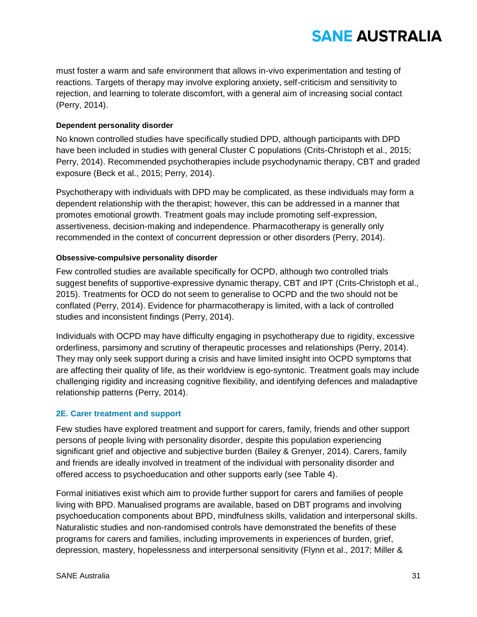must foster a warm and safe environment that allows in-vivo experimentation and testing of reactions. Targets of therapy may involve exploring anxiety, self-criticism and sensitivity to rejection, and learning to tolerate discomfort, with a general aim of increasing social contact (Perry, 2014).

### **Dependent personality disorder**

No known controlled studies have specifically studied DPD, although participants with DPD have been included in studies with general Cluster C populations (Crits-Christoph et al., 2015; Perry, 2014). Recommended psychotherapies include psychodynamic therapy, CBT and graded exposure (Beck et al., 2015; Perry, 2014).

Psychotherapy with individuals with DPD may be complicated, as these individuals may form a dependent relationship with the therapist; however, this can be addressed in a manner that promotes emotional growth. Treatment goals may include promoting self-expression, assertiveness, decision-making and independence. Pharmacotherapy is generally only recommended in the context of concurrent depression or other disorders (Perry, 2014).

#### **Obsessive-compulsive personality disorder**

Few controlled studies are available specifically for OCPD, although two controlled trials suggest benefits of supportive-expressive dynamic therapy, CBT and IPT (Crits-Christoph et al., 2015). Treatments for OCD do not seem to generalise to OCPD and the two should not be conflated (Perry, 2014). Evidence for pharmacotherapy is limited, with a lack of controlled studies and inconsistent findings (Perry, 2014).

Individuals with OCPD may have difficulty engaging in psychotherapy due to rigidity, excessive orderliness, parsimony and scrutiny of therapeutic processes and relationships (Perry, 2014). They may only seek support during a crisis and have limited insight into OCPD symptoms that are affecting their quality of life, as their worldview is ego-syntonic. Treatment goals may include challenging rigidity and increasing cognitive flexibility, and identifying defences and maladaptive relationship patterns (Perry, 2014).

### **2E. Carer treatment and support**

Few studies have explored treatment and support for carers, family, friends and other support persons of people living with personality disorder, despite this population experiencing significant grief and objective and subjective burden (Bailey & Grenyer, 2014). Carers, family and friends are ideally involved in treatment of the individual with personality disorder and offered access to psychoeducation and other supports early (see Table 4).

Formal initiatives exist which aim to provide further support for carers and families of people living with BPD. Manualised programs are available, based on DBT programs and involving psychoeducation components about BPD, mindfulness skills, validation and interpersonal skills. Naturalistic studies and non-randomised controls have demonstrated the benefits of these programs for carers and families, including improvements in experiences of burden, grief, depression, mastery, hopelessness and interpersonal sensitivity (Flynn et al., 2017; Miller &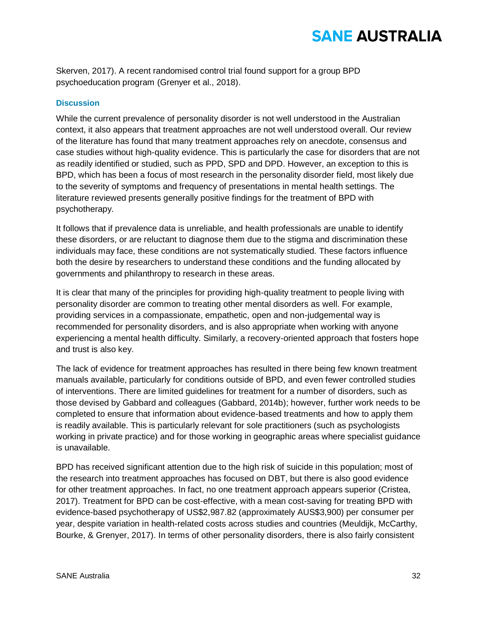Skerven, 2017). A recent randomised control trial found support for a group BPD psychoeducation program (Grenyer et al., 2018).

#### **Discussion**

While the current prevalence of personality disorder is not well understood in the Australian context, it also appears that treatment approaches are not well understood overall. Our review of the literature has found that many treatment approaches rely on anecdote, consensus and case studies without high-quality evidence. This is particularly the case for disorders that are not as readily identified or studied, such as PPD, SPD and DPD. However, an exception to this is BPD, which has been a focus of most research in the personality disorder field, most likely due to the severity of symptoms and frequency of presentations in mental health settings. The literature reviewed presents generally positive findings for the treatment of BPD with psychotherapy.

It follows that if prevalence data is unreliable, and health professionals are unable to identify these disorders, or are reluctant to diagnose them due to the stigma and discrimination these individuals may face, these conditions are not systematically studied. These factors influence both the desire by researchers to understand these conditions and the funding allocated by governments and philanthropy to research in these areas.

It is clear that many of the principles for providing high-quality treatment to people living with personality disorder are common to treating other mental disorders as well. For example, providing services in a compassionate, empathetic, open and non-judgemental way is recommended for personality disorders, and is also appropriate when working with anyone experiencing a mental health difficulty. Similarly, a recovery-oriented approach that fosters hope and trust is also key.

The lack of evidence for treatment approaches has resulted in there being few known treatment manuals available, particularly for conditions outside of BPD, and even fewer controlled studies of interventions. There are limited guidelines for treatment for a number of disorders, such as those devised by Gabbard and colleagues (Gabbard, 2014b); however, further work needs to be completed to ensure that information about evidence-based treatments and how to apply them is readily available. This is particularly relevant for sole practitioners (such as psychologists working in private practice) and for those working in geographic areas where specialist guidance is unavailable.

BPD has received significant attention due to the high risk of suicide in this population; most of the research into treatment approaches has focused on DBT, but there is also good evidence for other treatment approaches. In fact, no one treatment approach appears superior (Cristea, 2017). Treatment for BPD can be cost-effective, with a mean cost-saving for treating BPD with evidence-based psychotherapy of US\$2,987.82 (approximately AUS\$3,900) per consumer per year, despite variation in health-related costs across studies and countries (Meuldijk, McCarthy, Bourke, & Grenyer, 2017). In terms of other personality disorders, there is also fairly consistent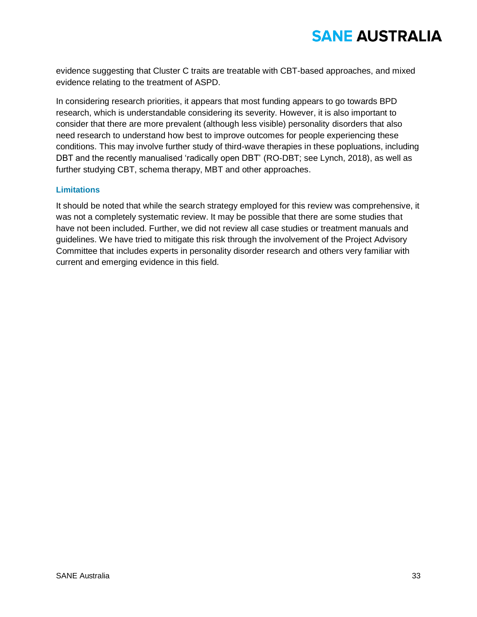evidence suggesting that Cluster C traits are treatable with CBT-based approaches, and mixed evidence relating to the treatment of ASPD.

In considering research priorities, it appears that most funding appears to go towards BPD research, which is understandable considering its severity. However, it is also important to consider that there are more prevalent (although less visible) personality disorders that also need research to understand how best to improve outcomes for people experiencing these conditions. This may involve further study of third-wave therapies in these popluations, including DBT and the recently manualised 'radically open DBT' (RO-DBT; see Lynch, 2018), as well as further studying CBT, schema therapy, MBT and other approaches.

#### **Limitations**

It should be noted that while the search strategy employed for this review was comprehensive, it was not a completely systematic review. It may be possible that there are some studies that have not been included. Further, we did not review all case studies or treatment manuals and guidelines. We have tried to mitigate this risk through the involvement of the Project Advisory Committee that includes experts in personality disorder research and others very familiar with current and emerging evidence in this field.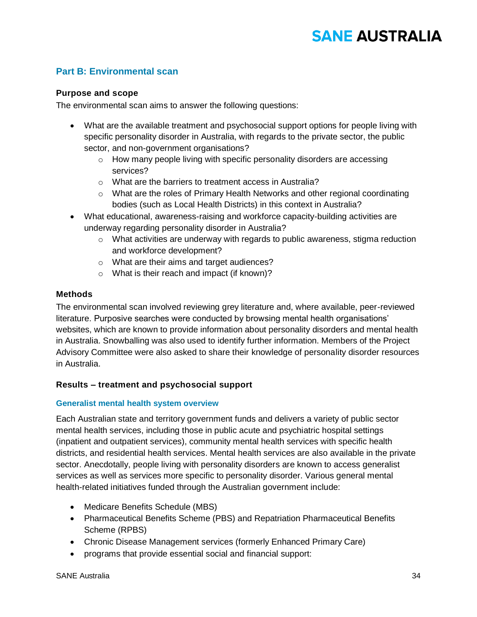### **Part B: Environmental scan**

### **Purpose and scope**

The environmental scan aims to answer the following questions:

- What are the available treatment and psychosocial support options for people living with specific personality disorder in Australia, with regards to the private sector, the public sector, and non-government organisations?
	- o How many people living with specific personality disorders are accessing services?
	- o What are the barriers to treatment access in Australia?
	- $\circ$  What are the roles of Primary Health Networks and other regional coordinating bodies (such as Local Health Districts) in this context in Australia?
- What educational, awareness-raising and workforce capacity-building activities are underway regarding personality disorder in Australia?
	- $\circ$  What activities are underway with regards to public awareness, stigma reduction and workforce development?
	- o What are their aims and target audiences?
	- o What is their reach and impact (if known)?

### **Methods**

The environmental scan involved reviewing grey literature and, where available, peer-reviewed literature. Purposive searches were conducted by browsing mental health organisations' websites, which are known to provide information about personality disorders and mental health in Australia. Snowballing was also used to identify further information. Members of the Project Advisory Committee were also asked to share their knowledge of personality disorder resources in Australia.

### **Results – treatment and psychosocial support**

#### **Generalist mental health system overview**

Each Australian state and territory government funds and delivers a variety of public sector mental health services, including those in public acute and psychiatric hospital settings (inpatient and outpatient services), community mental health services with specific health districts, and residential health services. Mental health services are also available in the private sector. Anecdotally, people living with personality disorders are known to access generalist services as well as services more specific to personality disorder. Various general mental health-related initiatives funded through the Australian government include:

- Medicare Benefits Schedule (MBS)
- Pharmaceutical Benefits Scheme (PBS) and Repatriation Pharmaceutical Benefits Scheme (RPBS)
- Chronic Disease Management services (formerly Enhanced Primary Care)
- programs that provide essential social and financial support: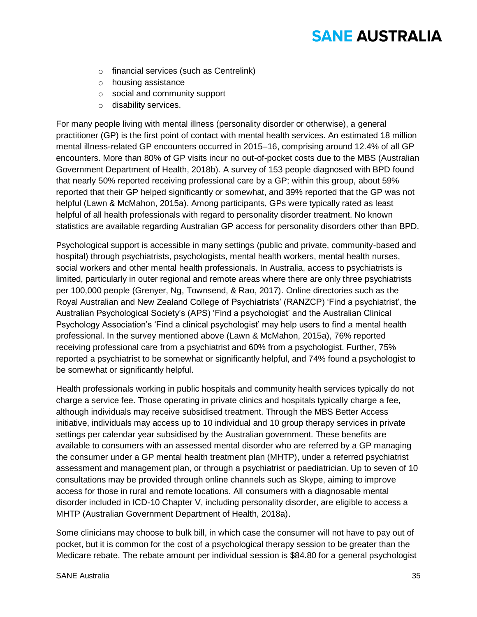- o financial services (such as Centrelink)
- o housing assistance
- o social and community support
- o disability services.

For many people living with mental illness (personality disorder or otherwise), a general practitioner (GP) is the first point of contact with mental health services. An estimated 18 million mental illness-related GP encounters occurred in 2015–16, comprising around 12.4% of all GP encounters. More than 80% of GP visits incur no out-of-pocket costs due to the MBS (Australian Government Department of Health, 2018b). A survey of 153 people diagnosed with BPD found that nearly 50% reported receiving professional care by a GP; within this group, about 59% reported that their GP helped significantly or somewhat, and 39% reported that the GP was not helpful (Lawn & McMahon, 2015a). Among participants, GPs were typically rated as least helpful of all health professionals with regard to personality disorder treatment. No known statistics are available regarding Australian GP access for personality disorders other than BPD.

Psychological support is accessible in many settings (public and private, community-based and hospital) through psychiatrists, psychologists, mental health workers, mental health nurses, social workers and other mental health professionals. In Australia, access to psychiatrists is limited, particularly in outer regional and remote areas where there are only three psychiatrists per 100,000 people (Grenyer, Ng, Townsend, & Rao, 2017). Online directories such as the Royal Australian and New Zealand College of Psychiatrists' (RANZCP) 'Find a psychiatrist', the Australian Psychological Society's (APS) 'Find a psychologist' and the Australian Clinical Psychology Association's 'Find a clinical psychologist' may help users to find a mental health professional. In the survey mentioned above (Lawn & McMahon, 2015a), 76% reported receiving professional care from a psychiatrist and 60% from a psychologist. Further, 75% reported a psychiatrist to be somewhat or significantly helpful, and 74% found a psychologist to be somewhat or significantly helpful.

Health professionals working in public hospitals and community health services typically do not charge a service fee. Those operating in private clinics and hospitals typically charge a fee, although individuals may receive subsidised treatment. Through the MBS Better Access initiative, individuals may access up to 10 individual and 10 group therapy services in private settings per calendar year subsidised by the Australian government. These benefits are available to consumers with an assessed mental disorder who are referred by a GP managing the consumer under a GP mental health treatment plan (MHTP), under a referred psychiatrist assessment and management plan, or through a psychiatrist or paediatrician. Up to seven of 10 consultations may be provided through online channels such as Skype, aiming to improve access for those in rural and remote locations. All consumers with a diagnosable mental disorder included in ICD-10 Chapter V, including personality disorder, are eligible to access a MHTP (Australian Government Department of Health, 2018a).

Some clinicians may choose to bulk bill, in which case the consumer will not have to pay out of pocket, but it is common for the cost of a psychological therapy session to be greater than the Medicare rebate. The rebate amount per individual session is \$84.80 for a general psychologist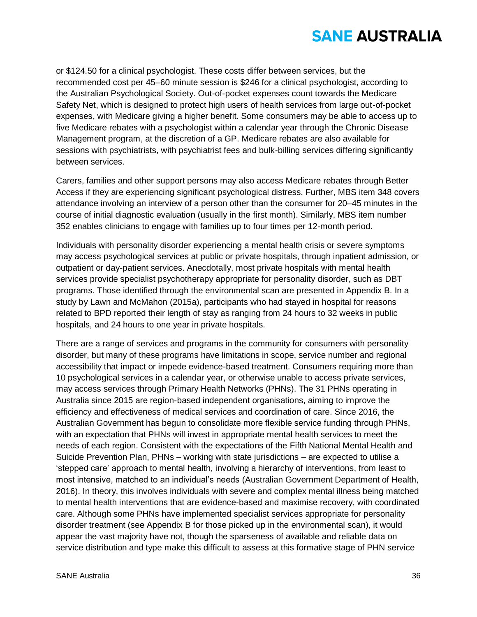or \$124.50 for a clinical psychologist. These costs differ between services, but the recommended cost per 45–60 minute session is \$246 for a clinical psychologist, according to the Australian Psychological Society. Out-of-pocket expenses count towards the Medicare Safety Net, which is designed to protect high users of health services from large out-of-pocket expenses, with Medicare giving a higher benefit. Some consumers may be able to access up to five Medicare rebates with a psychologist within a calendar year through the Chronic Disease Management program, at the discretion of a GP. Medicare rebates are also available for sessions with psychiatrists, with psychiatrist fees and bulk-billing services differing significantly between services.

Carers, families and other support persons may also access Medicare rebates through Better Access if they are experiencing significant psychological distress. Further, MBS item 348 covers attendance involving an interview of a person other than the consumer for 20–45 minutes in the course of initial diagnostic evaluation (usually in the first month). Similarly, MBS item number 352 enables clinicians to engage with families up to four times per 12-month period.

Individuals with personality disorder experiencing a mental health crisis or severe symptoms may access psychological services at public or private hospitals, through inpatient admission, or outpatient or day-patient services. Anecdotally, most private hospitals with mental health services provide specialist psychotherapy appropriate for personality disorder, such as DBT programs. Those identified through the environmental scan are presented in Appendix B. In a study by Lawn and McMahon (2015a), participants who had stayed in hospital for reasons related to BPD reported their length of stay as ranging from 24 hours to 32 weeks in public hospitals, and 24 hours to one year in private hospitals.

There are a range of services and programs in the community for consumers with personality disorder, but many of these programs have limitations in scope, service number and regional accessibility that impact or impede evidence-based treatment. Consumers requiring more than 10 psychological services in a calendar year, or otherwise unable to access private services, may access services through Primary Health Networks (PHNs). The 31 PHNs operating in Australia since 2015 are region-based independent organisations, aiming to improve the efficiency and effectiveness of medical services and coordination of care. Since 2016, the Australian Government has begun to consolidate more flexible service funding through PHNs, with an expectation that PHNs will invest in appropriate mental health services to meet the needs of each region. Consistent with the expectations of the Fifth National Mental Health and Suicide Prevention Plan, PHNs – working with state jurisdictions – are expected to utilise a 'stepped care' approach to mental health, involving a hierarchy of interventions, from least to most intensive, matched to an individual's needs (Australian Government Department of Health, 2016). In theory, this involves individuals with severe and complex mental illness being matched to mental health interventions that are evidence-based and maximise recovery, with coordinated care. Although some PHNs have implemented specialist services appropriate for personality disorder treatment (see Appendix B for those picked up in the environmental scan), it would appear the vast majority have not, though the sparseness of available and reliable data on service distribution and type make this difficult to assess at this formative stage of PHN service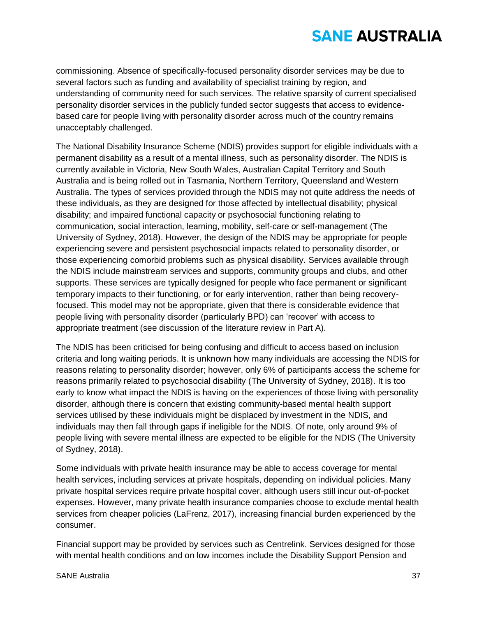commissioning. Absence of specifically-focused personality disorder services may be due to several factors such as funding and availability of specialist training by region, and understanding of community need for such services. The relative sparsity of current specialised personality disorder services in the publicly funded sector suggests that access to evidencebased care for people living with personality disorder across much of the country remains unacceptably challenged.

The National Disability Insurance Scheme (NDIS) provides support for eligible individuals with a permanent disability as a result of a mental illness, such as personality disorder. The NDIS is currently available in Victoria, New South Wales, Australian Capital Territory and South Australia and is being rolled out in Tasmania, Northern Territory, Queensland and Western Australia. The types of services provided through the NDIS may not quite address the needs of these individuals, as they are designed for those affected by intellectual disability; physical disability; and impaired functional capacity or psychosocial functioning relating to communication, social interaction, learning, mobility, self-care or self-management (The University of Sydney, 2018). However, the design of the NDIS may be appropriate for people experiencing severe and persistent psychosocial impacts related to personality disorder, or those experiencing comorbid problems such as physical disability. Services available through the NDIS include mainstream services and supports, community groups and clubs, and other supports. These services are typically designed for people who face permanent or significant temporary impacts to their functioning, or for early intervention, rather than being recoveryfocused. This model may not be appropriate, given that there is considerable evidence that people living with personality disorder (particularly BPD) can 'recover' with access to appropriate treatment (see discussion of the literature review in Part A).

The NDIS has been criticised for being confusing and difficult to access based on inclusion criteria and long waiting periods. It is unknown how many individuals are accessing the NDIS for reasons relating to personality disorder; however, only 6% of participants access the scheme for reasons primarily related to psychosocial disability (The University of Sydney, 2018). It is too early to know what impact the NDIS is having on the experiences of those living with personality disorder, although there is concern that existing community-based mental health support services utilised by these individuals might be displaced by investment in the NDIS, and individuals may then fall through gaps if ineligible for the NDIS. Of note, only around 9% of people living with severe mental illness are expected to be eligible for the NDIS (The University of Sydney, 2018).

Some individuals with private health insurance may be able to access coverage for mental health services, including services at private hospitals, depending on individual policies. Many private hospital services require private hospital cover, although users still incur out-of-pocket expenses. However, many private health insurance companies choose to exclude mental health services from cheaper policies (LaFrenz, 2017), increasing financial burden experienced by the consumer.

Financial support may be provided by services such as Centrelink. Services designed for those with mental health conditions and on low incomes include the Disability Support Pension and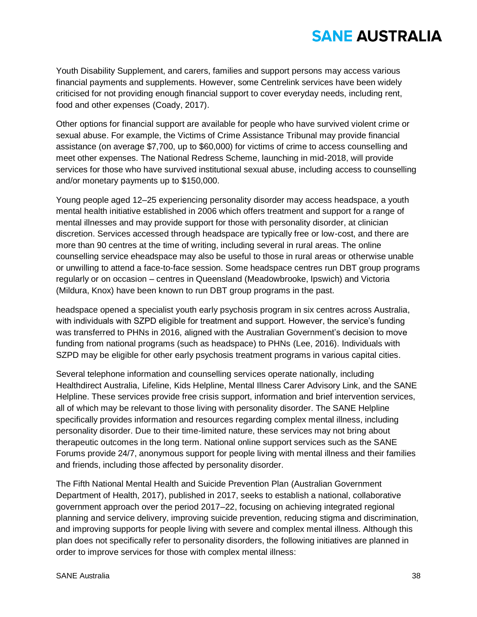Youth Disability Supplement, and carers, families and support persons may access various financial payments and supplements. However, some Centrelink services have been widely criticised for not providing enough financial support to cover everyday needs, including rent, food and other expenses (Coady, 2017).

Other options for financial support are available for people who have survived violent crime or sexual abuse. For example, the Victims of Crime Assistance Tribunal may provide financial assistance (on average \$7,700, up to \$60,000) for victims of crime to access counselling and meet other expenses. The National Redress Scheme, launching in mid-2018, will provide services for those who have survived institutional sexual abuse, including access to counselling and/or monetary payments up to \$150,000.

Young people aged 12–25 experiencing personality disorder may access headspace, a youth mental health initiative established in 2006 which offers treatment and support for a range of mental illnesses and may provide support for those with personality disorder, at clinician discretion. Services accessed through headspace are typically free or low-cost, and there are more than 90 centres at the time of writing, including several in rural areas. The online counselling service eheadspace may also be useful to those in rural areas or otherwise unable or unwilling to attend a face-to-face session. Some headspace centres run DBT group programs regularly or on occasion – centres in Queensland (Meadowbrooke, Ipswich) and Victoria (Mildura, Knox) have been known to run DBT group programs in the past.

headspace opened a specialist youth early psychosis program in six centres across Australia, with individuals with SZPD eligible for treatment and support. However, the service's funding was transferred to PHNs in 2016, aligned with the Australian Government's decision to move funding from national programs (such as headspace) to PHNs (Lee, 2016). Individuals with SZPD may be eligible for other early psychosis treatment programs in various capital cities.

Several telephone information and counselling services operate nationally, including Healthdirect Australia, Lifeline, Kids Helpline, Mental Illness Carer Advisory Link, and the SANE Helpline. These services provide free crisis support, information and brief intervention services, all of which may be relevant to those living with personality disorder. The SANE Helpline specifically provides information and resources regarding complex mental illness, including personality disorder. Due to their time-limited nature, these services may not bring about therapeutic outcomes in the long term. National online support services such as the SANE Forums provide 24/7, anonymous support for people living with mental illness and their families and friends, including those affected by personality disorder.

The Fifth National Mental Health and Suicide Prevention Plan (Australian Government Department of Health, 2017), published in 2017, seeks to establish a national, collaborative government approach over the period 2017–22, focusing on achieving integrated regional planning and service delivery, improving suicide prevention, reducing stigma and discrimination, and improving supports for people living with severe and complex mental illness. Although this plan does not specifically refer to personality disorders, the following initiatives are planned in order to improve services for those with complex mental illness: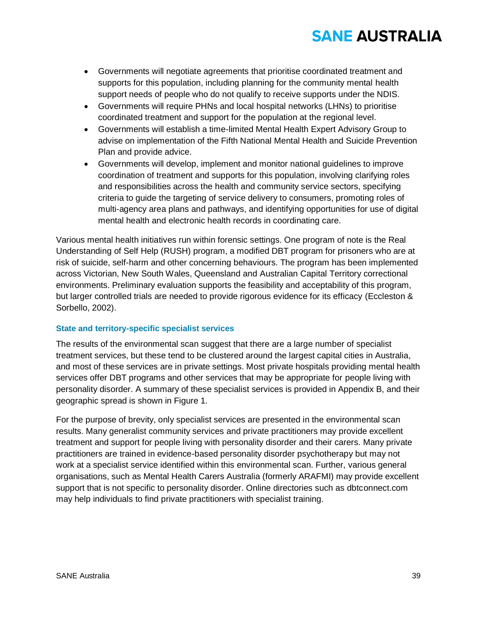- Governments will negotiate agreements that prioritise coordinated treatment and supports for this population, including planning for the community mental health support needs of people who do not qualify to receive supports under the NDIS.
- Governments will require PHNs and local hospital networks (LHNs) to prioritise coordinated treatment and support for the population at the regional level.
- Governments will establish a time-limited Mental Health Expert Advisory Group to advise on implementation of the Fifth National Mental Health and Suicide Prevention Plan and provide advice.
- Governments will develop, implement and monitor national guidelines to improve coordination of treatment and supports for this population, involving clarifying roles and responsibilities across the health and community service sectors, specifying criteria to guide the targeting of service delivery to consumers, promoting roles of multi-agency area plans and pathways, and identifying opportunities for use of digital mental health and electronic health records in coordinating care.

Various mental health initiatives run within forensic settings. One program of note is the Real Understanding of Self Help (RUSH) program, a modified DBT program for prisoners who are at risk of suicide, self-harm and other concerning behaviours. The program has been implemented across Victorian, New South Wales, Queensland and Australian Capital Territory correctional environments. Preliminary evaluation supports the feasibility and acceptability of this program, but larger controlled trials are needed to provide rigorous evidence for its efficacy (Eccleston & Sorbello, 2002).

### **State and territory-specific specialist services**

The results of the environmental scan suggest that there are a large number of specialist treatment services, but these tend to be clustered around the largest capital cities in Australia, and most of these services are in private settings. Most private hospitals providing mental health services offer DBT programs and other services that may be appropriate for people living with personality disorder. A summary of these specialist services is provided in Appendix B, and their geographic spread is shown in Figure 1.

For the purpose of brevity, only specialist services are presented in the environmental scan results. Many generalist community services and private practitioners may provide excellent treatment and support for people living with personality disorder and their carers. Many private practitioners are trained in evidence-based personality disorder psychotherapy but may not work at a specialist service identified within this environmental scan. Further, various general organisations, such as Mental Health Carers Australia (formerly ARAFMI) may provide excellent support that is not specific to personality disorder. Online directories such as dbtconnect.com may help individuals to find private practitioners with specialist training.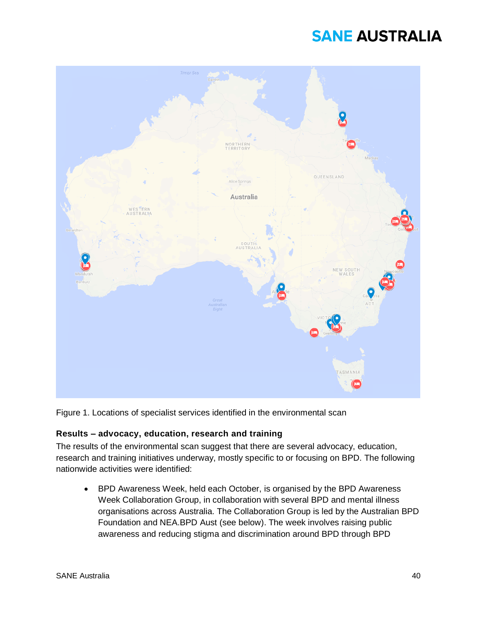

Figure 1. Locations of specialist services identified in the environmental scan

### **Results – advocacy, education, research and training**

The results of the environmental scan suggest that there are several advocacy, education, research and training initiatives underway, mostly specific to or focusing on BPD. The following nationwide activities were identified:

• BPD Awareness Week, held each October, is organised by the BPD Awareness Week Collaboration Group, in collaboration with several BPD and mental illness organisations across Australia. The Collaboration Group is led by the Australian BPD Foundation and NEA.BPD Aust (see below). The week involves raising public awareness and reducing stigma and discrimination around BPD through BPD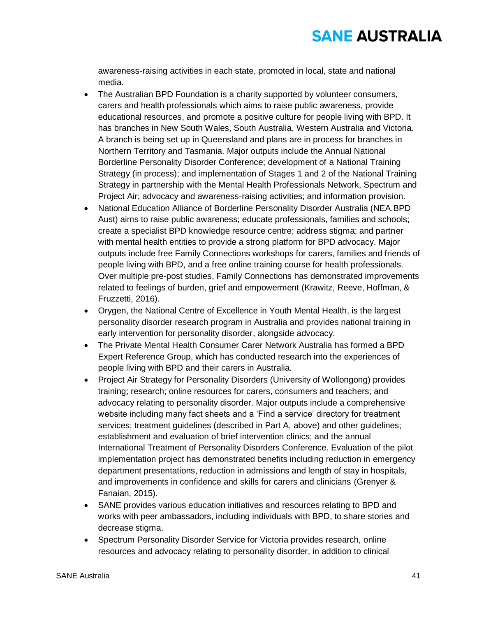awareness-raising activities in each state, promoted in local, state and national media.

- The Australian BPD Foundation is a charity supported by volunteer consumers, carers and health professionals which aims to raise public awareness, provide educational resources, and promote a positive culture for people living with BPD. It has branches in New South Wales, South Australia, Western Australia and Victoria. A branch is being set up in Queensland and plans are in process for branches in Northern Territory and Tasmania. Major outputs include the Annual National Borderline Personality Disorder Conference; development of a National Training Strategy (in process); and implementation of Stages 1 and 2 of the National Training Strategy in partnership with the Mental Health Professionals Network, Spectrum and Project Air; advocacy and awareness-raising activities; and information provision.
- National Education Alliance of Borderline Personality Disorder Australia (NEA.BPD Aust) aims to raise public awareness; educate professionals, families and schools; create a specialist BPD knowledge resource centre; address stigma; and partner with mental health entities to provide a strong platform for BPD advocacy. Major outputs include free Family Connections workshops for carers, families and friends of people living with BPD, and a free online training course for health professionals. Over multiple pre-post studies, Family Connections has demonstrated improvements related to feelings of burden, grief and empowerment (Krawitz, Reeve, Hoffman, & Fruzzetti, 2016).
- Orygen, the National Centre of Excellence in Youth Mental Health, is the largest personality disorder research program in Australia and provides national training in early intervention for personality disorder, alongside advocacy.
- The Private Mental Health Consumer Carer Network Australia has formed a BPD Expert Reference Group, which has conducted research into the experiences of people living with BPD and their carers in Australia.
- Project Air Strategy for Personality Disorders (University of Wollongong) provides training; research; online resources for carers, consumers and teachers; and advocacy relating to personality disorder. Major outputs include a comprehensive website including many fact sheets and a 'Find a service' directory for treatment services; treatment guidelines (described in Part A, above) and other guidelines; establishment and evaluation of brief intervention clinics; and the annual International Treatment of Personality Disorders Conference. Evaluation of the pilot implementation project has demonstrated benefits including reduction in emergency department presentations, reduction in admissions and length of stay in hospitals, and improvements in confidence and skills for carers and clinicians (Grenyer & Fanaian, 2015).
- SANE provides various education initiatives and resources relating to BPD and works with peer ambassadors, including individuals with BPD, to share stories and decrease stigma.
- Spectrum Personality Disorder Service for Victoria provides research, online resources and advocacy relating to personality disorder, in addition to clinical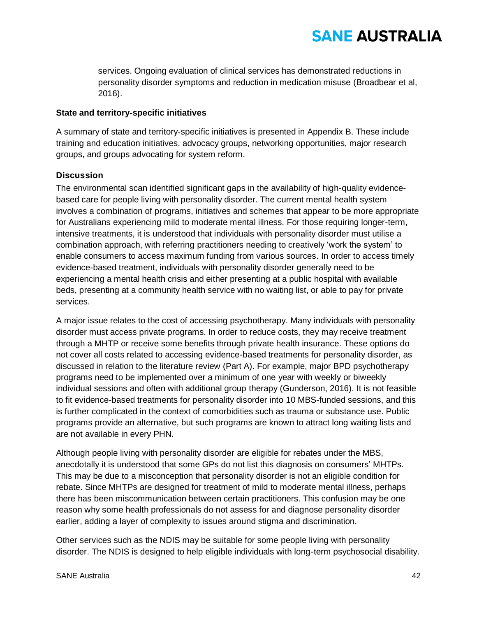services. Ongoing evaluation of clinical services has demonstrated reductions in personality disorder symptoms and reduction in medication misuse (Broadbear et al, 2016).

### **State and territory-specific initiatives**

A summary of state and territory-specific initiatives is presented in Appendix B. These include training and education initiatives, advocacy groups, networking opportunities, major research groups, and groups advocating for system reform.

### **Discussion**

The environmental scan identified significant gaps in the availability of high-quality evidencebased care for people living with personality disorder. The current mental health system involves a combination of programs, initiatives and schemes that appear to be more appropriate for Australians experiencing mild to moderate mental illness. For those requiring longer-term, intensive treatments, it is understood that individuals with personality disorder must utilise a combination approach, with referring practitioners needing to creatively 'work the system' to enable consumers to access maximum funding from various sources. In order to access timely evidence-based treatment, individuals with personality disorder generally need to be experiencing a mental health crisis and either presenting at a public hospital with available beds, presenting at a community health service with no waiting list, or able to pay for private services.

A major issue relates to the cost of accessing psychotherapy. Many individuals with personality disorder must access private programs. In order to reduce costs, they may receive treatment through a MHTP or receive some benefits through private health insurance. These options do not cover all costs related to accessing evidence-based treatments for personality disorder, as discussed in relation to the literature review (Part A). For example, major BPD psychotherapy programs need to be implemented over a minimum of one year with weekly or biweekly individual sessions and often with additional group therapy (Gunderson, 2016). It is not feasible to fit evidence-based treatments for personality disorder into 10 MBS-funded sessions, and this is further complicated in the context of comorbidities such as trauma or substance use. Public programs provide an alternative, but such programs are known to attract long waiting lists and are not available in every PHN.

Although people living with personality disorder are eligible for rebates under the MBS, anecdotally it is understood that some GPs do not list this diagnosis on consumers' MHTPs. This may be due to a misconception that personality disorder is not an eligible condition for rebate. Since MHTPs are designed for treatment of mild to moderate mental illness, perhaps there has been miscommunication between certain practitioners. This confusion may be one reason why some health professionals do not assess for and diagnose personality disorder earlier, adding a layer of complexity to issues around stigma and discrimination.

Other services such as the NDIS may be suitable for some people living with personality disorder. The NDIS is designed to help eligible individuals with long-term psychosocial disability.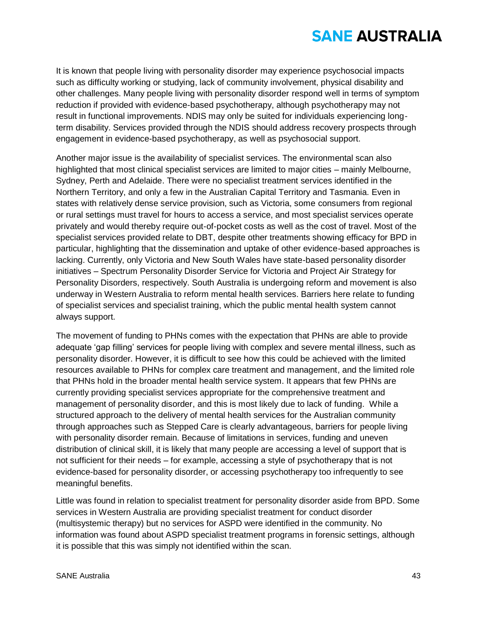It is known that people living with personality disorder may experience psychosocial impacts such as difficulty working or studying, lack of community involvement, physical disability and other challenges. Many people living with personality disorder respond well in terms of symptom reduction if provided with evidence-based psychotherapy, although psychotherapy may not result in functional improvements. NDIS may only be suited for individuals experiencing longterm disability. Services provided through the NDIS should address recovery prospects through engagement in evidence-based psychotherapy, as well as psychosocial support.

Another major issue is the availability of specialist services. The environmental scan also highlighted that most clinical specialist services are limited to major cities – mainly Melbourne, Sydney, Perth and Adelaide. There were no specialist treatment services identified in the Northern Territory, and only a few in the Australian Capital Territory and Tasmania. Even in states with relatively dense service provision, such as Victoria, some consumers from regional or rural settings must travel for hours to access a service, and most specialist services operate privately and would thereby require out-of-pocket costs as well as the cost of travel. Most of the specialist services provided relate to DBT, despite other treatments showing efficacy for BPD in particular, highlighting that the dissemination and uptake of other evidence-based approaches is lacking. Currently, only Victoria and New South Wales have state-based personality disorder initiatives – Spectrum Personality Disorder Service for Victoria and Project Air Strategy for Personality Disorders, respectively. South Australia is undergoing reform and movement is also underway in Western Australia to reform mental health services. Barriers here relate to funding of specialist services and specialist training, which the public mental health system cannot always support.

The movement of funding to PHNs comes with the expectation that PHNs are able to provide adequate 'gap filling' services for people living with complex and severe mental illness, such as personality disorder. However, it is difficult to see how this could be achieved with the limited resources available to PHNs for complex care treatment and management, and the limited role that PHNs hold in the broader mental health service system. It appears that few PHNs are currently providing specialist services appropriate for the comprehensive treatment and management of personality disorder, and this is most likely due to lack of funding. While a structured approach to the delivery of mental health services for the Australian community through approaches such as Stepped Care is clearly advantageous, barriers for people living with personality disorder remain. Because of limitations in services, funding and uneven distribution of clinical skill, it is likely that many people are accessing a level of support that is not sufficient for their needs – for example, accessing a style of psychotherapy that is not evidence-based for personality disorder, or accessing psychotherapy too infrequently to see meaningful benefits.

Little was found in relation to specialist treatment for personality disorder aside from BPD. Some services in Western Australia are providing specialist treatment for conduct disorder (multisystemic therapy) but no services for ASPD were identified in the community. No information was found about ASPD specialist treatment programs in forensic settings, although it is possible that this was simply not identified within the scan.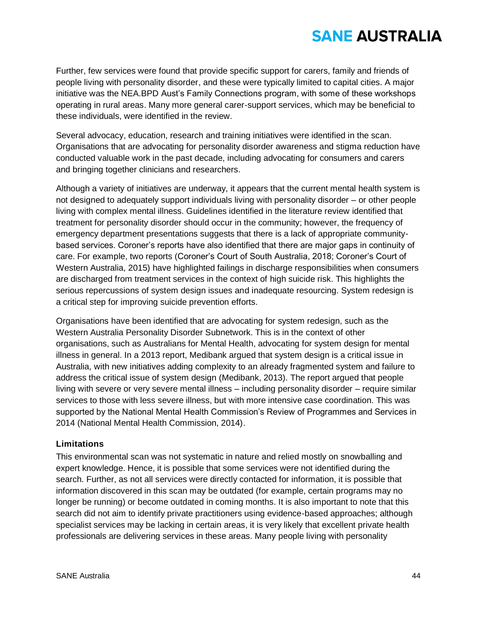Further, few services were found that provide specific support for carers, family and friends of people living with personality disorder, and these were typically limited to capital cities. A major initiative was the NEA.BPD Aust's Family Connections program, with some of these workshops operating in rural areas. Many more general carer-support services, which may be beneficial to these individuals, were identified in the review.

Several advocacy, education, research and training initiatives were identified in the scan. Organisations that are advocating for personality disorder awareness and stigma reduction have conducted valuable work in the past decade, including advocating for consumers and carers and bringing together clinicians and researchers.

Although a variety of initiatives are underway, it appears that the current mental health system is not designed to adequately support individuals living with personality disorder – or other people living with complex mental illness. Guidelines identified in the literature review identified that treatment for personality disorder should occur in the community; however, the frequency of emergency department presentations suggests that there is a lack of appropriate communitybased services. Coroner's reports have also identified that there are major gaps in continuity of care. For example, two reports (Coroner's Court of South Australia, 2018; Coroner's Court of Western Australia, 2015) have highlighted failings in discharge responsibilities when consumers are discharged from treatment services in the context of high suicide risk. This highlights the serious repercussions of system design issues and inadequate resourcing. System redesign is a critical step for improving suicide prevention efforts.

Organisations have been identified that are advocating for system redesign, such as the Western Australia Personality Disorder Subnetwork. This is in the context of other organisations, such as Australians for Mental Health, advocating for system design for mental illness in general. In a 2013 report, Medibank argued that system design is a critical issue in Australia, with new initiatives adding complexity to an already fragmented system and failure to address the critical issue of system design (Medibank, 2013). The report argued that people living with severe or very severe mental illness – including personality disorder – require similar services to those with less severe illness, but with more intensive case coordination. This was supported by the National Mental Health Commission's Review of Programmes and Services in 2014 (National Mental Health Commission, 2014).

### **Limitations**

This environmental scan was not systematic in nature and relied mostly on snowballing and expert knowledge. Hence, it is possible that some services were not identified during the search. Further, as not all services were directly contacted for information, it is possible that information discovered in this scan may be outdated (for example, certain programs may no longer be running) or become outdated in coming months. It is also important to note that this search did not aim to identify private practitioners using evidence-based approaches; although specialist services may be lacking in certain areas, it is very likely that excellent private health professionals are delivering services in these areas. Many people living with personality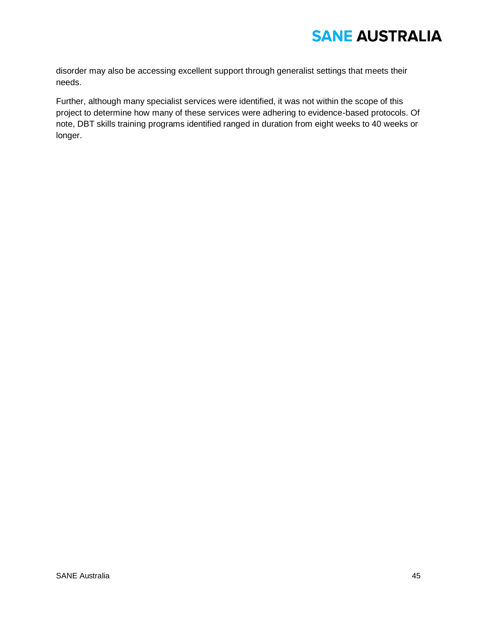disorder may also be accessing excellent support through generalist settings that meets their needs.

Further, although many specialist services were identified, it was not within the scope of this project to determine how many of these services were adhering to evidence-based protocols. Of note, DBT skills training programs identified ranged in duration from eight weeks to 40 weeks or longer.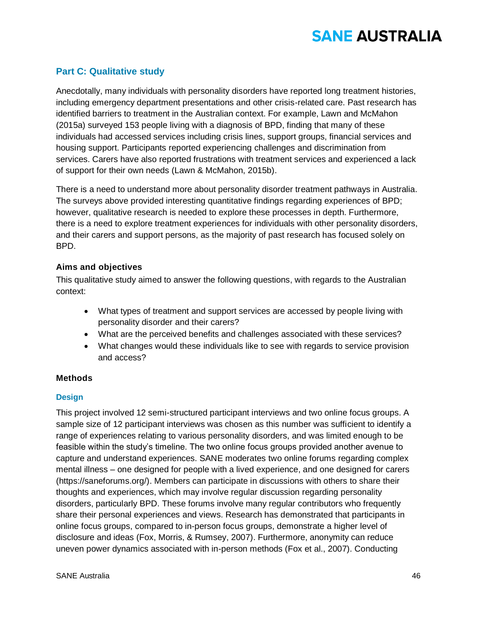## **Part C: Qualitative study**

Anecdotally, many individuals with personality disorders have reported long treatment histories, including emergency department presentations and other crisis-related care. Past research has identified barriers to treatment in the Australian context. For example, Lawn and McMahon (2015a) surveyed 153 people living with a diagnosis of BPD, finding that many of these individuals had accessed services including crisis lines, support groups, financial services and housing support. Participants reported experiencing challenges and discrimination from services. Carers have also reported frustrations with treatment services and experienced a lack of support for their own needs (Lawn & McMahon, 2015b).

There is a need to understand more about personality disorder treatment pathways in Australia. The surveys above provided interesting quantitative findings regarding experiences of BPD; however, qualitative research is needed to explore these processes in depth. Furthermore, there is a need to explore treatment experiences for individuals with other personality disorders, and their carers and support persons, as the majority of past research has focused solely on BPD.

### **Aims and objectives**

This qualitative study aimed to answer the following questions, with regards to the Australian context:

- What types of treatment and support services are accessed by people living with personality disorder and their carers?
- What are the perceived benefits and challenges associated with these services?
- What changes would these individuals like to see with regards to service provision and access?

### **Methods**

### **Design**

This project involved 12 semi-structured participant interviews and two online focus groups. A sample size of 12 participant interviews was chosen as this number was sufficient to identify a range of experiences relating to various personality disorders, and was limited enough to be feasible within the study's timeline. The two online focus groups provided another avenue to capture and understand experiences. SANE moderates two online forums regarding complex mental illness – one designed for people with a lived experience, and one designed for carers (https://saneforums.org/). Members can participate in discussions with others to share their thoughts and experiences, which may involve regular discussion regarding personality disorders, particularly BPD. These forums involve many regular contributors who frequently share their personal experiences and views. Research has demonstrated that participants in online focus groups, compared to in-person focus groups, demonstrate a higher level of disclosure and ideas (Fox, Morris, & Rumsey, 2007). Furthermore, anonymity can reduce uneven power dynamics associated with in-person methods (Fox et al., 2007). Conducting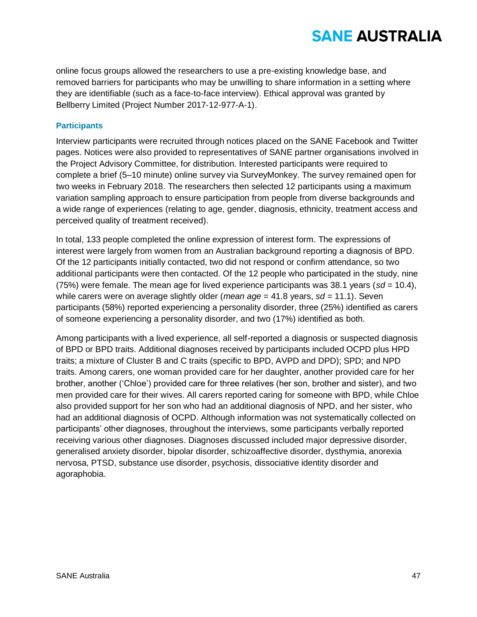online focus groups allowed the researchers to use a pre-existing knowledge base, and removed barriers for participants who may be unwilling to share information in a setting where they are identifiable (such as a face-to-face interview). Ethical approval was granted by Bellberry Limited (Project Number 2017-12-977-A-1).

### **Participants**

Interview participants were recruited through notices placed on the SANE Facebook and Twitter pages. Notices were also provided to representatives of SANE partner organisations involved in the Project Advisory Committee, for distribution. Interested participants were required to complete a brief (5–10 minute) online survey via SurveyMonkey. The survey remained open for two weeks in February 2018. The researchers then selected 12 participants using a maximum variation sampling approach to ensure participation from people from diverse backgrounds and a wide range of experiences (relating to age, gender, diagnosis, ethnicity, treatment access and perceived quality of treatment received).

In total, 133 people completed the online expression of interest form. The expressions of interest were largely from women from an Australian background reporting a diagnosis of BPD. Of the 12 participants initially contacted, two did not respond or confirm attendance, so two additional participants were then contacted. Of the 12 people who participated in the study, nine (75%) were female. The mean age for lived experience participants was 38.1 years (*sd =* 10.4), while carers were on average slightly older (*mean age* = 41.8 years, *sd =* 11.1). Seven participants (58%) reported experiencing a personality disorder, three (25%) identified as carers of someone experiencing a personality disorder, and two (17%) identified as both.

Among participants with a lived experience, all self-reported a diagnosis or suspected diagnosis of BPD or BPD traits. Additional diagnoses received by participants included OCPD plus HPD traits; a mixture of Cluster B and C traits (specific to BPD, AVPD and DPD); SPD; and NPD traits. Among carers, one woman provided care for her daughter, another provided care for her brother, another ('Chloe') provided care for three relatives (her son, brother and sister), and two men provided care for their wives. All carers reported caring for someone with BPD, while Chloe also provided support for her son who had an additional diagnosis of NPD, and her sister, who had an additional diagnosis of OCPD. Although information was not systematically collected on participants' other diagnoses, throughout the interviews, some participants verbally reported receiving various other diagnoses. Diagnoses discussed included major depressive disorder, generalised anxiety disorder, bipolar disorder, schizoaffective disorder, dysthymia, anorexia nervosa, PTSD, substance use disorder, psychosis, dissociative identity disorder and agoraphobia.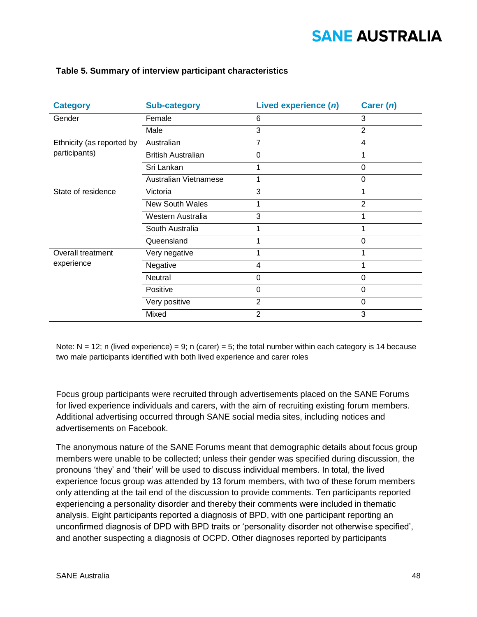| <b>Category</b>                            | <b>Sub-category</b>       | Lived experience (n) | Carer (n)      |
|--------------------------------------------|---------------------------|----------------------|----------------|
| Gender                                     | Female                    | 6                    | 3              |
|                                            | Male                      | 3                    | $\overline{2}$ |
| Ethnicity (as reported by<br>participants) | Australian                | 7                    | 4              |
|                                            | <b>British Australian</b> | $\Omega$             |                |
|                                            | Sri Lankan                |                      | 0              |
|                                            | Australian Vietnamese     |                      | 0              |
| State of residence                         | Victoria                  | 3                    |                |
|                                            | <b>New South Wales</b>    |                      | $\overline{2}$ |
|                                            | Western Australia         | 3                    |                |
|                                            | South Australia           |                      |                |
|                                            | Queensland                |                      | 0              |
| Overall treatment<br>experience            | Very negative             |                      |                |
|                                            | Negative                  | 4                    |                |
|                                            | Neutral                   | 0                    | $\Omega$       |
|                                            | Positive                  | $\Omega$             | $\Omega$       |
|                                            | Very positive             | $\overline{2}$       | $\overline{0}$ |
|                                            | Mixed                     | $\overline{2}$       | 3              |

### **Table 5. Summary of interview participant characteristics**

Note:  $N = 12$ ; n (lived experience) = 9; n (carer) = 5; the total number within each category is 14 because two male participants identified with both lived experience and carer roles

Focus group participants were recruited through advertisements placed on the SANE Forums for lived experience individuals and carers, with the aim of recruiting existing forum members. Additional advertising occurred through SANE social media sites, including notices and advertisements on Facebook.

The anonymous nature of the SANE Forums meant that demographic details about focus group members were unable to be collected; unless their gender was specified during discussion, the pronouns 'they' and 'their' will be used to discuss individual members. In total, the lived experience focus group was attended by 13 forum members, with two of these forum members only attending at the tail end of the discussion to provide comments. Ten participants reported experiencing a personality disorder and thereby their comments were included in thematic analysis. Eight participants reported a diagnosis of BPD, with one participant reporting an unconfirmed diagnosis of DPD with BPD traits or 'personality disorder not otherwise specified', and another suspecting a diagnosis of OCPD. Other diagnoses reported by participants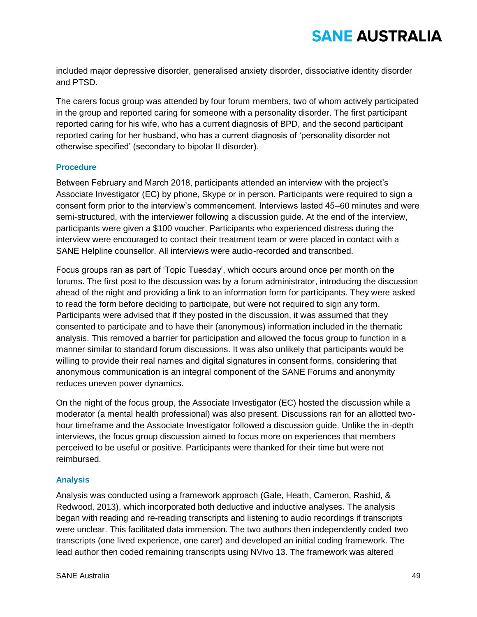included major depressive disorder, generalised anxiety disorder, dissociative identity disorder and PTSD.

The carers focus group was attended by four forum members, two of whom actively participated in the group and reported caring for someone with a personality disorder. The first participant reported caring for his wife, who has a current diagnosis of BPD, and the second participant reported caring for her husband, who has a current diagnosis of 'personality disorder not otherwise specified' (secondary to bipolar II disorder).

### **Procedure**

Between February and March 2018, participants attended an interview with the project's Associate Investigator (EC) by phone, Skype or in person. Participants were required to sign a consent form prior to the interview's commencement. Interviews lasted 45–60 minutes and were semi-structured, with the interviewer following a discussion guide. At the end of the interview, participants were given a \$100 voucher. Participants who experienced distress during the interview were encouraged to contact their treatment team or were placed in contact with a SANE Helpline counsellor. All interviews were audio-recorded and transcribed.

Focus groups ran as part of 'Topic Tuesday', which occurs around once per month on the forums. The first post to the discussion was by a forum administrator, introducing the discussion ahead of the night and providing a link to an information form for participants. They were asked to read the form before deciding to participate, but were not required to sign any form. Participants were advised that if they posted in the discussion, it was assumed that they consented to participate and to have their (anonymous) information included in the thematic analysis. This removed a barrier for participation and allowed the focus group to function in a manner similar to standard forum discussions. It was also unlikely that participants would be willing to provide their real names and digital signatures in consent forms, considering that anonymous communication is an integral component of the SANE Forums and anonymity reduces uneven power dynamics.

On the night of the focus group, the Associate Investigator (EC) hosted the discussion while a moderator (a mental health professional) was also present. Discussions ran for an allotted twohour timeframe and the Associate Investigator followed a discussion guide. Unlike the in-depth interviews, the focus group discussion aimed to focus more on experiences that members perceived to be useful or positive. Participants were thanked for their time but were not reimbursed.

### **Analysis**

Analysis was conducted using a framework approach (Gale, Heath, Cameron, Rashid, & Redwood, 2013), which incorporated both deductive and inductive analyses. The analysis began with reading and re-reading transcripts and listening to audio recordings if transcripts were unclear. This facilitated data immersion. The two authors then independently coded two transcripts (one lived experience, one carer) and developed an initial coding framework. The lead author then coded remaining transcripts using NVivo 13. The framework was altered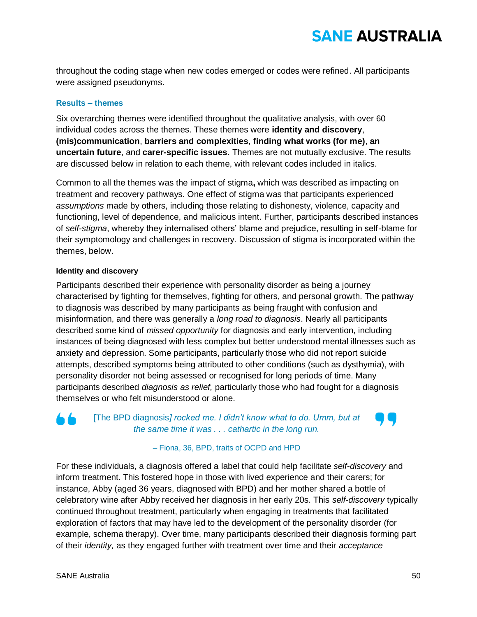throughout the coding stage when new codes emerged or codes were refined. All participants were assigned pseudonyms.

### **Results – themes**

Six overarching themes were identified throughout the qualitative analysis, with over 60 individual codes across the themes. These themes were **identity and discovery**, **(mis)communication**, **barriers and complexities**, **finding what works (for me)**, **an uncertain future**, and **carer-specific issues**. Themes are not mutually exclusive. The results are discussed below in relation to each theme, with relevant codes included in italics.

Common to all the themes was the impact of stigma**,** which was described as impacting on treatment and recovery pathways. One effect of stigma was that participants experienced *assumptions* made by others, including those relating to dishonesty, violence, capacity and functioning, level of dependence, and malicious intent. Further, participants described instances of *self-stigma*, whereby they internalised others' blame and prejudice, resulting in self-blame for their symptomology and challenges in recovery. Discussion of stigma is incorporated within the themes, below.

### **Identity and discovery**

Participants described their experience with personality disorder as being a journey characterised by fighting for themselves, fighting for others, and personal growth. The pathway to diagnosis was described by many participants as being fraught with confusion and misinformation, and there was generally a *long road to diagnosis*. Nearly all participants described some kind of *missed opportunity* for diagnosis and early intervention, including instances of being diagnosed with less complex but better understood mental illnesses such as anxiety and depression. Some participants, particularly those who did not report suicide attempts, described symptoms being attributed to other conditions (such as dysthymia), with personality disorder not being assessed or recognised for long periods of time. Many participants described *diagnosis as relief,* particularly those who had fought for a diagnosis themselves or who felt misunderstood or alone.

## i fa

[The BPD diagnosis*] rocked me. I didn't know what to do. Umm, but at the same time it was . . . cathartic in the long run.*

### – Fiona, 36, BPD, traits of OCPD and HPD

For these individuals, a diagnosis offered a label that could help facilitate *self-discovery* and inform treatment. This fostered hope in those with lived experience and their carers; for instance, Abby (aged 36 years, diagnosed with BPD) and her mother shared a bottle of celebratory wine after Abby received her diagnosis in her early 20s. This *self-discovery* typically continued throughout treatment, particularly when engaging in treatments that facilitated exploration of factors that may have led to the development of the personality disorder (for example, schema therapy). Over time, many participants described their diagnosis forming part of their *identity,* as they engaged further with treatment over time and their *acceptance*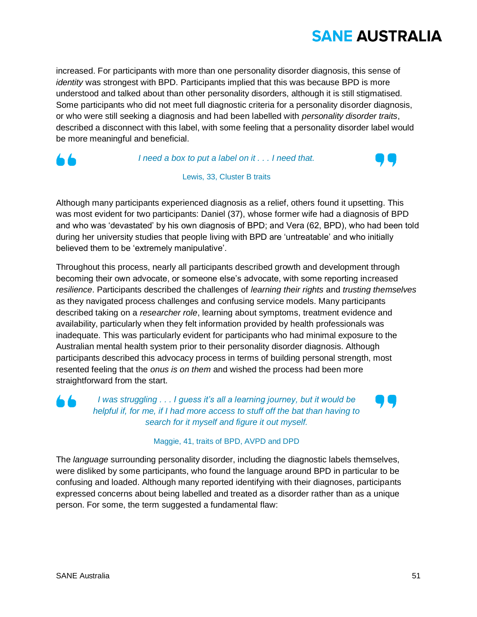increased. For participants with more than one personality disorder diagnosis, this sense of *identity* was strongest with BPD. Participants implied that this was because BPD is more understood and talked about than other personality disorders, although it is still stigmatised. Some participants who did not meet full diagnostic criteria for a personality disorder diagnosis, or who were still seeking a diagnosis and had been labelled with *personality disorder traits*, described a disconnect with this label, with some feeling that a personality disorder label would be more meaningful and beneficial.



*I need a box to put a label on it . . . I need that.*



Lewis, 33, Cluster B traits

Although many participants experienced diagnosis as a relief, others found it upsetting. This was most evident for two participants: Daniel (37), whose former wife had a diagnosis of BPD and who was 'devastated' by his own diagnosis of BPD; and Vera (62, BPD), who had been told during her university studies that people living with BPD are 'untreatable' and who initially believed them to be 'extremely manipulative'.

Throughout this process, nearly all participants described growth and development through becoming their own advocate, or someone else's advocate, with some reporting increased *resilience*. Participants described the challenges of *learning their rights* and *trusting themselves*  as they navigated process challenges and confusing service models. Many participants described taking on a *researcher role*, learning about symptoms, treatment evidence and availability, particularly when they felt information provided by health professionals was inadequate. This was particularly evident for participants who had minimal exposure to the Australian mental health system prior to their personality disorder diagnosis. Although participants described this advocacy process in terms of building personal strength, most resented feeling that the *onus is on them* and wished the process had been more straightforward from the start.

n da

*I was struggling . . . I guess it's all a learning journey, but it would be helpful if, for me, if I had more access to stuff off the bat than having to search for it myself and figure it out myself.*



### Maggie, 41, traits of BPD, AVPD and DPD

The *language* surrounding personality disorder, including the diagnostic labels themselves, were disliked by some participants, who found the language around BPD in particular to be confusing and loaded. Although many reported identifying with their diagnoses, participants expressed concerns about being labelled and treated as a disorder rather than as a unique person. For some, the term suggested a fundamental flaw: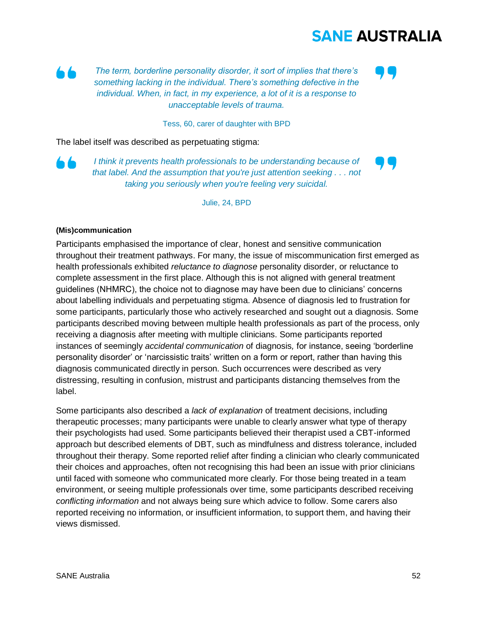*The term, borderline personality disorder, it sort of implies that there's something lacking in the individual. There's something defective in the individual. When, in fact, in my experience, a lot of it is a response to unacceptable levels of trauma.*

Tess, 60, carer of daughter with BPD

The label itself was described as perpetuating stigma:

 $\blacksquare$ 

*I think it prevents health professionals to be understanding because of that label. And the assumption that you're just attention seeking . . . not taking you seriously when you're feeling very suicidal.*

Julie, 24, BPD

### **(Mis)communication**

Participants emphasised the importance of clear, honest and sensitive communication throughout their treatment pathways. For many, the issue of miscommunication first emerged as health professionals exhibited *reluctance to diagnose* personality disorder, or reluctance to complete assessment in the first place. Although this is not aligned with general treatment guidelines (NHMRC), the choice not to diagnose may have been due to clinicians' concerns about labelling individuals and perpetuating stigma. Absence of diagnosis led to frustration for some participants, particularly those who actively researched and sought out a diagnosis. Some participants described moving between multiple health professionals as part of the process, only receiving a diagnosis after meeting with multiple clinicians. Some participants reported instances of seemingly *accidental communication* of diagnosis*,* for instance, seeing 'borderline personality disorder' or 'narcissistic traits' written on a form or report, rather than having this diagnosis communicated directly in person. Such occurrences were described as very distressing, resulting in confusion, mistrust and participants distancing themselves from the label.

Some participants also described a *lack of explanation* of treatment decisions, including therapeutic processes; many participants were unable to clearly answer what type of therapy their psychologists had used. Some participants believed their therapist used a CBT-informed approach but described elements of DBT, such as mindfulness and distress tolerance, included throughout their therapy. Some reported relief after finding a clinician who clearly communicated their choices and approaches, often not recognising this had been an issue with prior clinicians until faced with someone who communicated more clearly. For those being treated in a team environment, or seeing multiple professionals over time, some participants described receiving *conflicting information* and not always being sure which advice to follow. Some carers also reported receiving no information, or insufficient information, to support them, and having their views dismissed.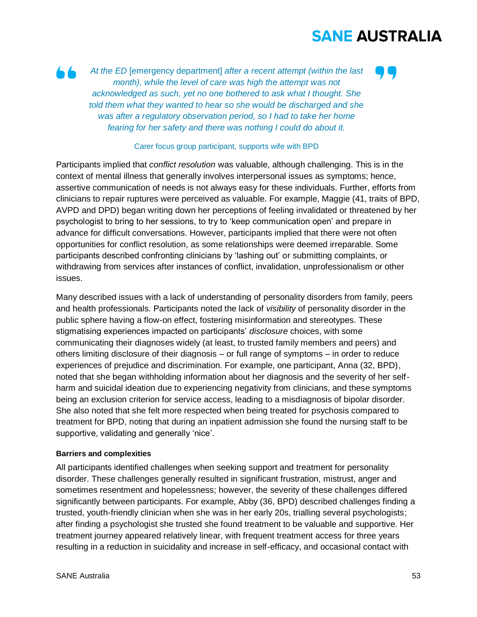

*At the ED* [emergency department] *after a recent attempt (within the last month), while the level of care was high the attempt was not acknowledged as such, yet no one bothered to ask what I thought. She told them what they wanted to hear so she would be discharged and she was after a regulatory observation period, so I had to take her home fearing for her safety and there was nothing I could do about it.*

#### Carer focus group participant, supports wife with BPD

Participants implied that *conflict resolution* was valuable, although challenging. This is in the context of mental illness that generally involves interpersonal issues as symptoms; hence, assertive communication of needs is not always easy for these individuals. Further, efforts from clinicians to repair ruptures were perceived as valuable. For example, Maggie (41, traits of BPD, AVPD and DPD) began writing down her perceptions of feeling invalidated or threatened by her psychologist to bring to her sessions, to try to 'keep communication open' and prepare in advance for difficult conversations. However, participants implied that there were not often opportunities for conflict resolution, as some relationships were deemed irreparable. Some participants described confronting clinicians by 'lashing out' or submitting complaints, or withdrawing from services after instances of conflict, invalidation, unprofessionalism or other issues.

Many described issues with a lack of understanding of personality disorders from family, peers and health professionals. Participants noted the lack of *visibility* of personality disorder in the public sphere having a flow-on effect, fostering misinformation and stereotypes. These stigmatising experiences impacted on participants' *disclosure* choices, with some communicating their diagnoses widely (at least, to trusted family members and peers) and others limiting disclosure of their diagnosis – or full range of symptoms – in order to reduce experiences of prejudice and discrimination. For example, one participant, Anna (32, BPD), noted that she began withholding information about her diagnosis and the severity of her selfharm and suicidal ideation due to experiencing negativity from clinicians, and these symptoms being an exclusion criterion for service access, leading to a misdiagnosis of bipolar disorder. She also noted that she felt more respected when being treated for psychosis compared to treatment for BPD, noting that during an inpatient admission she found the nursing staff to be supportive, validating and generally 'nice'.

### **Barriers and complexities**

All participants identified challenges when seeking support and treatment for personality disorder. These challenges generally resulted in significant frustration, mistrust, anger and sometimes resentment and hopelessness; however, the severity of these challenges differed significantly between participants. For example, Abby (36, BPD) described challenges finding a trusted, youth-friendly clinician when she was in her early 20s, trialling several psychologists; after finding a psychologist she trusted she found treatment to be valuable and supportive. Her treatment journey appeared relatively linear, with frequent treatment access for three years resulting in a reduction in suicidality and increase in self-efficacy, and occasional contact with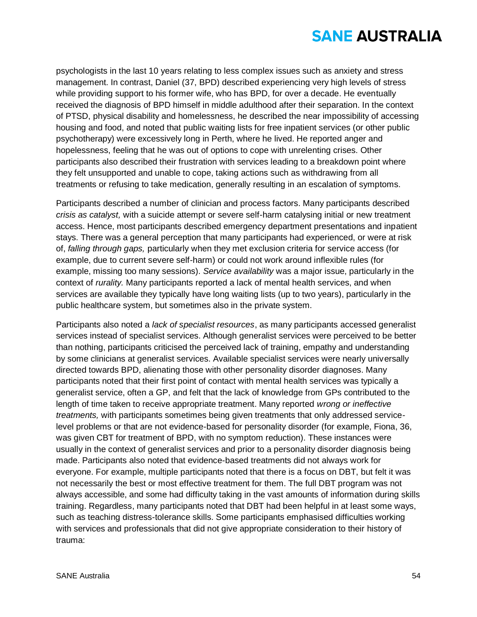psychologists in the last 10 years relating to less complex issues such as anxiety and stress management. In contrast, Daniel (37, BPD) described experiencing very high levels of stress while providing support to his former wife, who has BPD, for over a decade. He eventually received the diagnosis of BPD himself in middle adulthood after their separation. In the context of PTSD, physical disability and homelessness, he described the near impossibility of accessing housing and food, and noted that public waiting lists for free inpatient services (or other public psychotherapy) were excessively long in Perth, where he lived. He reported anger and hopelessness, feeling that he was out of options to cope with unrelenting crises. Other participants also described their frustration with services leading to a breakdown point where they felt unsupported and unable to cope, taking actions such as withdrawing from all treatments or refusing to take medication, generally resulting in an escalation of symptoms.

Participants described a number of clinician and process factors. Many participants described *crisis as catalyst,* with a suicide attempt or severe self-harm catalysing initial or new treatment access. Hence, most participants described emergency department presentations and inpatient stays. There was a general perception that many participants had experienced, or were at risk of, *falling through gaps,* particularly when they met exclusion criteria for service access (for example, due to current severe self-harm) or could not work around inflexible rules (for example, missing too many sessions). *Service availability* was a major issue, particularly in the context of *rurality.* Many participants reported a lack of mental health services, and when services are available they typically have long waiting lists (up to two years), particularly in the public healthcare system, but sometimes also in the private system.

Participants also noted a *lack of specialist resources*, as many participants accessed generalist services instead of specialist services. Although generalist services were perceived to be better than nothing, participants criticised the perceived lack of training, empathy and understanding by some clinicians at generalist services. Available specialist services were nearly universally directed towards BPD, alienating those with other personality disorder diagnoses. Many participants noted that their first point of contact with mental health services was typically a generalist service, often a GP, and felt that the lack of knowledge from GPs contributed to the length of time taken to receive appropriate treatment. Many reported *wrong or ineffective treatments,* with participants sometimes being given treatments that only addressed servicelevel problems or that are not evidence-based for personality disorder (for example, Fiona, 36, was given CBT for treatment of BPD, with no symptom reduction). These instances were usually in the context of generalist services and prior to a personality disorder diagnosis being made. Participants also noted that evidence-based treatments did not always work for everyone. For example, multiple participants noted that there is a focus on DBT, but felt it was not necessarily the best or most effective treatment for them. The full DBT program was not always accessible, and some had difficulty taking in the vast amounts of information during skills training. Regardless, many participants noted that DBT had been helpful in at least some ways, such as teaching distress-tolerance skills. Some participants emphasised difficulties working with services and professionals that did not give appropriate consideration to their history of trauma: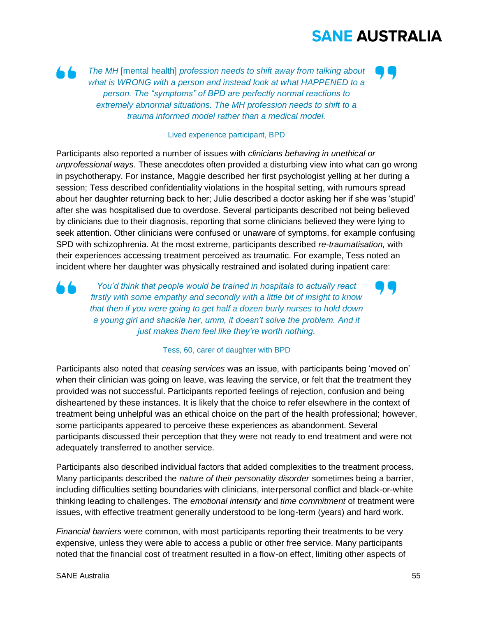

*The MH* [mental health] *profession needs to shift away from talking about what is WRONG with a person and instead look at what HAPPENED to a person. The "symptoms" of BPD are perfectly normal reactions to extremely abnormal situations. The MH profession needs to shift to a trauma informed model rather than a medical model.*

#### Lived experience participant, BPD

Participants also reported a number of issues with *clinicians behaving in unethical or unprofessional ways*. These anecdotes often provided a disturbing view into what can go wrong in psychotherapy. For instance, Maggie described her first psychologist yelling at her during a session; Tess described confidentiality violations in the hospital setting, with rumours spread about her daughter returning back to her; Julie described a doctor asking her if she was 'stupid' after she was hospitalised due to overdose. Several participants described not being believed by clinicians due to their diagnosis, reporting that some clinicians believed they were lying to seek attention. Other clinicians were confused or unaware of symptoms, for example confusing SPD with schizophrenia. At the most extreme, participants described *re-traumatisation,* with their experiences accessing treatment perceived as traumatic. For example, Tess noted an incident where her daughter was physically restrained and isolated during inpatient care:

*You'd think that people would be trained in hospitals to actually react firstly with some empathy and secondly with a little bit of insight to know that then if you were going to get half a dozen burly nurses to hold down a young girl and shackle her, umm, it doesn't solve the problem. And it just makes them feel like they're worth nothing.*

#### Tess, 60, carer of daughter with BPD

Participants also noted that *ceasing services* was an issue, with participants being 'moved on' when their clinician was going on leave, was leaving the service, or felt that the treatment they provided was not successful. Participants reported feelings of rejection, confusion and being disheartened by these instances. It is likely that the choice to refer elsewhere in the context of treatment being unhelpful was an ethical choice on the part of the health professional; however, some participants appeared to perceive these experiences as abandonment. Several participants discussed their perception that they were not ready to end treatment and were not adequately transferred to another service.

Participants also described individual factors that added complexities to the treatment process. Many participants described the *nature of their personality disorder* sometimes being a barrier, including difficulties setting boundaries with clinicians, interpersonal conflict and black-or-white thinking leading to challenges. The *emotional intensity* and *time commitment* of treatment were issues, with effective treatment generally understood to be long-term (years) and hard work.

*Financial barriers* were common, with most participants reporting their treatments to be very expensive, unless they were able to access a public or other free service. Many participants noted that the financial cost of treatment resulted in a flow-on effect, limiting other aspects of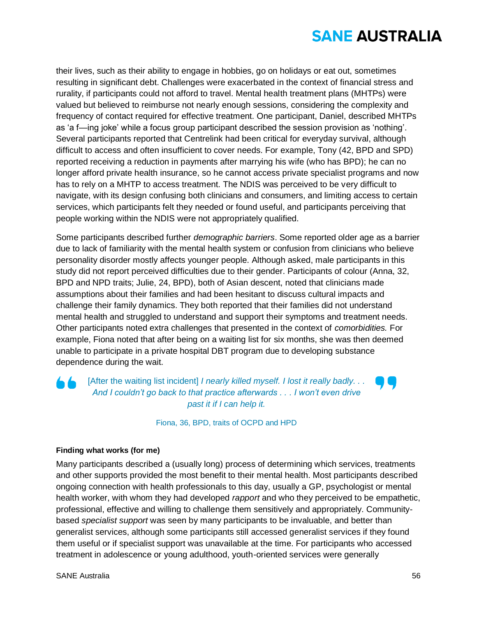their lives, such as their ability to engage in hobbies, go on holidays or eat out, sometimes resulting in significant debt. Challenges were exacerbated in the context of financial stress and rurality, if participants could not afford to travel. Mental health treatment plans (MHTPs) were valued but believed to reimburse not nearly enough sessions, considering the complexity and frequency of contact required for effective treatment. One participant, Daniel, described MHTPs as 'a f—ing joke' while a focus group participant described the session provision as 'nothing'. Several participants reported that Centrelink had been critical for everyday survival, although difficult to access and often insufficient to cover needs. For example, Tony (42, BPD and SPD) reported receiving a reduction in payments after marrying his wife (who has BPD); he can no longer afford private health insurance, so he cannot access private specialist programs and now has to rely on a MHTP to access treatment. The NDIS was perceived to be very difficult to navigate, with its design confusing both clinicians and consumers, and limiting access to certain services, which participants felt they needed or found useful, and participants perceiving that people working within the NDIS were not appropriately qualified.

Some participants described further *demographic barriers*. Some reported older age as a barrier due to lack of familiarity with the mental health system or confusion from clinicians who believe personality disorder mostly affects younger people. Although asked, male participants in this study did not report perceived difficulties due to their gender. Participants of colour (Anna, 32, BPD and NPD traits; Julie, 24, BPD), both of Asian descent, noted that clinicians made assumptions about their families and had been hesitant to discuss cultural impacts and challenge their family dynamics. They both reported that their families did not understand mental health and struggled to understand and support their symptoms and treatment needs. Other participants noted extra challenges that presented in the context of *comorbidities.* For example, Fiona noted that after being on a waiting list for six months, she was then deemed unable to participate in a private hospital DBT program due to developing substance dependence during the wait.

## [After the waiting list incident] *I nearly killed myself. I lost it really badly... And I couldn't go back to that practice afterwards . . . I won't even drive past it if I can help it.*

Fiona, 36, BPD, traits of OCPD and HPD

### **Finding what works (for me)**

Many participants described a (usually long) process of determining which services, treatments and other supports provided the most benefit to their mental health. Most participants described ongoing connection with health professionals to this day, usually a GP, psychologist or mental health worker, with whom they had developed *rapport* and who they perceived to be empathetic, professional, effective and willing to challenge them sensitively and appropriately. Communitybased *specialist support* was seen by many participants to be invaluable, and better than generalist services, although some participants still accessed generalist services if they found them useful or if specialist support was unavailable at the time. For participants who accessed treatment in adolescence or young adulthood, youth-oriented services were generally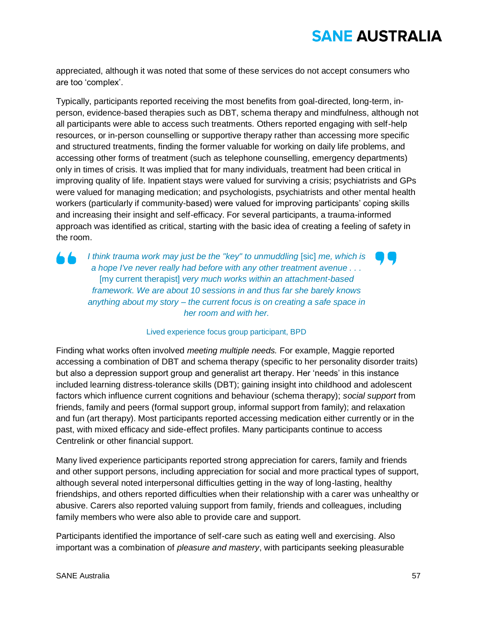appreciated, although it was noted that some of these services do not accept consumers who are too 'complex'.

Typically, participants reported receiving the most benefits from goal-directed, long-term, inperson, evidence-based therapies such as DBT, schema therapy and mindfulness, although not all participants were able to access such treatments. Others reported engaging with self-help resources, or in-person counselling or supportive therapy rather than accessing more specific and structured treatments, finding the former valuable for working on daily life problems, and accessing other forms of treatment (such as telephone counselling, emergency departments) only in times of crisis. It was implied that for many individuals, treatment had been critical in improving quality of life. Inpatient stays were valued for surviving a crisis; psychiatrists and GPs were valued for managing medication; and psychologists, psychiatrists and other mental health workers (particularly if community-based) were valued for improving participants' coping skills and increasing their insight and self-efficacy. For several participants, a trauma-informed approach was identified as critical, starting with the basic idea of creating a feeling of safety in the room.

*I think trauma work may just be the "key" to unmuddling* [sic] *me, which is a hope I've never really had before with any other treatment avenue . . .*  [my current therapist] *very much works within an attachment-based framework. We are about 10 sessions in and thus far she barely knows anything about my story – the current focus is on creating a safe space in her room and with her.*

### Lived experience focus group participant, BPD

Finding what works often involved *meeting multiple needs.* For example, Maggie reported accessing a combination of DBT and schema therapy (specific to her personality disorder traits) but also a depression support group and generalist art therapy. Her 'needs' in this instance included learning distress-tolerance skills (DBT); gaining insight into childhood and adolescent factors which influence current cognitions and behaviour (schema therapy); *social support* from friends, family and peers (formal support group, informal support from family); and relaxation and fun (art therapy). Most participants reported accessing medication either currently or in the past, with mixed efficacy and side-effect profiles. Many participants continue to access Centrelink or other financial support.

Many lived experience participants reported strong appreciation for carers, family and friends and other support persons, including appreciation for social and more practical types of support, although several noted interpersonal difficulties getting in the way of long-lasting, healthy friendships, and others reported difficulties when their relationship with a carer was unhealthy or abusive. Carers also reported valuing support from family, friends and colleagues, including family members who were also able to provide care and support.

Participants identified the importance of self-care such as eating well and exercising. Also important was a combination of *pleasure and mastery*, with participants seeking pleasurable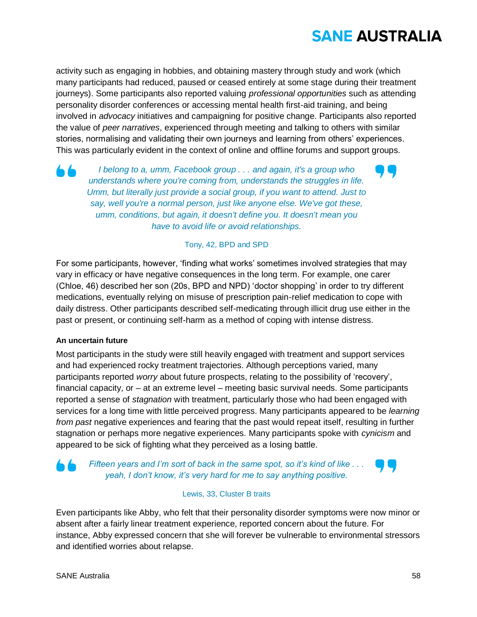activity such as engaging in hobbies, and obtaining mastery through study and work (which many participants had reduced, paused or ceased entirely at some stage during their treatment journeys). Some participants also reported valuing *professional opportunities* such as attending personality disorder conferences or accessing mental health first-aid training, and being involved in *advocacy* initiatives and campaigning for positive change. Participants also reported the value of *peer narratives*, experienced through meeting and talking to others with similar stories, normalising and validating their own journeys and learning from others' experiences. This was particularly evident in the context of online and offline forums and support groups.

*I belong to a, umm, Facebook group . . . and again, it's a group who understands where you're coming from, understands the struggles in life. Umm, but literally just provide a social group, if you want to attend. Just to say, well you're a normal person, just like anyone else. We've got these, umm, conditions, but again, it doesn't define you. It doesn't mean you have to avoid life or avoid relationships.*

### Tony, 42, BPD and SPD

For some participants, however, 'finding what works' sometimes involved strategies that may vary in efficacy or have negative consequences in the long term. For example, one carer (Chloe, 46) described her son (20s, BPD and NPD) 'doctor shopping' in order to try different medications, eventually relying on misuse of prescription pain-relief medication to cope with daily distress. Other participants described self-medicating through illicit drug use either in the past or present, or continuing self-harm as a method of coping with intense distress.

### **An uncertain future**

Most participants in the study were still heavily engaged with treatment and support services and had experienced rocky treatment trajectories. Although perceptions varied, many participants reported *worry* about future prospects, relating to the possibility of 'recovery', financial capacity, or – at an extreme level – meeting basic survival needs. Some participants reported a sense of *stagnation* with treatment, particularly those who had been engaged with services for a long time with little perceived progress. Many participants appeared to be *learning from past* negative experiences and fearing that the past would repeat itself, resulting in further stagnation or perhaps more negative experiences. Many participants spoke with *cynicism* and appeared to be sick of fighting what they perceived as a losing battle.

*Fifteen years and I'm sort of back in the same spot, so it's kind of like . . . yeah, I don't know, it's very hard for me to say anything positive.*



### Lewis, 33, Cluster B traits

Even participants like Abby, who felt that their personality disorder symptoms were now minor or absent after a fairly linear treatment experience, reported concern about the future. For instance, Abby expressed concern that she will forever be vulnerable to environmental stressors and identified worries about relapse.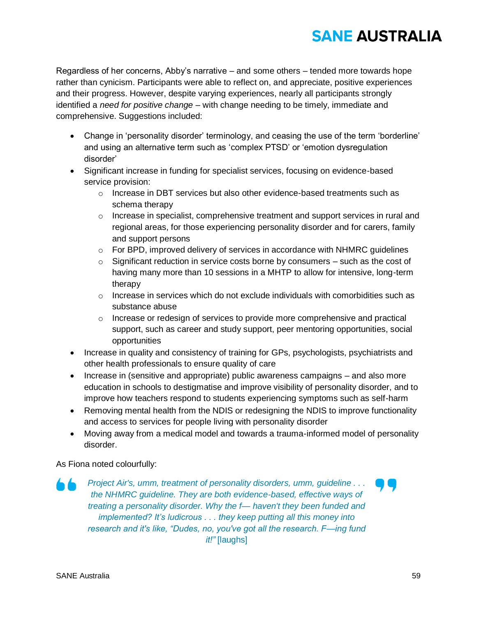Regardless of her concerns, Abby's narrative – and some others – tended more towards hope rather than cynicism. Participants were able to reflect on, and appreciate, positive experiences and their progress. However, despite varying experiences, nearly all participants strongly identified a *need for positive change* – with change needing to be timely, immediate and comprehensive. Suggestions included:

- Change in 'personality disorder' terminology, and ceasing the use of the term 'borderline' and using an alternative term such as 'complex PTSD' or 'emotion dysregulation disorder'
- Significant increase in funding for specialist services, focusing on evidence-based service provision:
	- o Increase in DBT services but also other evidence-based treatments such as schema therapy
	- $\circ$  Increase in specialist, comprehensive treatment and support services in rural and regional areas, for those experiencing personality disorder and for carers, family and support persons
	- $\circ$  For BPD, improved delivery of services in accordance with NHMRC quidelines
	- $\circ$  Significant reduction in service costs borne by consumers such as the cost of having many more than 10 sessions in a MHTP to allow for intensive, long-term therapy
	- $\circ$  Increase in services which do not exclude individuals with comorbidities such as substance abuse
	- $\circ$  Increase or redesign of services to provide more comprehensive and practical support, such as career and study support, peer mentoring opportunities, social opportunities
- Increase in quality and consistency of training for GPs, psychologists, psychiatrists and other health professionals to ensure quality of care
- Increase in (sensitive and appropriate) public awareness campaigns and also more education in schools to destigmatise and improve visibility of personality disorder, and to improve how teachers respond to students experiencing symptoms such as self-harm
- Removing mental health from the NDIS or redesigning the NDIS to improve functionality and access to services for people living with personality disorder
- Moving away from a medical model and towards a trauma-informed model of personality disorder.

As Fiona noted colourfully:

*Project Air's, umm, treatment of personality disorders, umm, guideline . . . the NHMRC guideline. They are both evidence-based, effective ways of treating a personality disorder. Why the f— haven't they been funded and implemented? It's ludicrous . . . they keep putting all this money into research and it's like, "Dudes, no, you've got all the research. F—ing fund it!"* [laughs]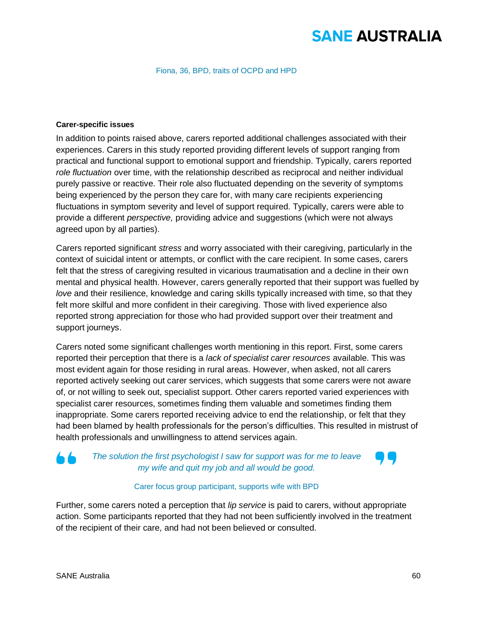Fiona, 36, BPD, traits of OCPD and HPD

#### **Carer-specific issues**

In addition to points raised above, carers reported additional challenges associated with their experiences. Carers in this study reported providing different levels of support ranging from practical and functional support to emotional support and friendship. Typically, carers reported *role fluctuation* over time, with the relationship described as reciprocal and neither individual purely passive or reactive. Their role also fluctuated depending on the severity of symptoms being experienced by the person they care for, with many care recipients experiencing fluctuations in symptom severity and level of support required. Typically, carers were able to provide a different *perspective,* providing advice and suggestions (which were not always agreed upon by all parties).

Carers reported significant *stress* and worry associated with their caregiving, particularly in the context of suicidal intent or attempts, or conflict with the care recipient. In some cases, carers felt that the stress of caregiving resulted in vicarious traumatisation and a decline in their own mental and physical health. However, carers generally reported that their support was fuelled by *love* and their resilience, knowledge and caring skills typically increased with time, so that they felt more skilful and more confident in their caregiving. Those with lived experience also reported strong appreciation for those who had provided support over their treatment and support journeys.

Carers noted some significant challenges worth mentioning in this report. First, some carers reported their perception that there is a *lack of specialist carer resources* available. This was most evident again for those residing in rural areas. However, when asked, not all carers reported actively seeking out carer services, which suggests that some carers were not aware of, or not willing to seek out, specialist support. Other carers reported varied experiences with specialist carer resources, sometimes finding them valuable and sometimes finding them inappropriate. Some carers reported receiving advice to end the relationship, or felt that they had been blamed by health professionals for the person's difficulties. This resulted in mistrust of health professionals and unwillingness to attend services again.

## *The solution the first psychologist I saw for support was for me to leave my wife and quit my job and all would be good.*

### Carer focus group participant, supports wife with BPD

Further, some carers noted a perception that *lip service* is paid to carers, without appropriate action. Some participants reported that they had not been sufficiently involved in the treatment of the recipient of their care, and had not been believed or consulted.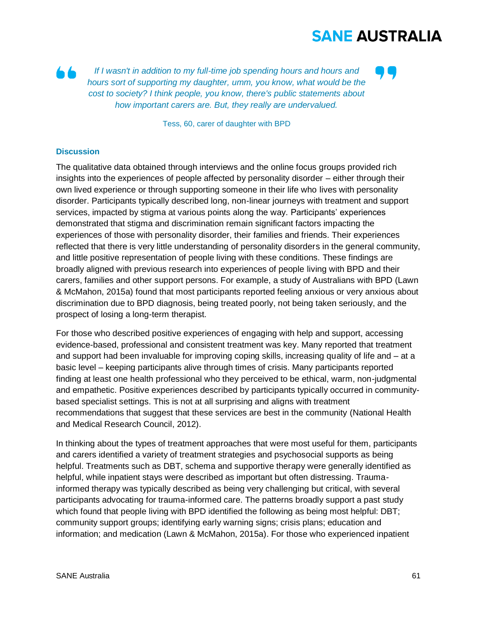

Tess, 60, carer of daughter with BPD

#### **Discussion**

The qualitative data obtained through interviews and the online focus groups provided rich insights into the experiences of people affected by personality disorder – either through their own lived experience or through supporting someone in their life who lives with personality disorder. Participants typically described long, non-linear journeys with treatment and support services, impacted by stigma at various points along the way. Participants' experiences demonstrated that stigma and discrimination remain significant factors impacting the experiences of those with personality disorder, their families and friends. Their experiences reflected that there is very little understanding of personality disorders in the general community, and little positive representation of people living with these conditions. These findings are broadly aligned with previous research into experiences of people living with BPD and their carers, families and other support persons. For example, a study of Australians with BPD (Lawn & McMahon, 2015a) found that most participants reported feeling anxious or very anxious about discrimination due to BPD diagnosis, being treated poorly, not being taken seriously, and the prospect of losing a long-term therapist.

For those who described positive experiences of engaging with help and support, accessing evidence-based, professional and consistent treatment was key. Many reported that treatment and support had been invaluable for improving coping skills, increasing quality of life and – at a basic level – keeping participants alive through times of crisis. Many participants reported finding at least one health professional who they perceived to be ethical, warm, non-judgmental and empathetic. Positive experiences described by participants typically occurred in communitybased specialist settings. This is not at all surprising and aligns with treatment recommendations that suggest that these services are best in the community (National Health and Medical Research Council, 2012).

In thinking about the types of treatment approaches that were most useful for them, participants and carers identified a variety of treatment strategies and psychosocial supports as being helpful. Treatments such as DBT, schema and supportive therapy were generally identified as helpful, while inpatient stays were described as important but often distressing. Traumainformed therapy was typically described as being very challenging but critical, with several participants advocating for trauma-informed care. The patterns broadly support a past study which found that people living with BPD identified the following as being most helpful: DBT; community support groups; identifying early warning signs; crisis plans; education and information; and medication (Lawn & McMahon, 2015a). For those who experienced inpatient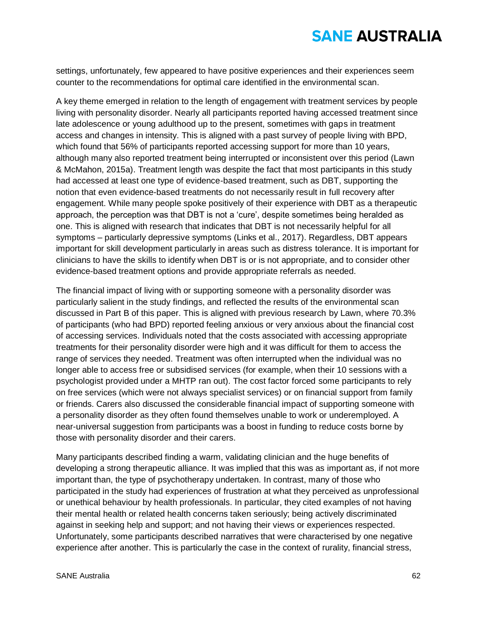settings, unfortunately, few appeared to have positive experiences and their experiences seem counter to the recommendations for optimal care identified in the environmental scan.

A key theme emerged in relation to the length of engagement with treatment services by people living with personality disorder. Nearly all participants reported having accessed treatment since late adolescence or young adulthood up to the present, sometimes with gaps in treatment access and changes in intensity. This is aligned with a past survey of people living with BPD, which found that 56% of participants reported accessing support for more than 10 years, although many also reported treatment being interrupted or inconsistent over this period (Lawn & McMahon, 2015a). Treatment length was despite the fact that most participants in this study had accessed at least one type of evidence-based treatment, such as DBT, supporting the notion that even evidence-based treatments do not necessarily result in full recovery after engagement. While many people spoke positively of their experience with DBT as a therapeutic approach, the perception was that DBT is not a 'cure', despite sometimes being heralded as one. This is aligned with research that indicates that DBT is not necessarily helpful for all symptoms – particularly depressive symptoms (Links et al., 2017). Regardless, DBT appears important for skill development particularly in areas such as distress tolerance. It is important for clinicians to have the skills to identify when DBT is or is not appropriate, and to consider other evidence-based treatment options and provide appropriate referrals as needed.

The financial impact of living with or supporting someone with a personality disorder was particularly salient in the study findings, and reflected the results of the environmental scan discussed in Part B of this paper. This is aligned with previous research by Lawn, where 70.3% of participants (who had BPD) reported feeling anxious or very anxious about the financial cost of accessing services. Individuals noted that the costs associated with accessing appropriate treatments for their personality disorder were high and it was difficult for them to access the range of services they needed. Treatment was often interrupted when the individual was no longer able to access free or subsidised services (for example, when their 10 sessions with a psychologist provided under a MHTP ran out). The cost factor forced some participants to rely on free services (which were not always specialist services) or on financial support from family or friends. Carers also discussed the considerable financial impact of supporting someone with a personality disorder as they often found themselves unable to work or underemployed. A near-universal suggestion from participants was a boost in funding to reduce costs borne by those with personality disorder and their carers.

Many participants described finding a warm, validating clinician and the huge benefits of developing a strong therapeutic alliance. It was implied that this was as important as, if not more important than, the type of psychotherapy undertaken. In contrast, many of those who participated in the study had experiences of frustration at what they perceived as unprofessional or unethical behaviour by health professionals. In particular, they cited examples of not having their mental health or related health concerns taken seriously; being actively discriminated against in seeking help and support; and not having their views or experiences respected. Unfortunately, some participants described narratives that were characterised by one negative experience after another. This is particularly the case in the context of rurality, financial stress,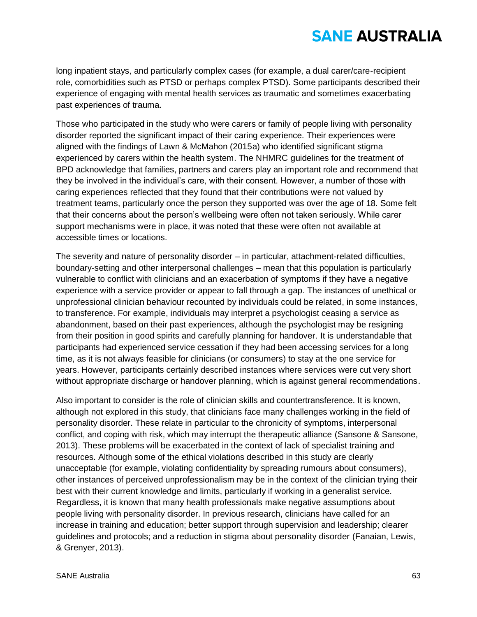long inpatient stays, and particularly complex cases (for example, a dual carer/care-recipient role, comorbidities such as PTSD or perhaps complex PTSD). Some participants described their experience of engaging with mental health services as traumatic and sometimes exacerbating past experiences of trauma.

Those who participated in the study who were carers or family of people living with personality disorder reported the significant impact of their caring experience. Their experiences were aligned with the findings of Lawn & McMahon (2015a) who identified significant stigma experienced by carers within the health system. The NHMRC guidelines for the treatment of BPD acknowledge that families, partners and carers play an important role and recommend that they be involved in the individual's care, with their consent. However, a number of those with caring experiences reflected that they found that their contributions were not valued by treatment teams, particularly once the person they supported was over the age of 18. Some felt that their concerns about the person's wellbeing were often not taken seriously. While carer support mechanisms were in place, it was noted that these were often not available at accessible times or locations.

The severity and nature of personality disorder – in particular, attachment-related difficulties, boundary-setting and other interpersonal challenges – mean that this population is particularly vulnerable to conflict with clinicians and an exacerbation of symptoms if they have a negative experience with a service provider or appear to fall through a gap. The instances of unethical or unprofessional clinician behaviour recounted by individuals could be related, in some instances, to transference. For example, individuals may interpret a psychologist ceasing a service as abandonment, based on their past experiences, although the psychologist may be resigning from their position in good spirits and carefully planning for handover. It is understandable that participants had experienced service cessation if they had been accessing services for a long time, as it is not always feasible for clinicians (or consumers) to stay at the one service for years. However, participants certainly described instances where services were cut very short without appropriate discharge or handover planning, which is against general recommendations.

Also important to consider is the role of clinician skills and countertransference. It is known, although not explored in this study, that clinicians face many challenges working in the field of personality disorder. These relate in particular to the chronicity of symptoms, interpersonal conflict, and coping with risk, which may interrupt the therapeutic alliance (Sansone & Sansone, 2013). These problems will be exacerbated in the context of lack of specialist training and resources. Although some of the ethical violations described in this study are clearly unacceptable (for example, violating confidentiality by spreading rumours about consumers), other instances of perceived unprofessionalism may be in the context of the clinician trying their best with their current knowledge and limits, particularly if working in a generalist service. Regardless, it is known that many health professionals make negative assumptions about people living with personality disorder. In previous research, clinicians have called for an increase in training and education; better support through supervision and leadership; clearer guidelines and protocols; and a reduction in stigma about personality disorder (Fanaian, Lewis, & Grenyer, 2013).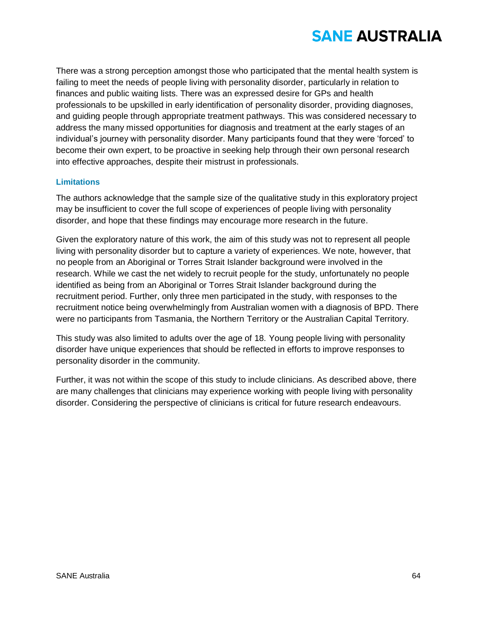There was a strong perception amongst those who participated that the mental health system is failing to meet the needs of people living with personality disorder, particularly in relation to finances and public waiting lists. There was an expressed desire for GPs and health professionals to be upskilled in early identification of personality disorder, providing diagnoses, and guiding people through appropriate treatment pathways. This was considered necessary to address the many missed opportunities for diagnosis and treatment at the early stages of an individual's journey with personality disorder. Many participants found that they were 'forced' to become their own expert, to be proactive in seeking help through their own personal research into effective approaches, despite their mistrust in professionals.

### **Limitations**

The authors acknowledge that the sample size of the qualitative study in this exploratory project may be insufficient to cover the full scope of experiences of people living with personality disorder, and hope that these findings may encourage more research in the future.

Given the exploratory nature of this work, the aim of this study was not to represent all people living with personality disorder but to capture a variety of experiences. We note, however, that no people from an Aboriginal or Torres Strait Islander background were involved in the research. While we cast the net widely to recruit people for the study, unfortunately no people identified as being from an Aboriginal or Torres Strait Islander background during the recruitment period. Further, only three men participated in the study, with responses to the recruitment notice being overwhelmingly from Australian women with a diagnosis of BPD. There were no participants from Tasmania, the Northern Territory or the Australian Capital Territory.

This study was also limited to adults over the age of 18. Young people living with personality disorder have unique experiences that should be reflected in efforts to improve responses to personality disorder in the community.

Further, it was not within the scope of this study to include clinicians. As described above, there are many challenges that clinicians may experience working with people living with personality disorder. Considering the perspective of clinicians is critical for future research endeavours.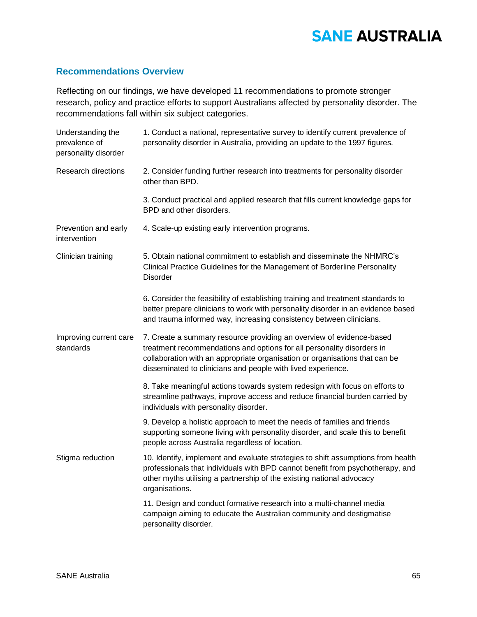### **Recommendations Overview**

Reflecting on our findings, we have developed 11 recommendations to promote stronger research, policy and practice efforts to support Australians affected by personality disorder. The recommendations fall within six subject categories.

| Understanding the<br>prevalence of<br>personality disorder | 1. Conduct a national, representative survey to identify current prevalence of<br>personality disorder in Australia, providing an update to the 1997 figures.                                                                                                                                 |  |
|------------------------------------------------------------|-----------------------------------------------------------------------------------------------------------------------------------------------------------------------------------------------------------------------------------------------------------------------------------------------|--|
| <b>Research directions</b>                                 | 2. Consider funding further research into treatments for personality disorder<br>other than BPD.                                                                                                                                                                                              |  |
|                                                            | 3. Conduct practical and applied research that fills current knowledge gaps for<br>BPD and other disorders.                                                                                                                                                                                   |  |
| Prevention and early<br>intervention                       | 4. Scale-up existing early intervention programs.                                                                                                                                                                                                                                             |  |
| Clinician training                                         | 5. Obtain national commitment to establish and disseminate the NHMRC's<br>Clinical Practice Guidelines for the Management of Borderline Personality<br><b>Disorder</b>                                                                                                                        |  |
|                                                            | 6. Consider the feasibility of establishing training and treatment standards to<br>better prepare clinicians to work with personality disorder in an evidence based<br>and trauma informed way, increasing consistency between clinicians.                                                    |  |
| Improving current care<br>standards                        | 7. Create a summary resource providing an overview of evidence-based<br>treatment recommendations and options for all personality disorders in<br>collaboration with an appropriate organisation or organisations that can be<br>disseminated to clinicians and people with lived experience. |  |
|                                                            | 8. Take meaningful actions towards system redesign with focus on efforts to<br>streamline pathways, improve access and reduce financial burden carried by<br>individuals with personality disorder.                                                                                           |  |
|                                                            | 9. Develop a holistic approach to meet the needs of families and friends<br>supporting someone living with personality disorder, and scale this to benefit<br>people across Australia regardless of location.                                                                                 |  |
| Stigma reduction                                           | 10. Identify, implement and evaluate strategies to shift assumptions from health<br>professionals that individuals with BPD cannot benefit from psychotherapy, and<br>other myths utilising a partnership of the existing national advocacy<br>organisations.                                 |  |
|                                                            | 11. Design and conduct formative research into a multi-channel media<br>campaign aiming to educate the Australian community and destigmatise<br>personality disorder.                                                                                                                         |  |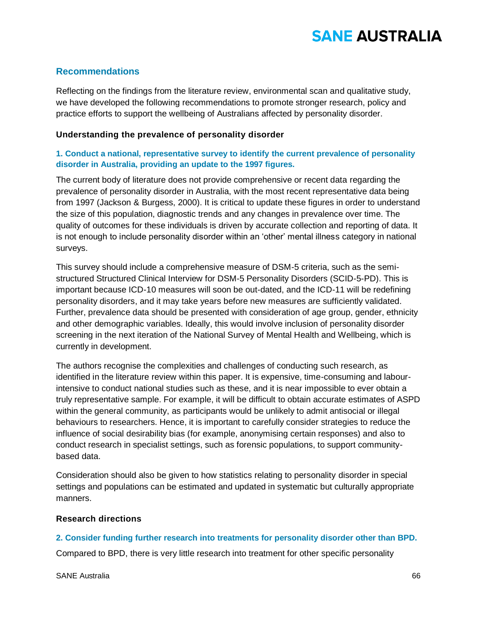## **Recommendations**

Reflecting on the findings from the literature review, environmental scan and qualitative study, we have developed the following recommendations to promote stronger research, policy and practice efforts to support the wellbeing of Australians affected by personality disorder.

### **Understanding the prevalence of personality disorder**

### **1. Conduct a national, representative survey to identify the current prevalence of personality disorder in Australia, providing an update to the 1997 figures.**

The current body of literature does not provide comprehensive or recent data regarding the prevalence of personality disorder in Australia, with the most recent representative data being from 1997 (Jackson & Burgess, 2000). It is critical to update these figures in order to understand the size of this population, diagnostic trends and any changes in prevalence over time. The quality of outcomes for these individuals is driven by accurate collection and reporting of data. It is not enough to include personality disorder within an 'other' mental illness category in national surveys.

This survey should include a comprehensive measure of DSM-5 criteria, such as the semistructured Structured Clinical Interview for DSM-5 Personality Disorders (SCID-5-PD). This is important because ICD-10 measures will soon be out-dated, and the ICD-11 will be redefining personality disorders, and it may take years before new measures are sufficiently validated. Further, prevalence data should be presented with consideration of age group, gender, ethnicity and other demographic variables. Ideally, this would involve inclusion of personality disorder screening in the next iteration of the National Survey of Mental Health and Wellbeing, which is currently in development.

The authors recognise the complexities and challenges of conducting such research, as identified in the literature review within this paper. It is expensive, time-consuming and labourintensive to conduct national studies such as these, and it is near impossible to ever obtain a truly representative sample. For example, it will be difficult to obtain accurate estimates of ASPD within the general community, as participants would be unlikely to admit antisocial or illegal behaviours to researchers. Hence, it is important to carefully consider strategies to reduce the influence of social desirability bias (for example, anonymising certain responses) and also to conduct research in specialist settings, such as forensic populations, to support communitybased data.

Consideration should also be given to how statistics relating to personality disorder in special settings and populations can be estimated and updated in systematic but culturally appropriate manners.

### **Research directions**

### **2. Consider funding further research into treatments for personality disorder other than BPD.**

Compared to BPD, there is very little research into treatment for other specific personality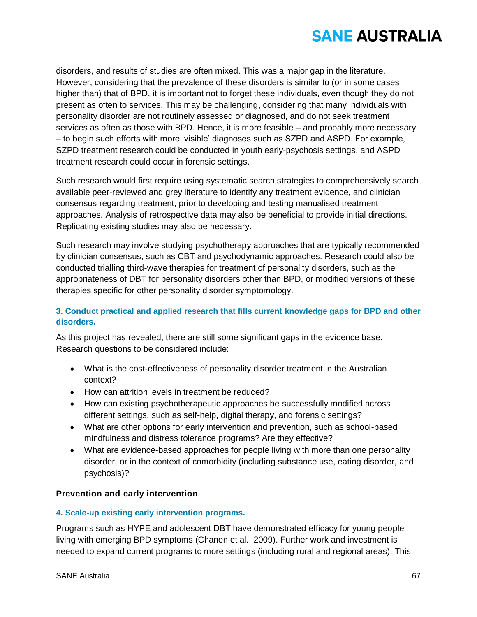

disorders, and results of studies are often mixed. This was a major gap in the literature. However, considering that the prevalence of these disorders is similar to (or in some cases higher than) that of BPD, it is important not to forget these individuals, even though they do not present as often to services. This may be challenging, considering that many individuals with personality disorder are not routinely assessed or diagnosed, and do not seek treatment services as often as those with BPD. Hence, it is more feasible – and probably more necessary – to begin such efforts with more 'visible' diagnoses such as SZPD and ASPD. For example, SZPD treatment research could be conducted in youth early-psychosis settings, and ASPD treatment research could occur in forensic settings.

Such research would first require using systematic search strategies to comprehensively search available peer-reviewed and grey literature to identify any treatment evidence, and clinician consensus regarding treatment, prior to developing and testing manualised treatment approaches. Analysis of retrospective data may also be beneficial to provide initial directions. Replicating existing studies may also be necessary.

Such research may involve studying psychotherapy approaches that are typically recommended by clinician consensus, such as CBT and psychodynamic approaches. Research could also be conducted trialling third-wave therapies for treatment of personality disorders, such as the appropriateness of DBT for personality disorders other than BPD, or modified versions of these therapies specific for other personality disorder symptomology.

## **3. Conduct practical and applied research that fills current knowledge gaps for BPD and other disorders.**

As this project has revealed, there are still some significant gaps in the evidence base. Research questions to be considered include:

- What is the cost-effectiveness of personality disorder treatment in the Australian context?
- How can attrition levels in treatment be reduced?
- How can existing psychotherapeutic approaches be successfully modified across different settings, such as self-help, digital therapy, and forensic settings?
- What are other options for early intervention and prevention, such as school-based mindfulness and distress tolerance programs? Are they effective?
- What are evidence-based approaches for people living with more than one personality disorder, or in the context of comorbidity (including substance use, eating disorder, and psychosis)?

### **Prevention and early intervention**

### **4. Scale-up existing early intervention programs.**

Programs such as HYPE and adolescent DBT have demonstrated efficacy for young people living with emerging BPD symptoms (Chanen et al., 2009). Further work and investment is needed to expand current programs to more settings (including rural and regional areas). This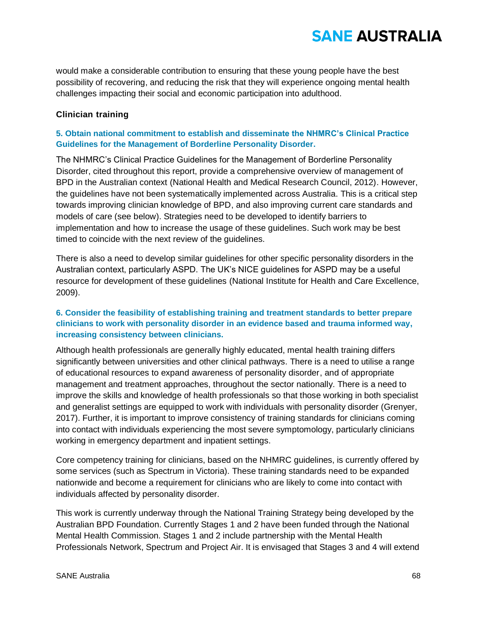would make a considerable contribution to ensuring that these young people have the best possibility of recovering, and reducing the risk that they will experience ongoing mental health challenges impacting their social and economic participation into adulthood.

### **Clinician training**

## **5. Obtain national commitment to establish and disseminate the NHMRC's Clinical Practice Guidelines for the Management of Borderline Personality Disorder.**

The NHMRC's Clinical Practice Guidelines for the Management of Borderline Personality Disorder, cited throughout this report, provide a comprehensive overview of management of BPD in the Australian context (National Health and Medical Research Council, 2012). However, the guidelines have not been systematically implemented across Australia. This is a critical step towards improving clinician knowledge of BPD, and also improving current care standards and models of care (see below). Strategies need to be developed to identify barriers to implementation and how to increase the usage of these guidelines. Such work may be best timed to coincide with the next review of the guidelines.

There is also a need to develop similar guidelines for other specific personality disorders in the Australian context, particularly ASPD. The UK's NICE guidelines for ASPD may be a useful resource for development of these guidelines (National Institute for Health and Care Excellence, 2009).

### **6. Consider the feasibility of establishing training and treatment standards to better prepare clinicians to work with personality disorder in an evidence based and trauma informed way, increasing consistency between clinicians.**

Although health professionals are generally highly educated, mental health training differs significantly between universities and other clinical pathways. There is a need to utilise a range of educational resources to expand awareness of personality disorder, and of appropriate management and treatment approaches, throughout the sector nationally. There is a need to improve the skills and knowledge of health professionals so that those working in both specialist and generalist settings are equipped to work with individuals with personality disorder (Grenyer, 2017). Further, it is important to improve consistency of training standards for clinicians coming into contact with individuals experiencing the most severe symptomology, particularly clinicians working in emergency department and inpatient settings.

Core competency training for clinicians, based on the NHMRC guidelines, is currently offered by some services (such as Spectrum in Victoria). These training standards need to be expanded nationwide and become a requirement for clinicians who are likely to come into contact with individuals affected by personality disorder.

This work is currently underway through the National Training Strategy being developed by the Australian BPD Foundation. Currently Stages 1 and 2 have been funded through the National Mental Health Commission. Stages 1 and 2 include partnership with the Mental Health Professionals Network, Spectrum and Project Air. It is envisaged that Stages 3 and 4 will extend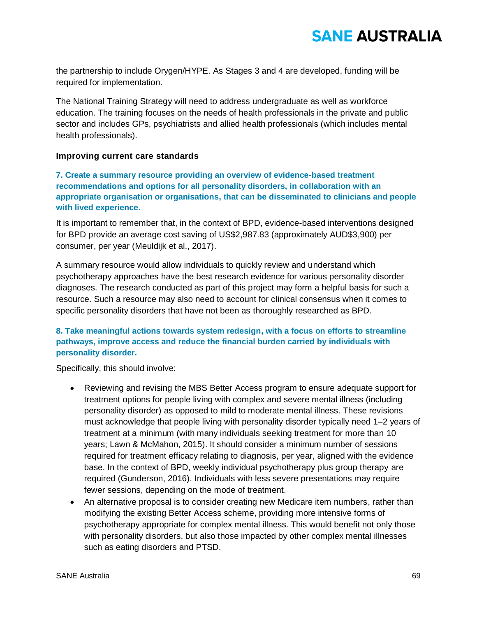the partnership to include Orygen/HYPE. As Stages 3 and 4 are developed, funding will be required for implementation.

The National Training Strategy will need to address undergraduate as well as workforce education. The training focuses on the needs of health professionals in the private and public sector and includes GPs, psychiatrists and allied health professionals (which includes mental health professionals).

### **Improving current care standards**

**7. Create a summary resource providing an overview of evidence-based treatment recommendations and options for all personality disorders, in collaboration with an appropriate organisation or organisations, that can be disseminated to clinicians and people with lived experience.** 

It is important to remember that, in the context of BPD, evidence-based interventions designed for BPD provide an average cost saving of US\$2,987.83 (approximately AUD\$3,900) per consumer, per year (Meuldijk et al., 2017).

A summary resource would allow individuals to quickly review and understand which psychotherapy approaches have the best research evidence for various personality disorder diagnoses. The research conducted as part of this project may form a helpful basis for such a resource. Such a resource may also need to account for clinical consensus when it comes to specific personality disorders that have not been as thoroughly researched as BPD.

## **8. Take meaningful actions towards system redesign, with a focus on efforts to streamline pathways, improve access and reduce the financial burden carried by individuals with personality disorder.**

Specifically, this should involve:

- Reviewing and revising the MBS Better Access program to ensure adequate support for treatment options for people living with complex and severe mental illness (including personality disorder) as opposed to mild to moderate mental illness. These revisions must acknowledge that people living with personality disorder typically need 1–2 years of treatment at a minimum (with many individuals seeking treatment for more than 10 years; Lawn & McMahon, 2015). It should consider a minimum number of sessions required for treatment efficacy relating to diagnosis, per year, aligned with the evidence base. In the context of BPD, weekly individual psychotherapy plus group therapy are required (Gunderson, 2016). Individuals with less severe presentations may require fewer sessions, depending on the mode of treatment.
- An alternative proposal is to consider creating new Medicare item numbers, rather than modifying the existing Better Access scheme, providing more intensive forms of psychotherapy appropriate for complex mental illness. This would benefit not only those with personality disorders, but also those impacted by other complex mental illnesses such as eating disorders and PTSD.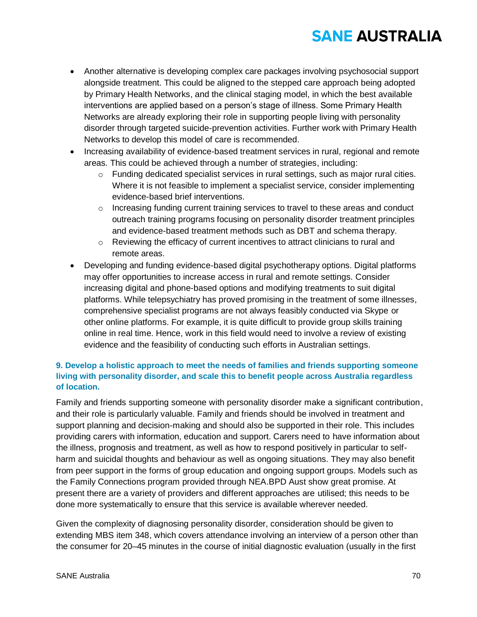- Another alternative is developing complex care packages involving psychosocial support alongside treatment. This could be aligned to the stepped care approach being adopted by Primary Health Networks, and the clinical staging model, in which the best available interventions are applied based on a person's stage of illness. Some Primary Health Networks are already exploring their role in supporting people living with personality disorder through targeted suicide-prevention activities. Further work with Primary Health Networks to develop this model of care is recommended.
- Increasing availability of evidence-based treatment services in rural, regional and remote areas. This could be achieved through a number of strategies, including:
	- $\circ$  Funding dedicated specialist services in rural settings, such as major rural cities. Where it is not feasible to implement a specialist service, consider implementing evidence-based brief interventions.
	- $\circ$  Increasing funding current training services to travel to these areas and conduct outreach training programs focusing on personality disorder treatment principles and evidence-based treatment methods such as DBT and schema therapy.
	- $\circ$  Reviewing the efficacy of current incentives to attract clinicians to rural and remote areas.
- Developing and funding evidence-based digital psychotherapy options. Digital platforms may offer opportunities to increase access in rural and remote settings. Consider increasing digital and phone-based options and modifying treatments to suit digital platforms. While telepsychiatry has proved promising in the treatment of some illnesses, comprehensive specialist programs are not always feasibly conducted via Skype or other online platforms. For example, it is quite difficult to provide group skills training online in real time. Hence, work in this field would need to involve a review of existing evidence and the feasibility of conducting such efforts in Australian settings.

## **9. Develop a holistic approach to meet the needs of families and friends supporting someone living with personality disorder, and scale this to benefit people across Australia regardless of location.**

Family and friends supporting someone with personality disorder make a significant contribution, and their role is particularly valuable. Family and friends should be involved in treatment and support planning and decision-making and should also be supported in their role. This includes providing carers with information, education and support. Carers need to have information about the illness, prognosis and treatment, as well as how to respond positively in particular to selfharm and suicidal thoughts and behaviour as well as ongoing situations. They may also benefit from peer support in the forms of group education and ongoing support groups. Models such as the Family Connections program provided through NEA.BPD Aust show great promise. At present there are a variety of providers and different approaches are utilised; this needs to be done more systematically to ensure that this service is available wherever needed.

Given the complexity of diagnosing personality disorder, consideration should be given to extending MBS item 348, which covers attendance involving an interview of a person other than the consumer for 20–45 minutes in the course of initial diagnostic evaluation (usually in the first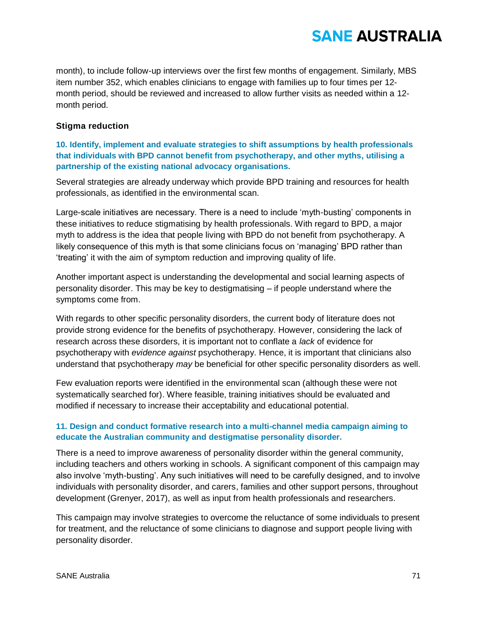month), to include follow-up interviews over the first few months of engagement. Similarly, MBS item number 352, which enables clinicians to engage with families up to four times per 12 month period, should be reviewed and increased to allow further visits as needed within a 12 month period.

### **Stigma reduction**

## **10. Identify, implement and evaluate strategies to shift assumptions by health professionals that individuals with BPD cannot benefit from psychotherapy, and other myths, utilising a partnership of the existing national advocacy organisations.**

Several strategies are already underway which provide BPD training and resources for health professionals, as identified in the environmental scan.

Large-scale initiatives are necessary. There is a need to include 'myth-busting' components in these initiatives to reduce stigmatising by health professionals. With regard to BPD, a major myth to address is the idea that people living with BPD do not benefit from psychotherapy. A likely consequence of this myth is that some clinicians focus on 'managing' BPD rather than 'treating' it with the aim of symptom reduction and improving quality of life.

Another important aspect is understanding the developmental and social learning aspects of personality disorder. This may be key to destigmatising – if people understand where the symptoms come from.

With regards to other specific personality disorders, the current body of literature does not provide strong evidence for the benefits of psychotherapy. However, considering the lack of research across these disorders, it is important not to conflate a *lack* of evidence for psychotherapy with *evidence against* psychotherapy*.* Hence, it is important that clinicians also understand that psychotherapy *may* be beneficial for other specific personality disorders as well.

Few evaluation reports were identified in the environmental scan (although these were not systematically searched for). Where feasible, training initiatives should be evaluated and modified if necessary to increase their acceptability and educational potential.

## **11. Design and conduct formative research into a multi-channel media campaign aiming to educate the Australian community and destigmatise personality disorder.**

There is a need to improve awareness of personality disorder within the general community, including teachers and others working in schools. A significant component of this campaign may also involve 'myth-busting'. Any such initiatives will need to be carefully designed, and to involve individuals with personality disorder, and carers, families and other support persons, throughout development (Grenyer, 2017), as well as input from health professionals and researchers.

This campaign may involve strategies to overcome the reluctance of some individuals to present for treatment, and the reluctance of some clinicians to diagnose and support people living with personality disorder.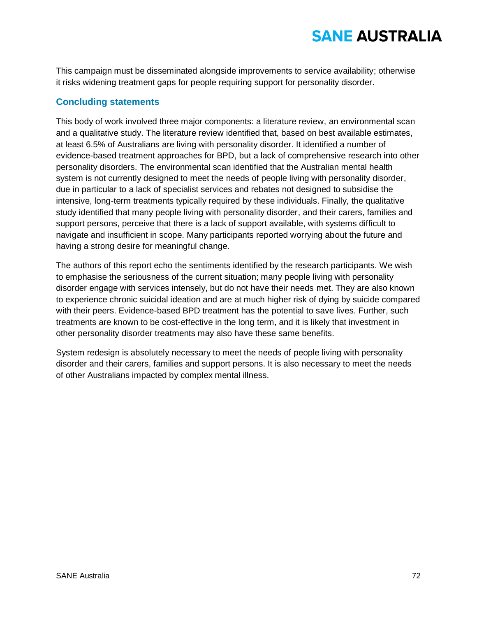This campaign must be disseminated alongside improvements to service availability; otherwise it risks widening treatment gaps for people requiring support for personality disorder.

## **Concluding statements**

This body of work involved three major components: a literature review, an environmental scan and a qualitative study. The literature review identified that, based on best available estimates, at least 6.5% of Australians are living with personality disorder. It identified a number of evidence-based treatment approaches for BPD, but a lack of comprehensive research into other personality disorders. The environmental scan identified that the Australian mental health system is not currently designed to meet the needs of people living with personality disorder, due in particular to a lack of specialist services and rebates not designed to subsidise the intensive, long-term treatments typically required by these individuals. Finally, the qualitative study identified that many people living with personality disorder, and their carers, families and support persons, perceive that there is a lack of support available, with systems difficult to navigate and insufficient in scope. Many participants reported worrying about the future and having a strong desire for meaningful change.

The authors of this report echo the sentiments identified by the research participants. We wish to emphasise the seriousness of the current situation; many people living with personality disorder engage with services intensely, but do not have their needs met. They are also known to experience chronic suicidal ideation and are at much higher risk of dying by suicide compared with their peers. Evidence-based BPD treatment has the potential to save lives. Further, such treatments are known to be cost-effective in the long term, and it is likely that investment in other personality disorder treatments may also have these same benefits.

System redesign is absolutely necessary to meet the needs of people living with personality disorder and their carers, families and support persons. It is also necessary to meet the needs of other Australians impacted by complex mental illness.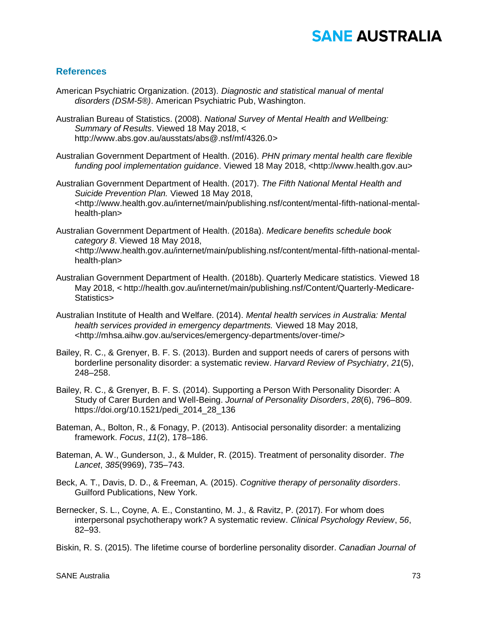#### **References**

- American Psychiatric Organization. (2013). *Diagnostic and statistical manual of mental disorders (DSM-5®)*. American Psychiatric Pub, Washington.
- Australian Bureau of Statistics. (2008). *National Survey of Mental Health and Wellbeing: Summary of Results*. Viewed 18 May 2018, < http://www.abs.gov.au/ausstats/abs@.nsf/mf/4326.0>
- Australian Government Department of Health. (2016). *PHN primary mental health care flexible funding pool implementation guidance*. Viewed 18 May 2018, <http://www.health.gov.au>
- Australian Government Department of Health. (2017). *The Fifth National Mental Health and Suicide Prevention Plan.* Viewed 18 May 2018, <http://www.health.gov.au/internet/main/publishing.nsf/content/mental-fifth-national-mentalhealth-plan>
- Australian Government Department of Health. (2018a). *Medicare benefits schedule book category 8*. Viewed 18 May 2018, <http://www.health.gov.au/internet/main/publishing.nsf/content/mental-fifth-national-mentalhealth-plan>
- Australian Government Department of Health. (2018b). Quarterly Medicare statistics. Viewed 18 May 2018, < http://health.gov.au/internet/main/publishing.nsf/Content/Quarterly-Medicare-Statistics>
- Australian Institute of Health and Welfare. (2014). *Mental health services in Australia: Mental health services provided in emergency departments.* Viewed 18 May 2018, <http://mhsa.aihw.gov.au/services/emergency-departments/over-time/>
- Bailey, R. C., & Grenyer, B. F. S. (2013). Burden and support needs of carers of persons with borderline personality disorder: a systematic review. *Harvard Review of Psychiatry*, *21*(5), 248–258.
- Bailey, R. C., & Grenyer, B. F. S. (2014). Supporting a Person With Personality Disorder: A Study of Carer Burden and Well-Being. *Journal of Personality Disorders*, *28*(6), 796–809. https://doi.org/10.1521/pedi\_2014\_28\_136
- Bateman, A., Bolton, R., & Fonagy, P. (2013). Antisocial personality disorder: a mentalizing framework. *Focus*, *11*(2), 178–186.
- Bateman, A. W., Gunderson, J., & Mulder, R. (2015). Treatment of personality disorder. *The Lancet*, *385*(9969), 735–743.
- Beck, A. T., Davis, D. D., & Freeman, A. (2015). *Cognitive therapy of personality disorders*. Guilford Publications, New York.
- Bernecker, S. L., Coyne, A. E., Constantino, M. J., & Ravitz, P. (2017). For whom does interpersonal psychotherapy work? A systematic review. *Clinical Psychology Review*, *56*, 82–93.
- Biskin, R. S. (2015). The lifetime course of borderline personality disorder. *Canadian Journal of*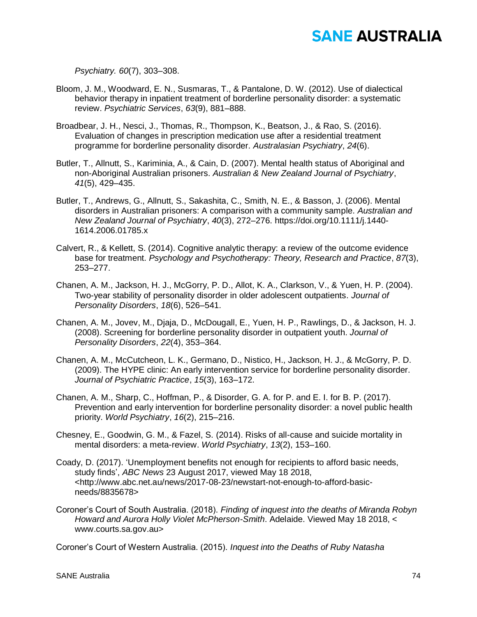*Psychiatry. 60*(7), 303–308.

- Bloom, J. M., Woodward, E. N., Susmaras, T., & Pantalone, D. W. (2012). Use of dialectical behavior therapy in inpatient treatment of borderline personality disorder: a systematic review. *Psychiatric Services*, *63*(9), 881–888.
- Broadbear, J. H., Nesci, J., Thomas, R., Thompson, K., Beatson, J., & Rao, S. (2016). Evaluation of changes in prescription medication use after a residential treatment programme for borderline personality disorder. *Australasian Psychiatry*, *24*(6).
- Butler, T., Allnutt, S., Kariminia, A., & Cain, D. (2007). Mental health status of Aboriginal and non-Aboriginal Australian prisoners. *Australian & New Zealand Journal of Psychiatry*, *41*(5), 429–435.
- Butler, T., Andrews, G., Allnutt, S., Sakashita, C., Smith, N. E., & Basson, J. (2006). Mental disorders in Australian prisoners: A comparison with a community sample. *Australian and New Zealand Journal of Psychiatry*, *40*(3), 272–276. https://doi.org/10.1111/j.1440- 1614.2006.01785.x
- Calvert, R., & Kellett, S. (2014). Cognitive analytic therapy: a review of the outcome evidence base for treatment. *Psychology and Psychotherapy: Theory, Research and Practice*, *87*(3), 253–277.
- Chanen, A. M., Jackson, H. J., McGorry, P. D., Allot, K. A., Clarkson, V., & Yuen, H. P. (2004). Two-year stability of personality disorder in older adolescent outpatients. *Journal of Personality Disorders*, *18*(6), 526–541.
- Chanen, A. M., Jovev, M., Djaja, D., McDougall, E., Yuen, H. P., Rawlings, D., & Jackson, H. J. (2008). Screening for borderline personality disorder in outpatient youth. *Journal of Personality Disorders*, *22*(4), 353–364.
- Chanen, A. M., McCutcheon, L. K., Germano, D., Nistico, H., Jackson, H. J., & McGorry, P. D. (2009). The HYPE clinic: An early intervention service for borderline personality disorder. *Journal of Psychiatric Practice*, *15*(3), 163–172.
- Chanen, A. M., Sharp, C., Hoffman, P., & Disorder, G. A. for P. and E. I. for B. P. (2017). Prevention and early intervention for borderline personality disorder: a novel public health priority. *World Psychiatry*, *16*(2), 215–216.
- Chesney, E., Goodwin, G. M., & Fazel, S. (2014). Risks of all-cause and suicide mortality in mental disorders: a meta-review. *World Psychiatry*, *13*(2), 153–160.
- Coady, D. (2017). 'Unemployment benefits not enough for recipients to afford basic needs, study finds', *ABC News* 23 August 2017, viewed May 18 2018, <http://www.abc.net.au/news/2017-08-23/newstart-not-enough-to-afford-basicneeds/8835678>
- Coroner's Court of South Australia. (2018). *Finding of inquest into the deaths of Miranda Robyn Howard and Aurora Holly Violet McPherson-Smith*. Adelaide. Viewed May 18 2018, < www.courts.sa.gov.au>

Coroner's Court of Western Australia. (2015). *Inquest into the Deaths of Ruby Natasha*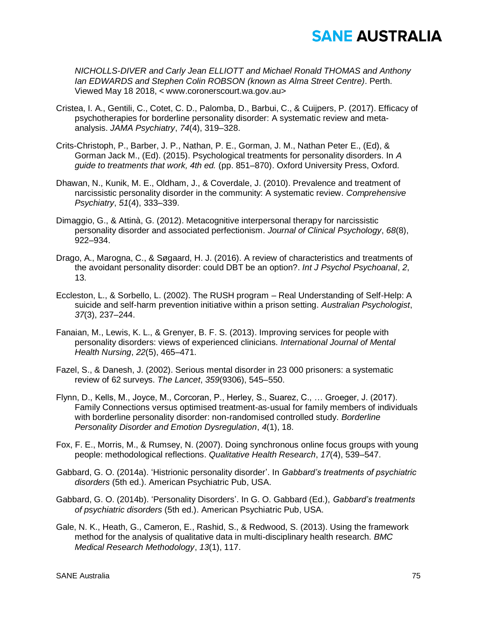*NICHOLLS-DIVER and Carly Jean ELLIOTT and Michael Ronald THOMAS and Anthony Ian EDWARDS and Stephen Colin ROBSON (known as Alma Street Centre)*. Perth. Viewed May 18 2018, < www.coronerscourt.wa.gov.au>

- Cristea, I. A., Gentili, C., Cotet, C. D., Palomba, D., Barbui, C., & Cuijpers, P. (2017). Efficacy of psychotherapies for borderline personality disorder: A systematic review and metaanalysis. *JAMA Psychiatry*, *74*(4), 319–328.
- Crits-Christoph, P., Barber, J. P., Nathan, P. E., Gorman, J. M., Nathan Peter E., (Ed), & Gorman Jack M., (Ed). (2015). Psychological treatments for personality disorders. In *A guide to treatments that work, 4th ed.* (pp. 851–870). Oxford University Press, Oxford.
- Dhawan, N., Kunik, M. E., Oldham, J., & Coverdale, J. (2010). Prevalence and treatment of narcissistic personality disorder in the community: A systematic review. *Comprehensive Psychiatry*, *51*(4), 333–339.
- Dimaggio, G., & Attinà, G. (2012). Metacognitive interpersonal therapy for narcissistic personality disorder and associated perfectionism. *Journal of Clinical Psychology*, *68*(8), 922–934.
- Drago, A., Marogna, C., & Søgaard, H. J. (2016). A review of characteristics and treatments of the avoidant personality disorder: could DBT be an option?. *Int J Psychol Psychoanal*, *2*, 13.
- Eccleston, L., & Sorbello, L. (2002). The RUSH program Real Understanding of Self-Help: A suicide and self-harm prevention initiative within a prison setting. *Australian Psychologist*, *37*(3), 237–244.
- Fanaian, M., Lewis, K. L., & Grenyer, B. F. S. (2013). Improving services for people with personality disorders: views of experienced clinicians. *International Journal of Mental Health Nursing*, *22*(5), 465–471.
- Fazel, S., & Danesh, J. (2002). Serious mental disorder in 23 000 prisoners: a systematic review of 62 surveys. *The Lancet*, *359*(9306), 545–550.
- Flynn, D., Kells, M., Joyce, M., Corcoran, P., Herley, S., Suarez, C., … Groeger, J. (2017). Family Connections versus optimised treatment-as-usual for family members of individuals with borderline personality disorder: non-randomised controlled study. *Borderline Personality Disorder and Emotion Dysregulation*, *4*(1), 18.
- Fox, F. E., Morris, M., & Rumsey, N. (2007). Doing synchronous online focus groups with young people: methodological reflections. *Qualitative Health Research*, *17*(4), 539–547.
- Gabbard, G. O. (2014a). 'Histrionic personality disorder'. In *Gabbard's treatments of psychiatric disorders* (5th ed.). American Psychiatric Pub, USA.
- Gabbard, G. O. (2014b). 'Personality Disorders'. In G. O. Gabbard (Ed.), *Gabbard's treatments of psychiatric disorders* (5th ed.). American Psychiatric Pub, USA.
- Gale, N. K., Heath, G., Cameron, E., Rashid, S., & Redwood, S. (2013). Using the framework method for the analysis of qualitative data in multi-disciplinary health research. *BMC Medical Research Methodology*, *13*(1), 117.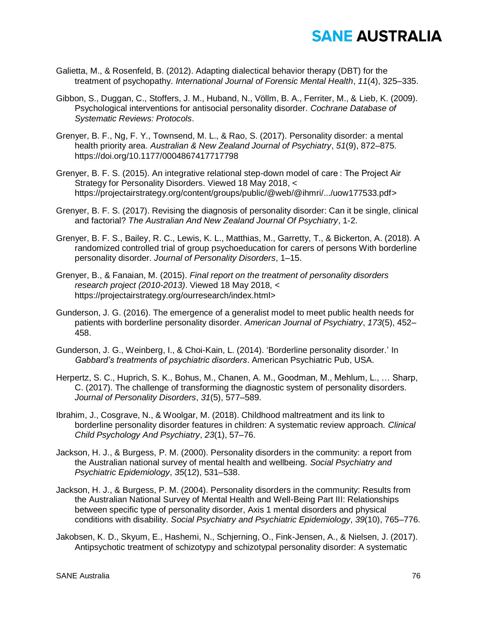- Galietta, M., & Rosenfeld, B. (2012). Adapting dialectical behavior therapy (DBT) for the treatment of psychopathy. *International Journal of Forensic Mental Health*, *11*(4), 325–335.
- Gibbon, S., Duggan, C., Stoffers, J. M., Huband, N., Völlm, B. A., Ferriter, M., & Lieb, K. (2009). Psychological interventions for antisocial personality disorder. *Cochrane Database of Systematic Reviews: Protocols*.
- Grenyer, B. F., Ng, F. Y., Townsend, M. L., & Rao, S. (2017). Personality disorder: a mental health priority area. *Australian & New Zealand Journal of Psychiatry*, *51*(9), 872–875. https://doi.org/10.1177/0004867417717798
- Grenyer, B. F. S. (2015). An integrative relational step-down model of care : The Project Air Strategy for Personality Disorders. Viewed 18 May 2018, < https://projectairstrategy.org/content/groups/public/@web/@ihmri/.../uow177533.pdf>
- Grenyer, B. F. S. (2017). Revising the diagnosis of personality disorder: Can it be single, clinical and factorial? *The Australian And New Zealand Journal Of Psychiatry*, 1-2.
- Grenyer, B. F. S., Bailey, R. C., Lewis, K. L., Matthias, M., Garretty, T., & Bickerton, A. (2018). A randomized controlled trial of group psychoeducation for carers of persons With borderline personality disorder. *Journal of Personality Disorders*, 1–15.
- Grenyer, B., & Fanaian, M. (2015). *Final report on the treatment of personality disorders research project (2010-2013)*. Viewed 18 May 2018, < https://projectairstrategy.org/ourresearch/index.html>
- Gunderson, J. G. (2016). The emergence of a generalist model to meet public health needs for patients with borderline personality disorder. *American Journal of Psychiatry*, *173*(5), 452– 458.
- Gunderson, J. G., Weinberg, I., & Choi-Kain, L. (2014). 'Borderline personality disorder.' In *Gabbard's treatments of psychiatric disorders*. American Psychiatric Pub, USA.
- Herpertz, S. C., Huprich, S. K., Bohus, M., Chanen, A. M., Goodman, M., Mehlum, L., … Sharp, C. (2017). The challenge of transforming the diagnostic system of personality disorders. *Journal of Personality Disorders*, *31*(5), 577–589.
- Ibrahim, J., Cosgrave, N., & Woolgar, M. (2018). Childhood maltreatment and its link to borderline personality disorder features in children: A systematic review approach. *Clinical Child Psychology And Psychiatry*, *23*(1), 57–76.
- Jackson, H. J., & Burgess, P. M. (2000). Personality disorders in the community: a report from the Australian national survey of mental health and wellbeing. *Social Psychiatry and Psychiatric Epidemiology*, *35*(12), 531–538.
- Jackson, H. J., & Burgess, P. M. (2004). Personality disorders in the community: Results from the Australian National Survey of Mental Health and Well-Being Part III: Relationships between specific type of personality disorder, Axis 1 mental disorders and physical conditions with disability. *Social Psychiatry and Psychiatric Epidemiology*, *39*(10), 765–776.
- Jakobsen, K. D., Skyum, E., Hashemi, N., Schjerning, O., Fink-Jensen, A., & Nielsen, J. (2017). Antipsychotic treatment of schizotypy and schizotypal personality disorder: A systematic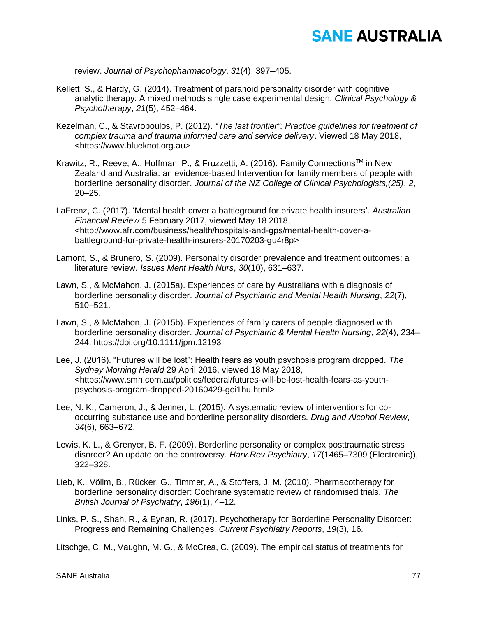review. *Journal of Psychopharmacology*, *31*(4), 397–405.

- Kellett, S., & Hardy, G. (2014). Treatment of paranoid personality disorder with cognitive analytic therapy: A mixed methods single case experimental design. *Clinical Psychology & Psychotherapy*, *21*(5), 452–464.
- Kezelman, C., & Stavropoulos, P. (2012). *"The last frontier": Practice guidelines for treatment of complex trauma and trauma informed care and service delivery*. Viewed 18 May 2018, <https://www.blueknot.org.au>
- Krawitz, R., Reeve, A., Hoffman, P., & Fruzzetti, A. (2016). Family Connections<sup>™</sup> in New Zealand and Australia: an evidence-based Intervention for family members of people with borderline personality disorder. *Journal of the NZ College of Clinical Psychologists,(25)*, *2*, 20–25.
- LaFrenz, C. (2017). 'Mental health cover a battleground for private health insurers'. *Australian Financial Review* 5 February 2017, viewed May 18 2018, <http://www.afr.com/business/health/hospitals-and-gps/mental-health-cover-abattleground-for-private-health-insurers-20170203-gu4r8p>
- Lamont, S., & Brunero, S. (2009). Personality disorder prevalence and treatment outcomes: a literature review. *Issues Ment Health Nurs*, *30*(10), 631–637.
- Lawn, S., & McMahon, J. (2015a). Experiences of care by Australians with a diagnosis of borderline personality disorder. *Journal of Psychiatric and Mental Health Nursing*, *22*(7), 510–521.
- Lawn, S., & McMahon, J. (2015b). Experiences of family carers of people diagnosed with borderline personality disorder. *Journal of Psychiatric & Mental Health Nursing*, *22*(4), 234– 244. https://doi.org/10.1111/jpm.12193
- Lee, J. (2016). "Futures will be lost": Health fears as youth psychosis program dropped. *The Sydney Morning Herald* 29 April 2016, viewed 18 May 2018, <https://www.smh.com.au/politics/federal/futures-will-be-lost-health-fears-as-youthpsychosis-program-dropped-20160429-goi1hu.html>
- Lee, N. K., Cameron, J., & Jenner, L. (2015). A systematic review of interventions for cooccurring substance use and borderline personality disorders. *Drug and Alcohol Review*, *34*(6), 663–672.
- Lewis, K. L., & Grenyer, B. F. (2009). Borderline personality or complex posttraumatic stress disorder? An update on the controversy. *Harv.Rev.Psychiatry*, *17*(1465–7309 (Electronic)), 322–328.
- Lieb, K., Völlm, B., Rücker, G., Timmer, A., & Stoffers, J. M. (2010). Pharmacotherapy for borderline personality disorder: Cochrane systematic review of randomised trials. *The British Journal of Psychiatry*, *196*(1), 4–12.
- Links, P. S., Shah, R., & Eynan, R. (2017). Psychotherapy for Borderline Personality Disorder: Progress and Remaining Challenges. *Current Psychiatry Reports*, *19*(3), 16.

Litschge, C. M., Vaughn, M. G., & McCrea, C. (2009). The empirical status of treatments for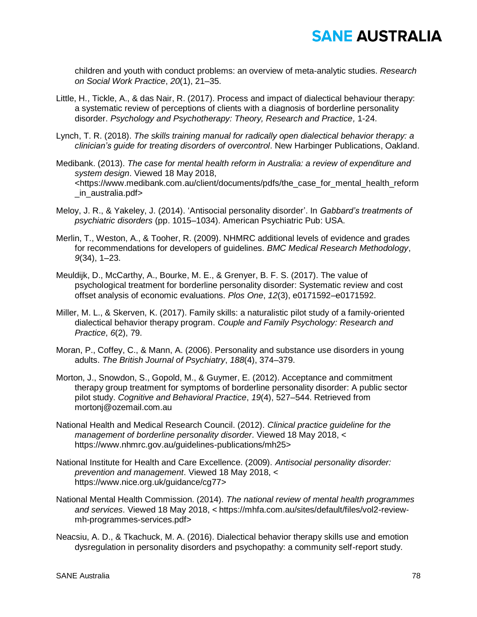children and youth with conduct problems: an overview of meta-analytic studies. *Research on Social Work Practice*, *20*(1), 21–35.

- Little, H., Tickle, A., & das Nair, R. (2017). Process and impact of dialectical behaviour therapy: a systematic review of perceptions of clients with a diagnosis of borderline personality disorder. *Psychology and Psychotherapy: Theory, Research and Practice,* 1-24.
- Lynch, T. R. (2018). *The skills training manual for radically open dialectical behavior therapy: a clinician's guide for treating disorders of overcontrol*. New Harbinger Publications, Oakland.
- Medibank. (2013). *The case for mental health reform in Australia: a review of expenditure and system design*. Viewed 18 May 2018, <https://www.medibank.com.au/client/documents/pdfs/the\_case\_for\_mental\_health\_reform \_in\_australia.pdf>
- Meloy, J. R., & Yakeley, J. (2014). 'Antisocial personality disorder'. In *Gabbard's treatments of psychiatric disorders* (pp. 1015–1034). American Psychiatric Pub: USA.
- Merlin, T., Weston, A., & Tooher, R. (2009). NHMRC additional levels of evidence and grades for recommendations for developers of guidelines. *BMC Medical Research Methodology*, *9*(34), 1–23.
- Meuldijk, D., McCarthy, A., Bourke, M. E., & Grenyer, B. F. S. (2017). The value of psychological treatment for borderline personality disorder: Systematic review and cost offset analysis of economic evaluations. *Plos One*, *12*(3), e0171592–e0171592.
- Miller, M. L., & Skerven, K. (2017). Family skills: a naturalistic pilot study of a family-oriented dialectical behavior therapy program. *Couple and Family Psychology: Research and Practice*, *6*(2), 79.
- Moran, P., Coffey, C., & Mann, A. (2006). Personality and substance use disorders in young adults. *The British Journal of Psychiatry*, *188*(4), 374–379.
- Morton, J., Snowdon, S., Gopold, M., & Guymer, E. (2012). Acceptance and commitment therapy group treatment for symptoms of borderline personality disorder: A public sector pilot study. *Cognitive and Behavioral Practice*, *19*(4), 527–544. Retrieved from mortonj@ozemail.com.au
- National Health and Medical Research Council. (2012). *Clinical practice guideline for the management of borderline personality disorder*. Viewed 18 May 2018, < https://www.nhmrc.gov.au/guidelines-publications/mh25>
- National Institute for Health and Care Excellence. (2009). *Antisocial personality disorder: prevention and management*. Viewed 18 May 2018, < https://www.nice.org.uk/guidance/cg77>
- National Mental Health Commission. (2014). *The national review of mental health programmes and services*. Viewed 18 May 2018, < https://mhfa.com.au/sites/default/files/vol2-reviewmh-programmes-services.pdf>
- Neacsiu, A. D., & Tkachuck, M. A. (2016). Dialectical behavior therapy skills use and emotion dysregulation in personality disorders and psychopathy: a community self-report study.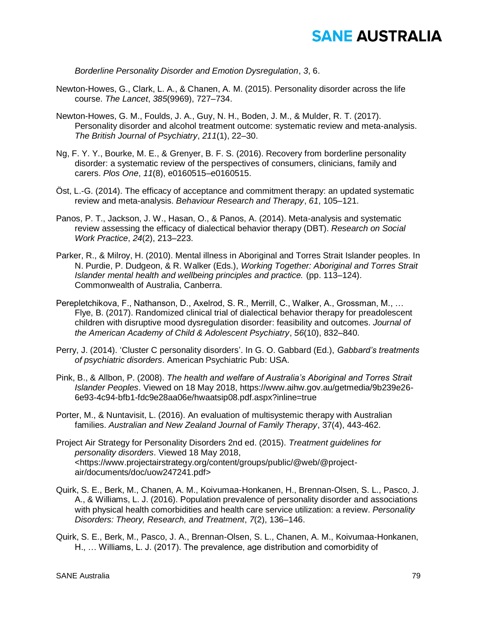*Borderline Personality Disorder and Emotion Dysregulation*, *3*, 6.

- Newton-Howes, G., Clark, L. A., & Chanen, A. M. (2015). Personality disorder across the life course. *The Lancet*, *385*(9969), 727–734.
- Newton-Howes, G. M., Foulds, J. A., Guy, N. H., Boden, J. M., & Mulder, R. T. (2017). Personality disorder and alcohol treatment outcome: systematic review and meta-analysis. *The British Journal of Psychiatry*, *211*(1), 22–30.
- Ng, F. Y. Y., Bourke, M. E., & Grenyer, B. F. S. (2016). Recovery from borderline personality disorder: a systematic review of the perspectives of consumers, clinicians, family and carers. *Plos One*, *11*(8), e0160515–e0160515.
- Öst, L.-G. (2014). The efficacy of acceptance and commitment therapy: an updated systematic review and meta-analysis. *Behaviour Research and Therapy*, *61*, 105–121.
- Panos, P. T., Jackson, J. W., Hasan, O., & Panos, A. (2014). Meta-analysis and systematic review assessing the efficacy of dialectical behavior therapy (DBT). *Research on Social Work Practice*, *24*(2), 213–223.
- Parker, R., & Milroy, H. (2010). Mental illness in Aboriginal and Torres Strait Islander peoples. In N. Purdie, P. Dudgeon, & R. Walker (Eds.), *Working Together: Aboriginal and Torres Strait Islander mental health and wellbeing principles and practice.* (pp. 113–124). Commonwealth of Australia, Canberra.
- Perepletchikova, F., Nathanson, D., Axelrod, S. R., Merrill, C., Walker, A., Grossman, M., … Flye, B. (2017). Randomized clinical trial of dialectical behavior therapy for preadolescent children with disruptive mood dysregulation disorder: feasibility and outcomes. *Journal of the American Academy of Child & Adolescent Psychiatry*, *56*(10), 832–840.
- Perry, J. (2014). 'Cluster C personality disorders'. In G. O. Gabbard (Ed.), *Gabbard's treatments of psychiatric disorders*. American Psychiatric Pub: USA.
- Pink, B., & Allbon, P. (2008). *The health and welfare of Australia's Aboriginal and Torres Strait Islander Peoples*. Viewed on 18 May 2018, https://www.aihw.gov.au/getmedia/9b239e26- 6e93-4c94-bfb1-fdc9e28aa06e/hwaatsip08.pdf.aspx?inline=true
- Porter, M., & Nuntavisit, L. (2016). An evaluation of multisystemic therapy with Australian families. *Australian and New Zealand Journal of Family Therapy*, 37(4), 443-462.
- Project Air Strategy for Personality Disorders 2nd ed. (2015). *Treatment guidelines for personality disorders*. Viewed 18 May 2018, <https://www.projectairstrategy.org/content/groups/public/@web/@projectair/documents/doc/uow247241.pdf>
- Quirk, S. E., Berk, M., Chanen, A. M., Koivumaa-Honkanen, H., Brennan-Olsen, S. L., Pasco, J. A., & Williams, L. J. (2016). Population prevalence of personality disorder and associations with physical health comorbidities and health care service utilization: a review. *Personality Disorders: Theory, Research, and Treatment*, *7*(2), 136–146.
- Quirk, S. E., Berk, M., Pasco, J. A., Brennan-Olsen, S. L., Chanen, A. M., Koivumaa-Honkanen, H., … Williams, L. J. (2017). The prevalence, age distribution and comorbidity of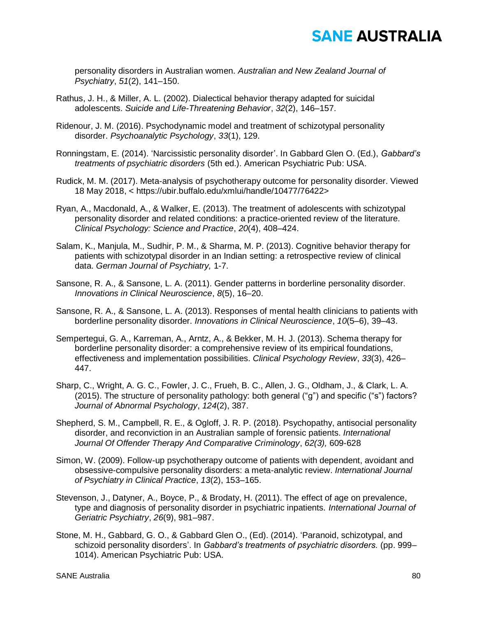personality disorders in Australian women. *Australian and New Zealand Journal of Psychiatry*, *51*(2), 141–150.

- Rathus, J. H., & Miller, A. L. (2002). Dialectical behavior therapy adapted for suicidal adolescents. *Suicide and Life-Threatening Behavior*, *32*(2), 146–157.
- Ridenour, J. M. (2016). Psychodynamic model and treatment of schizotypal personality disorder. *Psychoanalytic Psychology*, *33*(1), 129.
- Ronningstam, E. (2014). 'Narcissistic personality disorder'. In Gabbard Glen O. (Ed.), *Gabbard's treatments of psychiatric disorders* (5th ed.). American Psychiatric Pub: USA.
- Rudick, M. M. (2017). Meta-analysis of psychotherapy outcome for personality disorder. Viewed 18 May 2018, < https://ubir.buffalo.edu/xmlui/handle/10477/76422>
- Ryan, A., Macdonald, A., & Walker, E. (2013). The treatment of adolescents with schizotypal personality disorder and related conditions: a practice‐oriented review of the literature. *Clinical Psychology: Science and Practice*, *20*(4), 408–424.
- Salam, K., Manjula, M., Sudhir, P. M., & Sharma, M. P. (2013). Cognitive behavior therapy for patients with schizotypal disorder in an Indian setting: a retrospective review of clinical data. *German Journal of Psychiatry,* 1-7.
- Sansone, R. A., & Sansone, L. A. (2011). Gender patterns in borderline personality disorder. *Innovations in Clinical Neuroscience*, *8*(5), 16–20.
- Sansone, R. A., & Sansone, L. A. (2013). Responses of mental health clinicians to patients with borderline personality disorder. *Innovations in Clinical Neuroscience*, *10*(5–6), 39–43.
- Sempertegui, G. A., Karreman, A., Arntz, A., & Bekker, M. H. J. (2013). Schema therapy for borderline personality disorder: a comprehensive review of its empirical foundations, effectiveness and implementation possibilities. *Clinical Psychology Review*, *33*(3), 426– 447.
- Sharp, C., Wright, A. G. C., Fowler, J. C., Frueh, B. C., Allen, J. G., Oldham, J., & Clark, L. A. (2015). The structure of personality pathology: both general ("g") and specific ("s") factors? *Journal of Abnormal Psychology*, *124*(2), 387.
- Shepherd, S. M., Campbell, R. E., & Ogloff, J. R. P. (2018). Psychopathy, antisocial personality disorder, and reconviction in an Australian sample of forensic patients. *International Journal Of Offender Therapy And Comparative Criminology*, *62(3),* 609-628
- Simon, W. (2009). Follow-up psychotherapy outcome of patients with dependent, avoidant and obsessive-compulsive personality disorders: a meta-analytic review. *International Journal of Psychiatry in Clinical Practice*, *13*(2), 153–165.
- Stevenson, J., Datyner, A., Boyce, P., & Brodaty, H. (2011). The effect of age on prevalence, type and diagnosis of personality disorder in psychiatric inpatients. *International Journal of Geriatric Psychiatry*, *26*(9), 981–987.
- Stone, M. H., Gabbard, G. O., & Gabbard Glen O., (Ed). (2014). 'Paranoid, schizotypal, and schizoid personality disorders'. In *Gabbard's treatments of psychiatric disorders.* (pp. 999– 1014). American Psychiatric Pub: USA.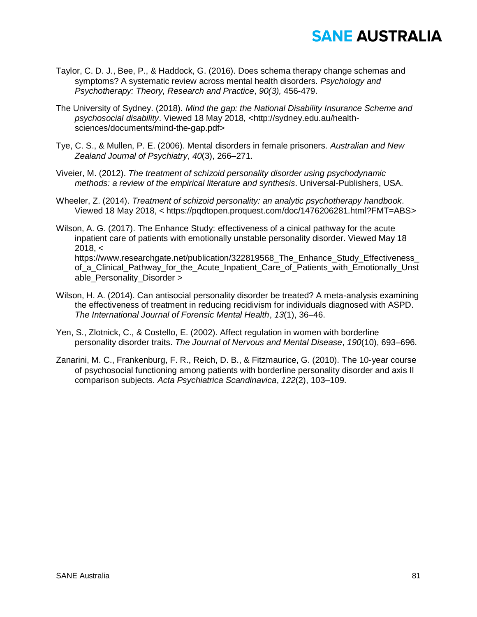- Taylor, C. D. J., Bee, P., & Haddock, G. (2016). Does schema therapy change schemas and symptoms? A systematic review across mental health disorders. *Psychology and Psychotherapy: Theory, Research and Practice*, *90(3),* 456-479.
- The University of Sydney. (2018). *Mind the gap: the National Disability Insurance Scheme and psychosocial disability*. Viewed 18 May 2018, <http://sydney.edu.au/healthsciences/documents/mind-the-gap.pdf>
- Tye, C. S., & Mullen, P. E. (2006). Mental disorders in female prisoners. *Australian and New Zealand Journal of Psychiatry*, *40*(3), 266–271.
- Viveier, M. (2012). *The treatment of schizoid personality disorder using psychodynamic methods: a review of the empirical literature and synthesis*. Universal-Publishers, USA.
- Wheeler, Z. (2014). *Treatment of schizoid personality: an analytic psychotherapy handbook*. Viewed 18 May 2018, < https://pqdtopen.proquest.com/doc/1476206281.html?FMT=ABS>
- Wilson, A. G. (2017). The Enhance Study: effectiveness of a cinical pathway for the acute inpatient care of patients with emotionally unstable personality disorder. Viewed May 18  $2018, <$ https://www.researchgate.net/publication/322819568\_The\_Enhance\_Study\_Effectiveness\_ of a Clinical Pathway for the Acute Inpatient Care of Patients with Emotionally Unst able Personality Disorder >
- Wilson, H. A. (2014). Can antisocial personality disorder be treated? A meta-analysis examining the effectiveness of treatment in reducing recidivism for individuals diagnosed with ASPD. *The International Journal of Forensic Mental Health*, *13*(1), 36–46.
- Yen, S., Zlotnick, C., & Costello, E. (2002). Affect regulation in women with borderline personality disorder traits. *The Journal of Nervous and Mental Disease*, *190*(10), 693–696.
- Zanarini, M. C., Frankenburg, F. R., Reich, D. B., & Fitzmaurice, G. (2010). The 10‐year course of psychosocial functioning among patients with borderline personality disorder and axis II comparison subjects. *Acta Psychiatrica Scandinavica*, *122*(2), 103–109.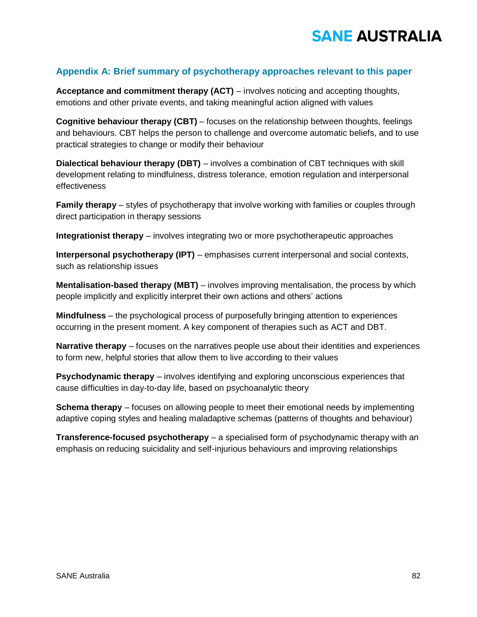#### **Appendix A: Brief summary of psychotherapy approaches relevant to this paper**

**Acceptance and commitment therapy (ACT)** – involves noticing and accepting thoughts, emotions and other private events, and taking meaningful action aligned with values

**Cognitive behaviour therapy (CBT)** – focuses on the relationship between thoughts, feelings and behaviours. CBT helps the person to challenge and overcome automatic beliefs, and to use practical strategies to change or modify their behaviour

**Dialectical behaviour therapy (DBT)** – involves a combination of CBT techniques with skill development relating to mindfulness, distress tolerance, emotion regulation and interpersonal effectiveness

**Family therapy** – styles of psychotherapy that involve working with families or couples through direct participation in therapy sessions

**Integrationist therapy** – involves integrating two or more psychotherapeutic approaches

**Interpersonal psychotherapy (IPT)** – emphasises current interpersonal and social contexts, such as relationship issues

**Mentalisation-based therapy (MBT)** – involves improving mentalisation, the process by which people implicitly and explicitly interpret their own actions and others' actions

**Mindfulness** – the psychological process of purposefully bringing attention to experiences occurring in the present moment. A key component of therapies such as ACT and DBT.

**Narrative therapy** – focuses on the narratives people use about their identities and experiences to form new, helpful stories that allow them to live according to their values

**Psychodynamic therapy** – involves identifying and exploring unconscious experiences that cause difficulties in day-to-day life, based on psychoanalytic theory

**Schema therapy** – focuses on allowing people to meet their emotional needs by implementing adaptive coping styles and healing maladaptive schemas (patterns of thoughts and behaviour)

**Transference-focused psychotherapy** – a specialised form of psychodynamic therapy with an emphasis on reducing suicidality and self-injurious behaviours and improving relationships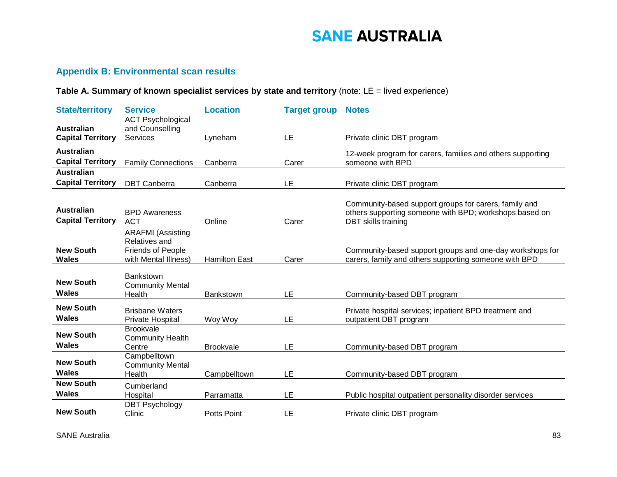#### **Appendix B: Environmental scan results**

#### **Table A. Summary of known specialist services by state and territory** (note: LE = lived experience)

| <b>State/territory</b>                        | <b>Service</b>                                                                                | <b>Location</b>      | <b>Target group</b> | <b>Notes</b>                                                                                                                           |
|-----------------------------------------------|-----------------------------------------------------------------------------------------------|----------------------|---------------------|----------------------------------------------------------------------------------------------------------------------------------------|
| <b>Australian</b><br><b>Capital Territory</b> | <b>ACT Psychological</b><br>and Counselling<br><b>Services</b>                                | Lyneham              | LE                  | Private clinic DBT program                                                                                                             |
|                                               |                                                                                               |                      |                     |                                                                                                                                        |
| <b>Australian</b>                             |                                                                                               |                      |                     | 12-week program for carers, families and others supporting                                                                             |
| <b>Capital Territory</b>                      | <b>Family Connections</b>                                                                     | Canberra             | Carer               | someone with BPD                                                                                                                       |
| <b>Australian</b>                             |                                                                                               |                      |                     |                                                                                                                                        |
| <b>Capital Territory</b>                      | <b>DBT</b> Canberra                                                                           | Canberra             | LE                  | Private clinic DBT program                                                                                                             |
| <b>Australian</b><br><b>Capital Territory</b> | <b>BPD Awareness</b><br><b>ACT</b>                                                            | Online               | Carer               | Community-based support groups for carers, family and<br>others supporting someone with BPD; workshops based on<br>DBT skills training |
| <b>New South</b><br><b>Wales</b>              | <b>ARAFMI</b> (Assisting<br>Relatives and<br><b>Friends of People</b><br>with Mental Illness) | <b>Hamilton East</b> | Carer               | Community-based support groups and one-day workshops for<br>carers, family and others supporting someone with BPD                      |
| <b>New South</b><br><b>Wales</b>              | <b>Bankstown</b><br><b>Community Mental</b><br>Health                                         | Bankstown            | LE                  | Community-based DBT program                                                                                                            |
| <b>New South</b>                              | <b>Brisbane Waters</b>                                                                        |                      |                     | Private hospital services; inpatient BPD treatment and                                                                                 |
| Wales                                         | Private Hospital                                                                              | Woy Woy              | LE                  | outpatient DBT program                                                                                                                 |
| <b>New South</b><br><b>Wales</b>              | <b>Brookvale</b><br><b>Community Health</b><br>Centre                                         | <b>Brookvale</b>     | LE                  | Community-based DBT program                                                                                                            |
| <b>New South</b><br><b>Wales</b>              | Campbelltown<br><b>Community Mental</b><br>Health                                             | Campbelltown         | LE                  | Community-based DBT program                                                                                                            |
| <b>New South</b><br><b>Wales</b>              | Cumberland<br>Hospital                                                                        | Parramatta           | LE                  | Public hospital outpatient personality disorder services                                                                               |
| <b>New South</b>                              | <b>DBT Psychology</b><br>Clinic                                                               | <b>Potts Point</b>   | LE                  | Private clinic DBT program                                                                                                             |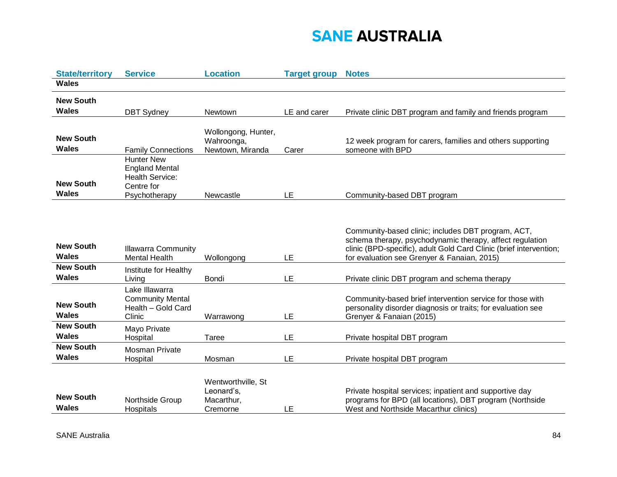| <b>State/territory</b>           | <b>Service</b>                                                                     | <b>Location</b>                                            | <b>Target group</b> | <b>Notes</b>                                                                                                                                                                                                                        |
|----------------------------------|------------------------------------------------------------------------------------|------------------------------------------------------------|---------------------|-------------------------------------------------------------------------------------------------------------------------------------------------------------------------------------------------------------------------------------|
| <b>Wales</b>                     |                                                                                    |                                                            |                     |                                                                                                                                                                                                                                     |
| <b>New South</b>                 |                                                                                    |                                                            |                     |                                                                                                                                                                                                                                     |
| <b>Wales</b>                     | <b>DBT Sydney</b>                                                                  | Newtown                                                    | LE and carer        | Private clinic DBT program and family and friends program                                                                                                                                                                           |
| <b>New South</b><br>Wales        | <b>Family Connections</b>                                                          | Wollongong, Hunter,<br>Wahroonga,<br>Newtown, Miranda      | Carer               | 12 week program for carers, families and others supporting<br>someone with BPD                                                                                                                                                      |
| <b>New South</b><br><b>Wales</b> | <b>Hunter New</b><br><b>England Mental</b><br><b>Health Service:</b><br>Centre for |                                                            |                     |                                                                                                                                                                                                                                     |
|                                  | Psychotherapy                                                                      | Newcastle                                                  | LE                  | Community-based DBT program                                                                                                                                                                                                         |
| <b>New South</b><br>Wales        | <b>Illawarra Community</b><br><b>Mental Health</b>                                 | Wollongong                                                 | LE                  | Community-based clinic; includes DBT program, ACT,<br>schema therapy, psychodynamic therapy, affect regulation<br>clinic (BPD-specific), adult Gold Card Clinic (brief intervention;<br>for evaluation see Grenyer & Fanaian, 2015) |
| <b>New South</b><br><b>Wales</b> | Institute for Healthy<br>Living                                                    | Bondi                                                      | LE                  | Private clinic DBT program and schema therapy                                                                                                                                                                                       |
| <b>New South</b><br><b>Wales</b> | Lake Illawarra<br><b>Community Mental</b><br>Health - Gold Card<br>Clinic          | Warrawong                                                  | LE                  | Community-based brief intervention service for those with<br>personality disorder diagnosis or traits; for evaluation see<br>Grenyer & Fanaian (2015)                                                                               |
| <b>New South</b><br><b>Wales</b> | Mayo Private<br>Hospital                                                           | Taree                                                      | LE                  | Private hospital DBT program                                                                                                                                                                                                        |
| <b>New South</b><br><b>Wales</b> | <b>Mosman Private</b><br>Hospital                                                  | Mosman                                                     | LE                  | Private hospital DBT program                                                                                                                                                                                                        |
| <b>New South</b><br><b>Wales</b> | Northside Group<br>Hospitals                                                       | Wentworthville, St<br>Leonard's,<br>Macarthur,<br>Cremorne | LE                  | Private hospital services; inpatient and supportive day<br>programs for BPD (all locations), DBT program (Northside<br>West and Northside Macarthur clinics)                                                                        |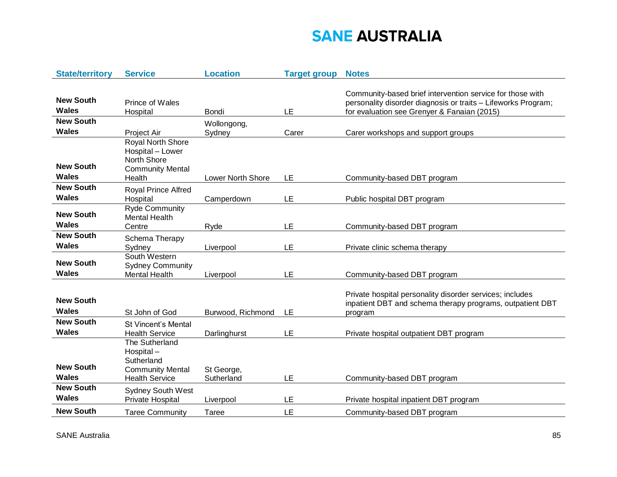| <b>State/territory</b>           | <b>Service</b>                                                                                   | <b>Location</b>          | <b>Target group</b> | <b>Notes</b>                                                                                                                                                              |
|----------------------------------|--------------------------------------------------------------------------------------------------|--------------------------|---------------------|---------------------------------------------------------------------------------------------------------------------------------------------------------------------------|
| <b>New South</b><br><b>Wales</b> | Prince of Wales<br>Hospital                                                                      | Bondi                    | LE                  | Community-based brief intervention service for those with<br>personality disorder diagnosis or traits - Lifeworks Program;<br>for evaluation see Grenyer & Fanaian (2015) |
| <b>New South</b>                 |                                                                                                  | Wollongong,              |                     |                                                                                                                                                                           |
| <b>Wales</b>                     | Project Air                                                                                      | Sydney                   | Carer               | Carer workshops and support groups                                                                                                                                        |
| <b>New South</b><br>Wales        | Royal North Shore<br>Hospital - Lower<br><b>North Shore</b><br><b>Community Mental</b><br>Health | Lower North Shore        | LE                  | Community-based DBT program                                                                                                                                               |
| <b>New South</b>                 | Royal Prince Alfred                                                                              |                          |                     |                                                                                                                                                                           |
| <b>Wales</b>                     | Hospital                                                                                         | Camperdown               | LE                  | Public hospital DBT program                                                                                                                                               |
| <b>New South</b><br><b>Wales</b> | <b>Ryde Community</b><br><b>Mental Health</b><br>Centre                                          | Ryde                     | LE                  | Community-based DBT program                                                                                                                                               |
| <b>New South</b>                 | Schema Therapy                                                                                   |                          |                     |                                                                                                                                                                           |
| <b>Wales</b>                     | Sydney                                                                                           | Liverpool                | LE                  | Private clinic schema therapy                                                                                                                                             |
| <b>New South</b><br>Wales        | South Western<br><b>Sydney Community</b><br><b>Mental Health</b>                                 | Liverpool                | LE                  | Community-based DBT program                                                                                                                                               |
| <b>New South</b><br><b>Wales</b> | St John of God                                                                                   | Burwood, Richmond        | LE                  | Private hospital personality disorder services; includes<br>inpatient DBT and schema therapy programs, outpatient DBT<br>program                                          |
| <b>New South</b>                 | <b>St Vincent's Mental</b>                                                                       |                          |                     |                                                                                                                                                                           |
| Wales                            | <b>Health Service</b>                                                                            | Darlinghurst             | LE                  | Private hospital outpatient DBT program                                                                                                                                   |
| <b>New South</b><br><b>Wales</b> | The Sutherland<br>Hospital-<br>Sutherland<br><b>Community Mental</b><br><b>Health Service</b>    | St George,<br>Sutherland | LE                  | Community-based DBT program                                                                                                                                               |
| <b>New South</b><br><b>Wales</b> | <b>Sydney South West</b><br>Private Hospital                                                     | Liverpool                | LE                  | Private hospital inpatient DBT program                                                                                                                                    |
| <b>New South</b>                 | <b>Taree Community</b>                                                                           | Taree                    | LE                  | Community-based DBT program                                                                                                                                               |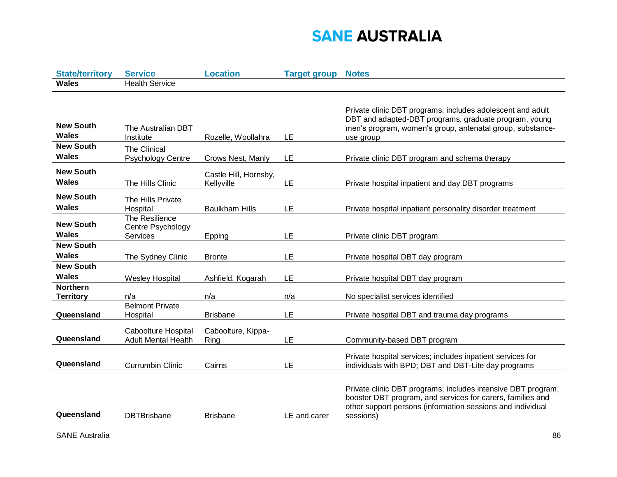| <b>State/territory</b>              | <b>Service</b>                                    | <b>Location</b>                     | <b>Target group</b> | <b>Notes</b>                                                                                                                                                                                          |
|-------------------------------------|---------------------------------------------------|-------------------------------------|---------------------|-------------------------------------------------------------------------------------------------------------------------------------------------------------------------------------------------------|
| <b>Wales</b>                        | <b>Health Service</b>                             |                                     |                     |                                                                                                                                                                                                       |
|                                     |                                                   |                                     |                     | Private clinic DBT programs; includes adolescent and adult                                                                                                                                            |
| <b>New South</b><br><b>Wales</b>    | The Australian DBT<br>Institute                   | Rozelle, Woollahra                  | LE                  | DBT and adapted-DBT programs, graduate program, young<br>men's program, women's group, antenatal group, substance-<br>use group                                                                       |
| <b>New South</b><br>Wales           | The Clinical<br><b>Psychology Centre</b>          | Crows Nest, Manly                   | LE                  | Private clinic DBT program and schema therapy                                                                                                                                                         |
| <b>New South</b><br><b>Wales</b>    | The Hills Clinic                                  | Castle Hill, Hornsby,<br>Kellyville | LE                  | Private hospital inpatient and day DBT programs                                                                                                                                                       |
| <b>New South</b><br>Wales           | The Hills Private<br>Hospital                     | <b>Baulkham Hills</b>               | LE                  | Private hospital inpatient personality disorder treatment                                                                                                                                             |
| <b>New South</b><br>Wales           | The Resilience<br>Centre Psychology<br>Services   | Epping                              | LE                  | Private clinic DBT program                                                                                                                                                                            |
| <b>New South</b><br><b>Wales</b>    | The Sydney Clinic                                 | <b>Bronte</b>                       | LE                  | Private hospital DBT day program                                                                                                                                                                      |
| <b>New South</b><br><b>Wales</b>    | <b>Wesley Hospital</b>                            | Ashfield, Kogarah                   | LE                  | Private hospital DBT day program                                                                                                                                                                      |
| <b>Northern</b><br><b>Territory</b> | n/a                                               | n/a                                 | n/a                 | No specialist services identified                                                                                                                                                                     |
| Queensland                          | <b>Belmont Private</b><br>Hospital                | <b>Brisbane</b>                     | LE                  | Private hospital DBT and trauma day programs                                                                                                                                                          |
| Queensland                          | Caboolture Hospital<br><b>Adult Mental Health</b> | Caboolture, Kippa-<br>Ring          | LE                  | Community-based DBT program                                                                                                                                                                           |
| Queensland                          | <b>Currumbin Clinic</b>                           | Cairns                              | LE                  | Private hospital services; includes inpatient services for<br>individuals with BPD; DBT and DBT-Lite day programs                                                                                     |
| Queensland                          | <b>DBTBrisbane</b>                                | <b>Brisbane</b>                     | LE and carer        | Private clinic DBT programs; includes intensive DBT program,<br>booster DBT program, and services for carers, families and<br>other support persons (information sessions and individual<br>sessions) |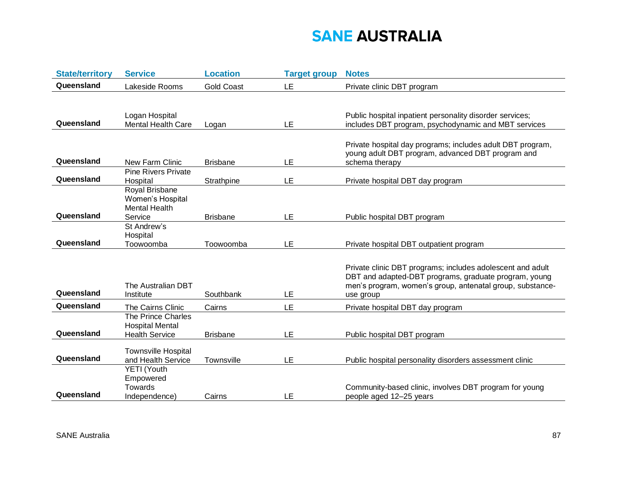| <b>State/territory</b> | <b>Service</b>                                                        | <b>Location</b>   | <b>Target group</b> | <b>Notes</b>                                                                                                                                                                                  |
|------------------------|-----------------------------------------------------------------------|-------------------|---------------------|-----------------------------------------------------------------------------------------------------------------------------------------------------------------------------------------------|
| Queensland             | Lakeside Rooms                                                        | <b>Gold Coast</b> | LE                  | Private clinic DBT program                                                                                                                                                                    |
| Queensland             | Logan Hospital<br><b>Mental Health Care</b>                           | Logan             | LE                  | Public hospital inpatient personality disorder services;<br>includes DBT program, psychodynamic and MBT services                                                                              |
| Queensland             | <b>New Farm Clinic</b>                                                | <b>Brisbane</b>   | LE                  | Private hospital day programs; includes adult DBT program,<br>young adult DBT program, advanced DBT program and<br>schema therapy                                                             |
| Queensland             | <b>Pine Rivers Private</b><br>Hospital                                | Strathpine        | LE                  | Private hospital DBT day program                                                                                                                                                              |
| Queensland             | Royal Brisbane<br>Women's Hospital<br><b>Mental Health</b><br>Service | <b>Brisbane</b>   | LE                  | Public hospital DBT program                                                                                                                                                                   |
| Queensland             | St Andrew's<br>Hospital<br>Toowoomba                                  | Toowoomba         | LE                  | Private hospital DBT outpatient program                                                                                                                                                       |
| Queensland             | The Australian DBT<br>Institute                                       | Southbank         | LE                  | Private clinic DBT programs; includes adolescent and adult<br>DBT and adapted-DBT programs, graduate program, young<br>men's program, women's group, antenatal group, substance-<br>use group |
| Queensland             | The Cairns Clinic                                                     | Cairns            | LE                  | Private hospital DBT day program                                                                                                                                                              |
| Queensland             | The Prince Charles<br><b>Hospital Mental</b><br><b>Health Service</b> | <b>Brisbane</b>   | LE                  | Public hospital DBT program                                                                                                                                                                   |
| Queensland             | <b>Townsville Hospital</b><br>and Health Service                      | Townsville        | LE                  | Public hospital personality disorders assessment clinic                                                                                                                                       |
| Queensland             | YETI (Youth<br>Empowered<br>Towards<br>Independence)                  | Cairns            | LE                  | Community-based clinic, involves DBT program for young<br>people aged 12-25 years                                                                                                             |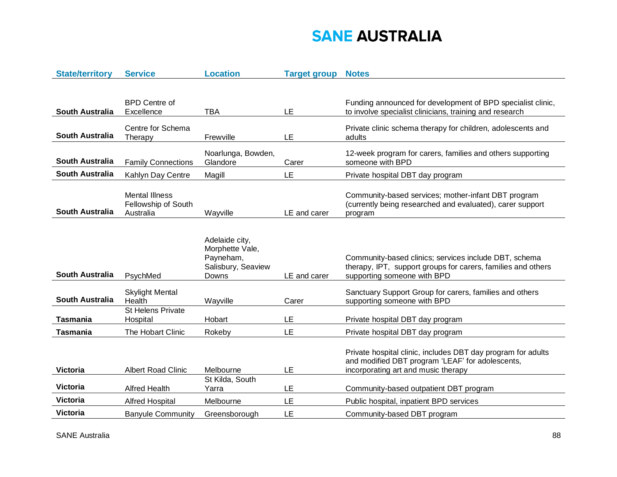| <b>State/territory</b> | <b>Service</b>                   | <b>Location</b>    | <b>Target group</b> | <b>Notes</b>                                                                                                     |
|------------------------|----------------------------------|--------------------|---------------------|------------------------------------------------------------------------------------------------------------------|
|                        |                                  |                    |                     |                                                                                                                  |
|                        |                                  |                    |                     |                                                                                                                  |
|                        | <b>BPD Centre of</b>             |                    |                     | Funding announced for development of BPD specialist clinic,                                                      |
| <b>South Australia</b> | Excellence                       | TBA                | LE                  | to involve specialist clinicians, training and research                                                          |
|                        |                                  |                    |                     | Private clinic schema therapy for children, adolescents and                                                      |
| <b>South Australia</b> | Centre for Schema<br>Therapy     | Frewville          | LE                  | adults                                                                                                           |
|                        |                                  |                    |                     |                                                                                                                  |
|                        |                                  | Noarlunga, Bowden, |                     | 12-week program for carers, families and others supporting                                                       |
| <b>South Australia</b> | <b>Family Connections</b>        | Glandore           | Carer               | someone with BPD                                                                                                 |
| <b>South Australia</b> | Kahlyn Day Centre                | Magill             | LE                  | Private hospital DBT day program                                                                                 |
|                        |                                  |                    |                     |                                                                                                                  |
|                        | <b>Mental Illness</b>            |                    |                     | Community-based services; mother-infant DBT program                                                              |
|                        | Fellowship of South              |                    |                     | (currently being researched and evaluated), carer support                                                        |
| South Australia        | Australia                        | Wayville           | LE and carer        | program                                                                                                          |
|                        |                                  |                    |                     |                                                                                                                  |
|                        |                                  | Adelaide city,     |                     |                                                                                                                  |
|                        |                                  | Morphette Vale,    |                     |                                                                                                                  |
|                        |                                  | Payneham,          |                     | Community-based clinics; services include DBT, schema                                                            |
|                        |                                  | Salisbury, Seaview |                     | therapy, IPT, support groups for carers, families and others                                                     |
| <b>South Australia</b> | PsychMed                         | Downs              | LE and carer        | supporting someone with BPD                                                                                      |
|                        |                                  |                    |                     |                                                                                                                  |
| <b>South Australia</b> | <b>Skylight Mental</b><br>Health |                    | Carer               | Sanctuary Support Group for carers, families and others                                                          |
|                        | <b>St Helens Private</b>         | Wayville           |                     | supporting someone with BPD                                                                                      |
| <b>Tasmania</b>        | Hospital                         | Hobart             | LE                  | Private hospital DBT day program                                                                                 |
|                        |                                  |                    | LE                  |                                                                                                                  |
| <b>Tasmania</b>        | The Hobart Clinic                | Rokeby             |                     | Private hospital DBT day program                                                                                 |
|                        |                                  |                    |                     |                                                                                                                  |
|                        |                                  |                    |                     | Private hospital clinic, includes DBT day program for adults<br>and modified DBT program 'LEAF' for adolescents, |
| <b>Victoria</b>        | <b>Albert Road Clinic</b>        | Melbourne          | LE                  | incorporating art and music therapy                                                                              |
|                        |                                  | St Kilda, South    |                     |                                                                                                                  |
| <b>Victoria</b>        | <b>Alfred Health</b>             | Yarra              | LE                  | Community-based outpatient DBT program                                                                           |
| <b>Victoria</b>        | <b>Alfred Hospital</b>           | Melbourne          | LE                  | Public hospital, inpatient BPD services                                                                          |
| <b>Victoria</b>        | <b>Banyule Community</b>         | Greensborough      | LE                  | Community-based DBT program                                                                                      |
|                        |                                  |                    |                     |                                                                                                                  |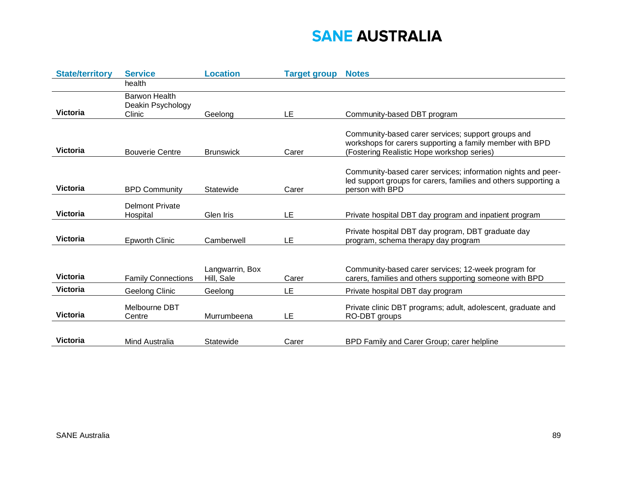| <b>State/territory</b> | <b>Service</b>                               | <b>Location</b>               | <b>Target group</b> | <b>Notes</b>                                                                                                                                                 |
|------------------------|----------------------------------------------|-------------------------------|---------------------|--------------------------------------------------------------------------------------------------------------------------------------------------------------|
|                        | health                                       |                               |                     |                                                                                                                                                              |
| <b>Victoria</b>        | Barwon Health<br>Deakin Psychology<br>Clinic | Geelona                       | LE                  | Community-based DBT program                                                                                                                                  |
| <b>Victoria</b>        | <b>Bouverie Centre</b>                       | <b>Brunswick</b>              | Carer               | Community-based carer services; support groups and<br>workshops for carers supporting a family member with BPD<br>(Fostering Realistic Hope workshop series) |
| <b>Victoria</b>        | <b>BPD Community</b>                         | Statewide                     | Carer               | Community-based carer services; information nights and peer-<br>led support groups for carers, families and others supporting a<br>person with BPD           |
| <b>Victoria</b>        | <b>Delmont Private</b><br>Hospital           | Glen Iris                     | LE                  | Private hospital DBT day program and inpatient program                                                                                                       |
| <b>Victoria</b>        | <b>Epworth Clinic</b>                        | Camberwell                    | LE                  | Private hospital DBT day program, DBT graduate day<br>program, schema therapy day program                                                                    |
| <b>Victoria</b>        | <b>Family Connections</b>                    | Langwarrin, Box<br>Hill, Sale | Carer               | Community-based carer services; 12-week program for<br>carers, families and others supporting someone with BPD                                               |
| <b>Victoria</b>        | Geelong Clinic                               | Geelong                       | LE                  | Private hospital DBT day program                                                                                                                             |
| <b>Victoria</b>        | Melbourne DBT<br>Centre                      | Murrumbeena                   | LE                  | Private clinic DBT programs; adult, adolescent, graduate and<br>RO-DBT groups                                                                                |
| <b>Victoria</b>        | <b>Mind Australia</b>                        | Statewide                     | Carer               | BPD Family and Carer Group; carer helpline                                                                                                                   |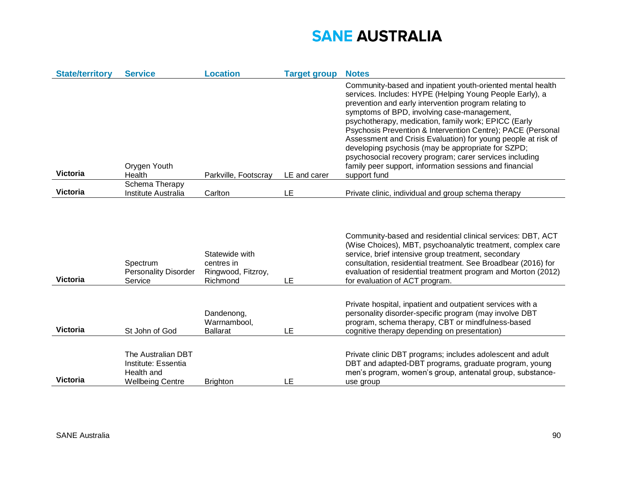| <b>State/territory</b> | <b>Service</b>                                                                     | <b>Location</b>                                                | <b>Target group</b> | <b>Notes</b>                                                                                                                                                                                                                                                                                                                                                                                                                                                                                                                                                                                                       |
|------------------------|------------------------------------------------------------------------------------|----------------------------------------------------------------|---------------------|--------------------------------------------------------------------------------------------------------------------------------------------------------------------------------------------------------------------------------------------------------------------------------------------------------------------------------------------------------------------------------------------------------------------------------------------------------------------------------------------------------------------------------------------------------------------------------------------------------------------|
| <b>Victoria</b>        | Orygen Youth<br>Health                                                             | Parkville, Footscray                                           | LE and carer        | Community-based and inpatient youth-oriented mental health<br>services. Includes: HYPE (Helping Young People Early), a<br>prevention and early intervention program relating to<br>symptoms of BPD, involving case-management,<br>psychotherapy, medication, family work; EPICC (Early<br>Psychosis Prevention & Intervention Centre); PACE (Personal<br>Assessment and Crisis Evaluation) for young people at risk of<br>developing psychosis (may be appropriate for SZPD;<br>psychosocial recovery program; carer services including<br>family peer support, information sessions and financial<br>support fund |
|                        | Schema Therapy                                                                     |                                                                |                     |                                                                                                                                                                                                                                                                                                                                                                                                                                                                                                                                                                                                                    |
| <b>Victoria</b>        | Institute Australia                                                                | Carlton                                                        | LE                  | Private clinic, individual and group schema therapy                                                                                                                                                                                                                                                                                                                                                                                                                                                                                                                                                                |
| <b>Victoria</b>        | Spectrum<br><b>Personality Disorder</b><br>Service                                 | Statewide with<br>centres in<br>Ringwood, Fitzroy,<br>Richmond | LE                  | Community-based and residential clinical services: DBT, ACT<br>(Wise Choices), MBT, psychoanalytic treatment, complex care<br>service, brief intensive group treatment, secondary<br>consultation, residential treatment. See Broadbear (2016) for<br>evaluation of residential treatment program and Morton (2012)<br>for evaluation of ACT program.                                                                                                                                                                                                                                                              |
| <b>Victoria</b>        | St John of God                                                                     | Dandenong,<br>Warrnambool,<br><b>Ballarat</b>                  | LE                  | Private hospital, inpatient and outpatient services with a<br>personality disorder-specific program (may involve DBT<br>program, schema therapy, CBT or mindfulness-based<br>cognitive therapy depending on presentation)                                                                                                                                                                                                                                                                                                                                                                                          |
| <b>Victoria</b>        | The Australian DBT<br>Institute: Essentia<br>Health and<br><b>Wellbeing Centre</b> | <b>Brighton</b>                                                | LE                  | Private clinic DBT programs; includes adolescent and adult<br>DBT and adapted-DBT programs, graduate program, young<br>men's program, women's group, antenatal group, substance-<br>use group                                                                                                                                                                                                                                                                                                                                                                                                                      |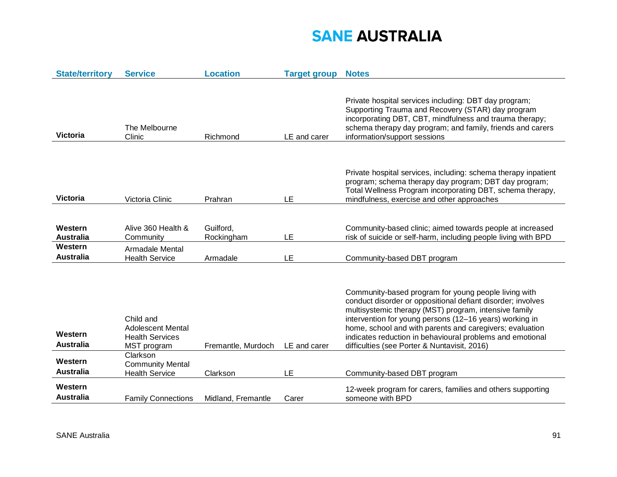| <b>State/territory</b>      | <b>Service</b>                                                                 | <b>Location</b>         | <b>Target group</b> | <b>Notes</b>                                                                                                                                                                                                                                                                                                                                                                                                     |
|-----------------------------|--------------------------------------------------------------------------------|-------------------------|---------------------|------------------------------------------------------------------------------------------------------------------------------------------------------------------------------------------------------------------------------------------------------------------------------------------------------------------------------------------------------------------------------------------------------------------|
| <b>Victoria</b>             | The Melbourne<br>Clinic                                                        | Richmond                | LE and carer        | Private hospital services including: DBT day program;<br>Supporting Trauma and Recovery (STAR) day program<br>incorporating DBT, CBT, mindfulness and trauma therapy;<br>schema therapy day program; and family, friends and carers<br>information/support sessions                                                                                                                                              |
| <b>Victoria</b>             | Victoria Clinic                                                                | Prahran                 | LE                  | Private hospital services, including: schema therapy inpatient<br>program; schema therapy day program; DBT day program;<br>Total Wellness Program incorporating DBT, schema therapy,<br>mindfulness, exercise and other approaches                                                                                                                                                                               |
| Western<br><b>Australia</b> | Alive 360 Health &<br>Community                                                | Guilford,<br>Rockingham | LE                  | Community-based clinic; aimed towards people at increased<br>risk of suicide or self-harm, including people living with BPD                                                                                                                                                                                                                                                                                      |
| Western<br><b>Australia</b> | Armadale Mental<br><b>Health Service</b>                                       | Armadale                | LE                  | Community-based DBT program                                                                                                                                                                                                                                                                                                                                                                                      |
| Western<br><b>Australia</b> | Child and<br><b>Adolescent Mental</b><br><b>Health Services</b><br>MST program | Fremantle, Murdoch      | LE and carer        | Community-based program for young people living with<br>conduct disorder or oppositional defiant disorder; involves<br>multisystemic therapy (MST) program, intensive family<br>intervention for young persons (12-16 years) working in<br>home, school and with parents and caregivers; evaluation<br>indicates reduction in behavioural problems and emotional<br>difficulties (see Porter & Nuntavisit, 2016) |
| Western<br><b>Australia</b> | Clarkson<br><b>Community Mental</b><br><b>Health Service</b>                   | Clarkson                | LE                  | Community-based DBT program                                                                                                                                                                                                                                                                                                                                                                                      |
| Western<br><b>Australia</b> | <b>Family Connections</b>                                                      | Midland, Fremantle      | Carer               | 12-week program for carers, families and others supporting<br>someone with BPD                                                                                                                                                                                                                                                                                                                                   |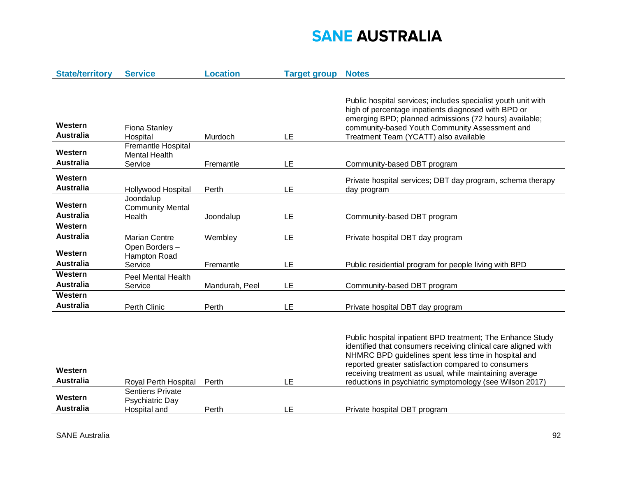| <b>State/territory</b>      | <b>Service</b>                                             | <b>Location</b> | <b>Target group</b> | <b>Notes</b>                                                                                                                                                                                                                                                                                                                                                       |
|-----------------------------|------------------------------------------------------------|-----------------|---------------------|--------------------------------------------------------------------------------------------------------------------------------------------------------------------------------------------------------------------------------------------------------------------------------------------------------------------------------------------------------------------|
| Western<br><b>Australia</b> | Fiona Stanley<br>Hospital                                  | Murdoch         | LE                  | Public hospital services; includes specialist youth unit with<br>high of percentage inpatients diagnosed with BPD or<br>emerging BPD; planned admissions (72 hours) available;<br>community-based Youth Community Assessment and<br>Treatment Team (YCATT) also available                                                                                          |
| Western<br><b>Australia</b> | Fremantle Hospital<br><b>Mental Health</b><br>Service      | Fremantle       | LE                  | Community-based DBT program                                                                                                                                                                                                                                                                                                                                        |
| Western<br><b>Australia</b> | Hollywood Hospital                                         | Perth           | LE                  | Private hospital services; DBT day program, schema therapy<br>day program                                                                                                                                                                                                                                                                                          |
| Western<br><b>Australia</b> | Joondalup<br><b>Community Mental</b><br>Health             | Joondalup       | LE                  | Community-based DBT program                                                                                                                                                                                                                                                                                                                                        |
| Western<br><b>Australia</b> | <b>Marian Centre</b><br>Open Borders-                      | Wembley         | LE                  | Private hospital DBT day program                                                                                                                                                                                                                                                                                                                                   |
| Western<br><b>Australia</b> | Hampton Road<br>Service                                    | Fremantle       | LE                  | Public residential program for people living with BPD                                                                                                                                                                                                                                                                                                              |
| Western<br><b>Australia</b> | <b>Peel Mental Health</b><br>Service                       | Mandurah, Peel  | LE                  | Community-based DBT program                                                                                                                                                                                                                                                                                                                                        |
| Western<br><b>Australia</b> | Perth Clinic                                               | Perth           | LE                  | Private hospital DBT day program                                                                                                                                                                                                                                                                                                                                   |
| Western<br><b>Australia</b> | Royal Perth Hospital                                       | Perth           | LE                  | Public hospital inpatient BPD treatment; The Enhance Study<br>identified that consumers receiving clinical care aligned with<br>NHMRC BPD guidelines spent less time in hospital and<br>reported greater satisfaction compared to consumers<br>receiving treatment as usual, while maintaining average<br>reductions in psychiatric symptomology (see Wilson 2017) |
| Western<br><b>Australia</b> | <b>Sentiens Private</b><br>Psychiatric Day<br>Hospital and | Perth           | LE                  | Private hospital DBT program                                                                                                                                                                                                                                                                                                                                       |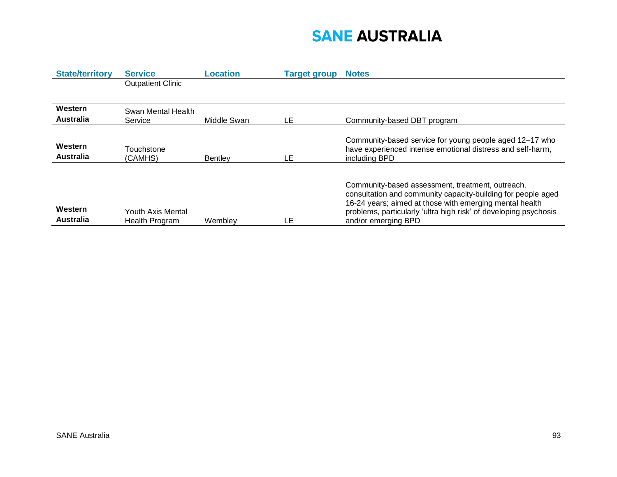| <b>State/territory</b>      | <b>Service</b>                             | Location       | <b>Target group</b> | <b>Notes</b>                                                                                                                                                                                                                                                           |
|-----------------------------|--------------------------------------------|----------------|---------------------|------------------------------------------------------------------------------------------------------------------------------------------------------------------------------------------------------------------------------------------------------------------------|
|                             | <b>Outpatient Clinic</b>                   |                |                     |                                                                                                                                                                                                                                                                        |
|                             |                                            |                |                     |                                                                                                                                                                                                                                                                        |
| Western                     | Swan Mental Health                         |                |                     |                                                                                                                                                                                                                                                                        |
| <b>Australia</b>            | Service                                    | Middle Swan    | LE                  | Community-based DBT program                                                                                                                                                                                                                                            |
|                             |                                            |                |                     |                                                                                                                                                                                                                                                                        |
| Western                     |                                            |                |                     | Community-based service for young people aged 12-17 who                                                                                                                                                                                                                |
| <b>Australia</b>            | Touchstone                                 |                |                     | have experienced intense emotional distress and self-harm,                                                                                                                                                                                                             |
|                             | (CAMHS)                                    | <b>Bentlev</b> | LE                  | including BPD                                                                                                                                                                                                                                                          |
|                             |                                            |                |                     |                                                                                                                                                                                                                                                                        |
| Western<br><b>Australia</b> | Youth Axis Mental<br><b>Health Program</b> | Wemblev        | LE                  | Community-based assessment, treatment, outreach,<br>consultation and community capacity-building for people aged<br>16-24 years; aimed at those with emerging mental health<br>problems, particularly 'ultra high risk' of developing psychosis<br>and/or emerging BPD |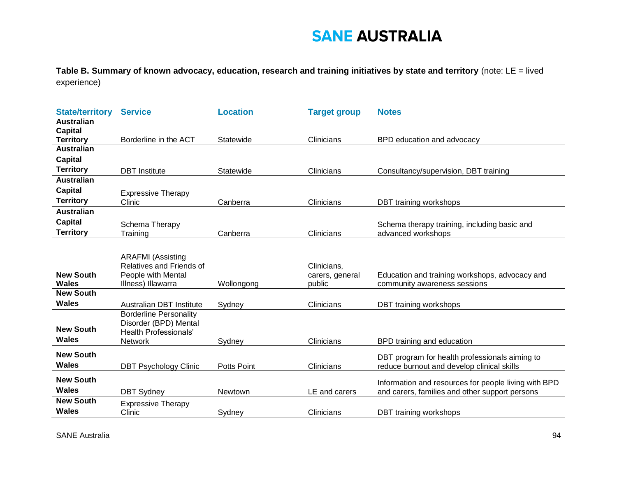**Table B. Summary of known advocacy, education, research and training initiatives by state and territory** (note: LE = lived experience)

| <b>State/territory</b>             | <b>Service</b>                                        | <b>Location</b> | <b>Target group</b> | <b>Notes</b>                                         |
|------------------------------------|-------------------------------------------------------|-----------------|---------------------|------------------------------------------------------|
| <b>Australian</b>                  |                                                       |                 |                     |                                                      |
| <b>Capital</b><br><b>Territory</b> | Borderline in the ACT                                 | Statewide       | Clinicians          | BPD education and advocacy                           |
| <b>Australian</b>                  |                                                       |                 |                     |                                                      |
| <b>Capital</b>                     |                                                       |                 |                     |                                                      |
| <b>Territory</b>                   | <b>DBT</b> Institute                                  | Statewide       | Clinicians          | Consultancy/supervision, DBT training                |
| <b>Australian</b>                  |                                                       |                 |                     |                                                      |
| <b>Capital</b>                     | <b>Expressive Therapy</b>                             |                 |                     |                                                      |
| <b>Territory</b>                   | Clinic                                                | Canberra        | Clinicians          | DBT training workshops                               |
| <b>Australian</b>                  |                                                       |                 |                     |                                                      |
| <b>Capital</b>                     | Schema Therapy                                        |                 |                     | Schema therapy training, including basic and         |
| <b>Territory</b>                   | Training                                              | Canberra        | Clinicians          | advanced workshops                                   |
|                                    |                                                       |                 |                     |                                                      |
|                                    | <b>ARAFMI</b> (Assisting                              |                 |                     |                                                      |
|                                    | Relatives and Friends of                              |                 | Clinicians,         |                                                      |
|                                    |                                                       |                 | carers, general     | Education and training workshops, advocacy and       |
| <b>New South</b>                   | People with Mental                                    |                 |                     |                                                      |
| <b>Wales</b>                       | Illness) Illawarra                                    | Wollongong      | public              | community awareness sessions                         |
| <b>New South</b>                   |                                                       |                 |                     |                                                      |
| <b>Wales</b>                       | <b>Australian DBT Institute</b>                       | Sydney          | Clinicians          | DBT training workshops                               |
|                                    | <b>Borderline Personality</b>                         |                 |                     |                                                      |
| <b>New South</b>                   | Disorder (BPD) Mental<br><b>Health Professionals'</b> |                 |                     |                                                      |
| Wales                              | <b>Network</b>                                        | Sydney          | Clinicians          | BPD training and education                           |
| <b>New South</b>                   |                                                       |                 |                     |                                                      |
| <b>Wales</b>                       |                                                       |                 |                     | DBT program for health professionals aiming to       |
|                                    | <b>DBT Psychology Clinic</b>                          | Potts Point     | Clinicians          | reduce burnout and develop clinical skills           |
| <b>New South</b>                   |                                                       |                 |                     | Information and resources for people living with BPD |
| <b>Wales</b>                       | <b>DBT Sydney</b>                                     | Newtown         | LE and carers       | and carers, families and other support persons       |
| <b>New South</b><br><b>Wales</b>   | <b>Expressive Therapy</b><br>Clinic                   | Sydney          | Clinicians          | DBT training workshops                               |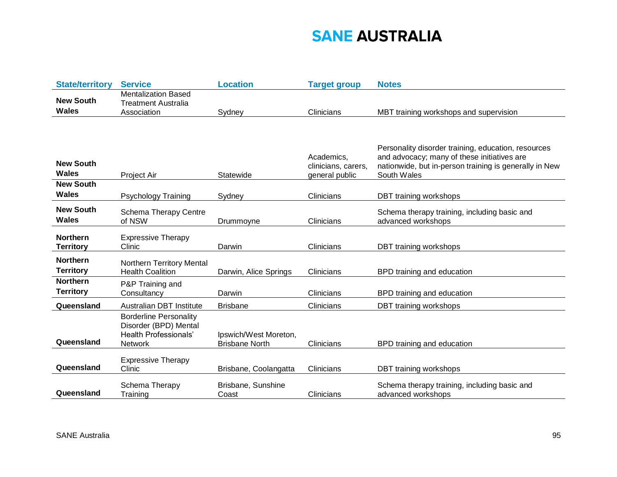| <b>State/territory</b>              | <b>Service</b>                                                                                    | <b>Location</b>                                | <b>Target group</b>               | <b>Notes</b>                                                                                          |
|-------------------------------------|---------------------------------------------------------------------------------------------------|------------------------------------------------|-----------------------------------|-------------------------------------------------------------------------------------------------------|
| <b>New South</b><br>Wales           | <b>Mentalization Based</b><br><b>Treatment Australia</b><br>Association                           | Sydney                                         | Clinicians                        | MBT training workshops and supervision                                                                |
|                                     |                                                                                                   |                                                |                                   |                                                                                                       |
|                                     |                                                                                                   |                                                |                                   |                                                                                                       |
|                                     |                                                                                                   |                                                |                                   | Personality disorder training, education, resources                                                   |
| <b>New South</b>                    |                                                                                                   |                                                | Academics,<br>clinicians, carers, | and advocacy; many of these initiatives are<br>nationwide, but in-person training is generally in New |
| Wales                               | Project Air                                                                                       | Statewide                                      | general public                    | South Wales                                                                                           |
| <b>New South</b>                    |                                                                                                   |                                                |                                   |                                                                                                       |
| <b>Wales</b>                        | <b>Psychology Training</b>                                                                        | Sydney                                         | Clinicians                        | <b>DBT</b> training workshops                                                                         |
| <b>New South</b><br>Wales           | Schema Therapy Centre<br>of NSW                                                                   | Drummoyne                                      | Clinicians                        | Schema therapy training, including basic and<br>advanced workshops                                    |
| <b>Northern</b><br><b>Territory</b> | <b>Expressive Therapy</b><br>Clinic                                                               | Darwin                                         | Clinicians                        | DBT training workshops                                                                                |
| <b>Northern</b><br><b>Territory</b> | Northern Territory Mental<br><b>Health Coalition</b>                                              | Darwin, Alice Springs                          | Clinicians                        | BPD training and education                                                                            |
| <b>Northern</b><br><b>Territory</b> | P&P Training and<br>Consultancy                                                                   | Darwin                                         | Clinicians                        | BPD training and education                                                                            |
| Queensland                          | <b>Australian DBT Institute</b>                                                                   | <b>Brisbane</b>                                | Clinicians                        | DBT training workshops                                                                                |
| Queensland                          | <b>Borderline Personality</b><br>Disorder (BPD) Mental<br><b>Health Professionals'</b><br>Network | Ipswich/West Moreton,<br><b>Brisbane North</b> | Clinicians                        | BPD training and education                                                                            |
| Queensland                          | <b>Expressive Therapy</b><br>Clinic                                                               | Brisbane, Coolangatta                          | Clinicians                        | DBT training workshops                                                                                |
| Queensland                          | Schema Therapy<br>Training                                                                        | Brisbane, Sunshine<br>Coast                    | Clinicians                        | Schema therapy training, including basic and<br>advanced workshops                                    |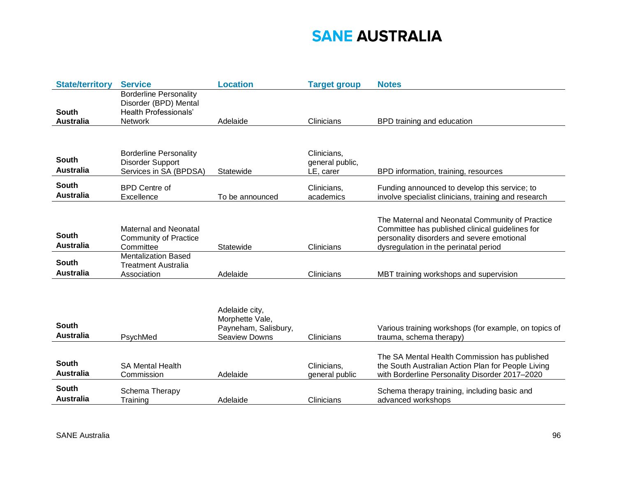| <b>State/territory</b>           | <b>Service</b>                                                                                           | <b>Location</b>                                                                   | <b>Target group</b>                         | <b>Notes</b>                                                                                                                                                                              |
|----------------------------------|----------------------------------------------------------------------------------------------------------|-----------------------------------------------------------------------------------|---------------------------------------------|-------------------------------------------------------------------------------------------------------------------------------------------------------------------------------------------|
| South<br><b>Australia</b>        | <b>Borderline Personality</b><br>Disorder (BPD) Mental<br><b>Health Professionals'</b><br><b>Network</b> | Adelaide                                                                          | Clinicians                                  | BPD training and education                                                                                                                                                                |
|                                  |                                                                                                          |                                                                                   |                                             |                                                                                                                                                                                           |
| South<br><b>Australia</b>        | <b>Borderline Personality</b><br>Disorder Support<br>Services in SA (BPDSA)                              | Statewide                                                                         | Clinicians,<br>general public,<br>LE, carer | BPD information, training, resources                                                                                                                                                      |
| South<br><b>Australia</b>        | <b>BPD Centre of</b><br>Excellence                                                                       | To be announced                                                                   | Clinicians,<br>academics                    | Funding announced to develop this service; to<br>involve specialist clinicians, training and research                                                                                     |
| South<br><b>Australia</b>        | <b>Maternal and Neonatal</b><br><b>Community of Practice</b><br>Committee                                | Statewide                                                                         | Clinicians                                  | The Maternal and Neonatal Community of Practice<br>Committee has published clinical guidelines for<br>personality disorders and severe emotional<br>dysregulation in the perinatal period |
| South<br><b>Australia</b>        | <b>Mentalization Based</b><br><b>Treatment Australia</b><br>Association                                  | Adelaide                                                                          | Clinicians                                  | MBT training workshops and supervision                                                                                                                                                    |
| South<br><b>Australia</b>        | PsychMed                                                                                                 | Adelaide city,<br>Morphette Vale,<br>Payneham, Salisbury,<br><b>Seaview Downs</b> | Clinicians                                  | Various training workshops (for example, on topics of<br>trauma, schema therapy)                                                                                                          |
| South<br><b>Australia</b>        | <b>SA Mental Health</b><br>Commission                                                                    | Adelaide                                                                          | Clinicians,<br>general public               | The SA Mental Health Commission has published<br>the South Australian Action Plan for People Living<br>with Borderline Personality Disorder 2017-2020                                     |
| <b>South</b><br><b>Australia</b> | Schema Therapy<br>Training                                                                               | Adelaide                                                                          | Clinicians                                  | Schema therapy training, including basic and<br>advanced workshops                                                                                                                        |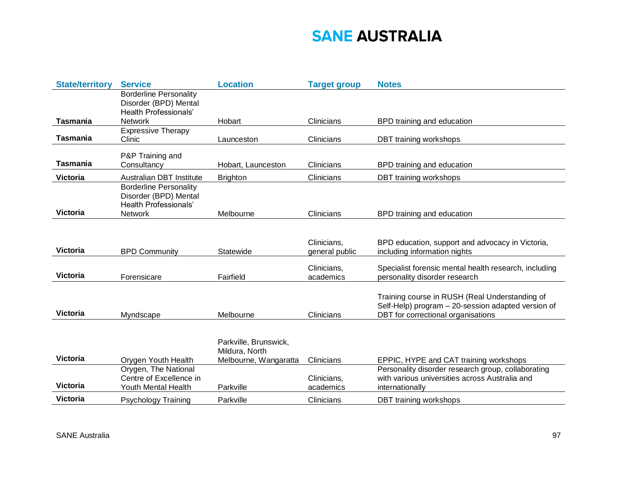| <b>State/territory</b> | <b>Service</b>                                         | <b>Location</b>                         | <b>Target group</b> | <b>Notes</b>                                                                                         |
|------------------------|--------------------------------------------------------|-----------------------------------------|---------------------|------------------------------------------------------------------------------------------------------|
|                        | <b>Borderline Personality</b><br>Disorder (BPD) Mental |                                         |                     |                                                                                                      |
|                        | <b>Health Professionals'</b>                           |                                         |                     |                                                                                                      |
| <b>Tasmania</b>        | <b>Network</b>                                         | Hobart                                  | Clinicians          | BPD training and education                                                                           |
|                        | <b>Expressive Therapy</b>                              |                                         |                     |                                                                                                      |
| <b>Tasmania</b>        | Clinic                                                 | Launceston                              | Clinicians          | DBT training workshops                                                                               |
|                        | P&P Training and                                       |                                         |                     |                                                                                                      |
| <b>Tasmania</b>        | Consultancy                                            | Hobart, Launceston                      | Clinicians          | BPD training and education                                                                           |
| <b>Victoria</b>        | <b>Australian DBT Institute</b>                        | <b>Brighton</b>                         | Clinicians          | DBT training workshops                                                                               |
|                        | <b>Borderline Personality</b>                          |                                         |                     |                                                                                                      |
|                        | Disorder (BPD) Mental<br><b>Health Professionals'</b>  |                                         |                     |                                                                                                      |
| <b>Victoria</b>        | <b>Network</b>                                         | Melbourne                               | Clinicians          | BPD training and education                                                                           |
|                        |                                                        |                                         |                     |                                                                                                      |
|                        |                                                        |                                         |                     |                                                                                                      |
| <b>Victoria</b>        |                                                        |                                         | Clinicians,         | BPD education, support and advocacy in Victoria,                                                     |
|                        | <b>BPD Community</b>                                   | Statewide                               | general public      | including information nights                                                                         |
|                        |                                                        |                                         | Clinicians,         | Specialist forensic mental health research, including                                                |
| <b>Victoria</b>        | Forensicare                                            | Fairfield                               | academics           | personality disorder research                                                                        |
|                        |                                                        |                                         |                     |                                                                                                      |
|                        |                                                        |                                         |                     | Training course in RUSH (Real Understanding of<br>Self-Help) program - 20-session adapted version of |
| <b>Victoria</b>        | Myndscape                                              | Melbourne                               | Clinicians          | DBT for correctional organisations                                                                   |
|                        |                                                        |                                         |                     |                                                                                                      |
|                        |                                                        |                                         |                     |                                                                                                      |
|                        |                                                        | Parkville, Brunswick,<br>Mildura, North |                     |                                                                                                      |
| <b>Victoria</b>        | Orygen Youth Health                                    | Melbourne, Wangaratta                   | Clinicians          | EPPIC, HYPE and CAT training workshops                                                               |
|                        | Orygen, The National                                   |                                         |                     | Personality disorder research group, collaborating                                                   |
|                        | Centre of Excellence in                                |                                         | Clinicians,         | with various universities across Australia and                                                       |
| <b>Victoria</b>        | <b>Youth Mental Health</b>                             | Parkville                               | academics           | internationally                                                                                      |
| <b>Victoria</b>        | <b>Psychology Training</b>                             | Parkville                               | Clinicians          | DBT training workshops                                                                               |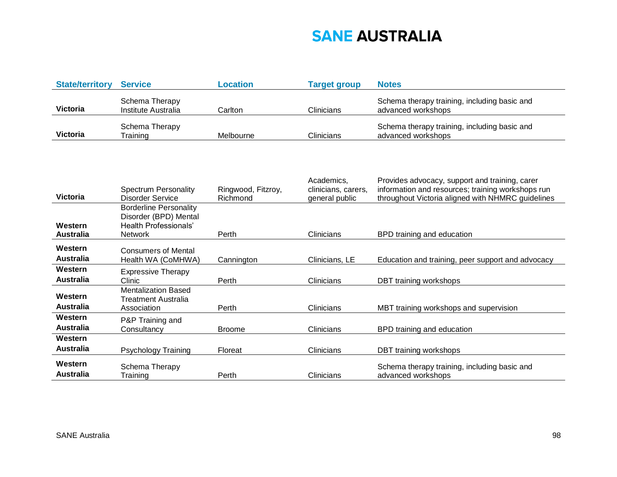| <b>State/territory</b> | <b>Service</b>                        | Location  | <b>Target group</b> | <b>Notes</b>                                                       |
|------------------------|---------------------------------------|-----------|---------------------|--------------------------------------------------------------------|
| <b>Victoria</b>        | Schema Therapy<br>Institute Australia | Carlton   | Clinicians          | Schema therapy training, including basic and<br>advanced workshops |
| <b>Victoria</b>        | Schema Therapy<br>Training            | Melbourne | Clinicians          | Schema therapy training, including basic and<br>advanced workshops |

| <b>Victoria</b>             | <b>Spectrum Personality</b><br><b>Disorder Service</b>                                                   | Ringwood, Fitzroy,<br>Richmond | Academics,<br>clinicians, carers,<br>general public | Provides advocacy, support and training, carer<br>information and resources; training workshops run<br>throughout Victoria aligned with NHMRC guidelines |
|-----------------------------|----------------------------------------------------------------------------------------------------------|--------------------------------|-----------------------------------------------------|----------------------------------------------------------------------------------------------------------------------------------------------------------|
| Western<br><b>Australia</b> | <b>Borderline Personality</b><br>Disorder (BPD) Mental<br><b>Health Professionals'</b><br><b>Network</b> | Perth                          | <b>Clinicians</b>                                   | BPD training and education                                                                                                                               |
| Western<br><b>Australia</b> | <b>Consumers of Mental</b><br>Health WA (CoMHWA)                                                         | Cannington                     | Clinicians, LE                                      | Education and training, peer support and advocacy                                                                                                        |
| Western<br><b>Australia</b> | <b>Expressive Therapy</b><br>Clinic                                                                      | Perth                          | <b>Clinicians</b>                                   | DBT training workshops                                                                                                                                   |
| Western<br><b>Australia</b> | <b>Mentalization Based</b><br>Treatment Australia<br>Association                                         | Perth                          | <b>Clinicians</b>                                   | MBT training workshops and supervision                                                                                                                   |
| Western<br><b>Australia</b> | P&P Training and<br>Consultancy                                                                          | <b>Broome</b>                  | <b>Clinicians</b>                                   | BPD training and education                                                                                                                               |
| Western<br><b>Australia</b> | Psychology Training                                                                                      | Floreat                        | <b>Clinicians</b>                                   | DBT training workshops                                                                                                                                   |
| Western<br><b>Australia</b> | Schema Therapy<br>Training                                                                               | Perth                          | Clinicians                                          | Schema therapy training, including basic and<br>advanced workshops                                                                                       |